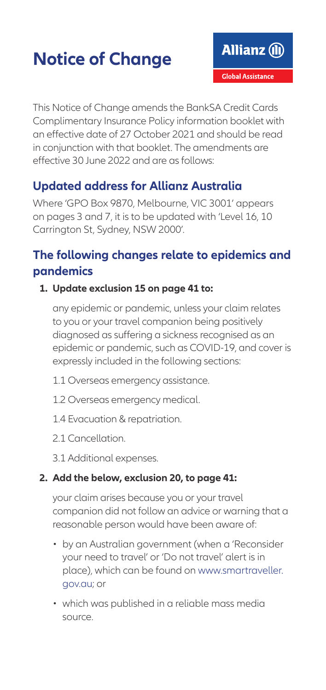# **Notice of Change**

This Notice of Change amends the BankSA Credit Cards Complimentary Insurance Policy information booklet with an effective date of 27 October 2021 and should be read in conjunction with that booklet. The amendments are effective 30 June 2022 and are as follows:

## **Updated address for Allianz Australia**

Where 'GPO Box 9870, Melbourne, VIC 3001' appears on pages 3 and 7, it is to be updated with 'Level 16, 10 Carrington St, Sydney, NSW 2000'.

## **The following changes relate to epidemics and pandemics**

#### **1. Update exclusion 15 on page 41 to:**

any epidemic or pandemic, unless your claim relates to you or your travel companion being positively diagnosed as suffering a sickness recognised as an epidemic or pandemic, such as COVID-19, and cover is expressly included in the following sections:

- 1.1 Overseas emergency assistance.
- 1.2 Overseas emergency medical.
- 1.4 Evacuation & repatriation.
- 2.1 Cancellation
- 3.1 Additional expenses.

#### **2. Add the below, exclusion 20, to page 41:**

your claim arises because you or your travel companion did not follow an advice or warning that a reasonable person would have been aware of:

- by an Australian government (when a 'Reconsider your need to travel' or 'Do not travel' alert is in place), which can be found on [www.smartraveller.](http://www.smartraveller.gov.au) [gov.au;](http://www.smartraveller.gov.au) or
- which was published in a reliable mass media source.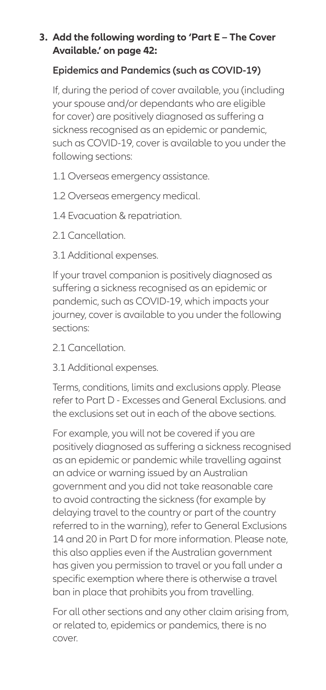#### **3. Add the following wording to 'Part E – The Cover Available.' on page 42:**

#### **Epidemics and Pandemics (such as COVID-19)**

If, during the period of cover available, you (including your spouse and/or dependants who are eligible for cover) are positively diagnosed as suffering a sickness recognised as an epidemic or pandemic, such as COVID-19, cover is available to you under the following sections:

- 1.1 Overseas emergency assistance.
- 1.2 Overseas emergency medical.
- 1.4 Evacuation & repatriation.
- 2.1 Cancellation
- 3.1 Additional expenses.

If your travel companion is positively diagnosed as suffering a sickness recognised as an epidemic or pandemic, such as COVID-19, which impacts your journey, cover is available to you under the following sections:

- 2.1 Cancellation
- 3.1 Additional expenses.

Terms, conditions, limits and exclusions apply. Please refer to Part D - Excesses and General Exclusions. and the exclusions set out in each of the above sections.

For example, you will not be covered if you are positively diagnosed as suffering a sickness recognised as an epidemic or pandemic while travelling against an advice or warning issued by an Australian government and you did not take reasonable care to avoid contracting the sickness (for example by delaying travel to the country or part of the country referred to in the warning), refer to General Exclusions 14 and 20 in Part D for more information. Please note, this also applies even if the Australian government has given you permission to travel or you fall under a specific exemption where there is otherwise a travel ban in place that prohibits you from travelling.

For all other sections and any other claim arising from, or related to, epidemics or pandemics, there is no cover.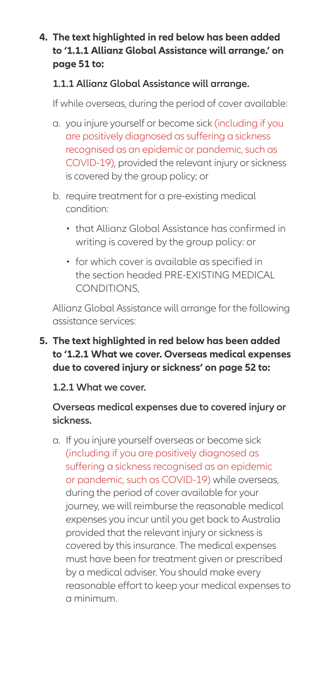#### **4. The text highlighted in red below has been added to '1.1.1 Allianz Global Assistance will arrange.' on page 51 to:**

#### **1.1.1 Allianz Global Assistance will arrange.**

If while overseas, during the period of cover available:

- a. you injure yourself or become sick (including if you are positively diagnosed as suffering a sickness recognised as an epidemic or pandemic, such as COVID-19), provided the relevant injury or sickness is covered by the group policy; or
- b. require treatment for a pre-existing medical condition:
	- that Allianz Global Assistance has confirmed in writing is covered by the group policy: or
	- for which cover is available as specified in the section headed PRE-EXISTING MEDICAL CONDITIONS,

Allianz Global Assistance will arrange for the following assistance services:

#### **5. The text highlighted in red below has been added to '1.2.1 What we cover. Overseas medical expenses due to covered injury or sickness' on page 52 to:**

#### **1.2.1 What we cover.**

#### **Overseas medical expenses due to covered injury or sickness.**

a. If you injure yourself overseas or become sick (including if you are positively diagnosed as suffering a sickness recognised as an epidemic or pandemic, such as COVID-19) while overseas, during the period of cover available for your journey, we will reimburse the reasonable medical expenses you incur until you get back to Australia provided that the relevant injury or sickness is covered by this insurance. The medical expenses must have been for treatment given or prescribed by a medical adviser. You should make every reasonable effort to keep your medical expenses to a minimum.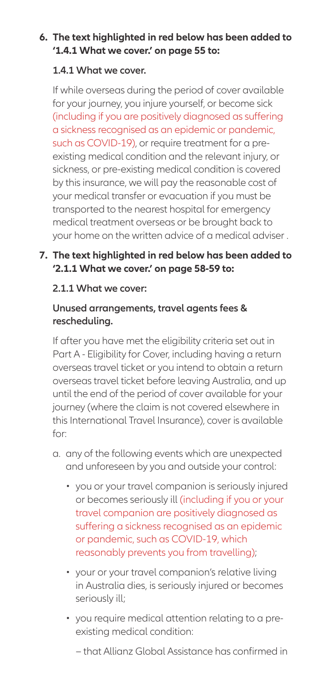#### **6. The text highlighted in red below has been added to '1.4.1 What we cover.' on page 55 to:**

#### **1.4.1 What we cover.**

If while overseas during the period of cover available for your journey, you injure yourself, or become sick (including if you are positively diagnosed as suffering a sickness recognised as an epidemic or pandemic, such as COVID-19), or require treatment for a preexisting medical condition and the relevant injury, or sickness, or pre-existing medical condition is covered by this insurance, we will pay the reasonable cost of your medical transfer or evacuation if you must be transported to the nearest hospital for emergency medical treatment overseas or be brought back to your home on the written advice of a medical adviser .

#### **7. The text highlighted in red below has been added to '2.1.1 What we cover.' on page 58-59 to:**

#### **2.1.1 What we cover:**

#### **Unused arrangements, travel agents fees & rescheduling.**

If after you have met the eligibility criteria set out in Part A - Eligibility for Cover, including having a return overseas travel ticket or you intend to obtain a return overseas travel ticket before leaving Australia, and up until the end of the period of cover available for your journey (where the claim is not covered elsewhere in this International Travel Insurance), cover is available for:

- a. any of the following events which are unexpected and unforeseen by you and outside your control:
	- you or your travel companion is seriously injured or becomes seriously ill (including if you or your travel companion are positively diagnosed as suffering a sickness recognised as an epidemic or pandemic, such as COVID-19, which reasonably prevents you from travelling);
	- your or your travel companion's relative living in Australia dies, is seriously injured or becomes seriously ill;
	- you require medical attention relating to a preexisting medical condition:
		- − that Allianz Global Assistance has confirmed in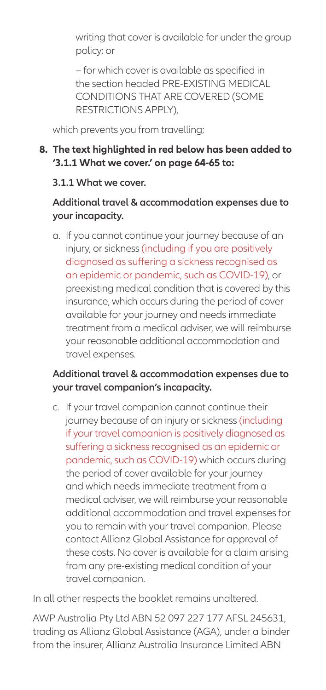writing that cover is available for under the group policy; or

− for which cover is available as specified in the section headed PRE-EXISTING MEDICAL CONDITIONS THAT ARE COVERED (SOME RESTRICTIONS APPLY),

which prevents you from travelling;

#### **8. The text highlighted in red below has been added to '3.1.1 What we cover.' on page 64-65 to:**

#### **3.1.1 What we cover.**

#### **Additional travel & accommodation expenses due to your incapacity.**

a. If you cannot continue your journey because of an injury, or sickness (including if you are positively diagnosed as suffering a sickness recognised as an epidemic or pandemic, such as COVID-19), or preexisting medical condition that is covered by this insurance, which occurs during the period of cover available for your journey and needs immediate treatment from a medical adviser, we will reimburse your reasonable additional accommodation and travel expenses.

#### **Additional travel & accommodation expenses due to your travel companion's incapacity.**

c. If your travel companion cannot continue their journey because of an injury or sickness (including if your travel companion is positively diagnosed as suffering a sickness recognised as an epidemic or pandemic, such as COVID-19) which occurs during the period of cover available for your journey and which needs immediate treatment from a medical adviser, we will reimburse your reasonable additional accommodation and travel expenses for you to remain with your travel companion. Please contact Allianz Global Assistance for approval of these costs. No cover is available for a claim arising from any pre-existing medical condition of your travel companion.

In all other respects the booklet remains unaltered.

AWP Australia Pty Ltd ABN 52 097 227 177 AFSL 245631, trading as Allianz Global Assistance (AGA), under a binder from the insurer, Allianz Australia Insurance Limited ABN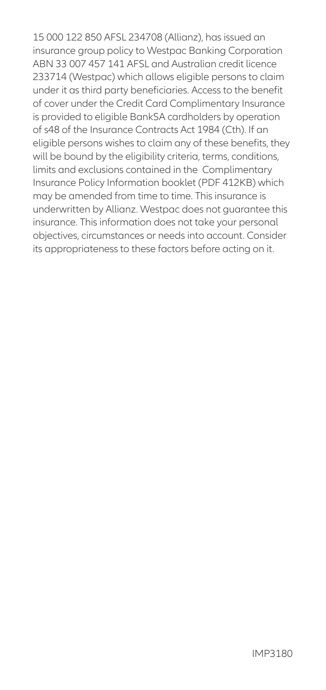15 000 122 850 AFSL 234708 (Allianz), has issued an insurance group policy to Westpac Banking Corporation ABN 33 007 457 141 AFSL and Australian credit licence 233714 (Westpac) which allows eligible persons to claim under it as third party beneficiaries. Access to the benefit of cover under the Credit Card Complimentary Insurance is provided to eligible BankSA cardholders by operation of s48 of the Insurance Contracts Act 1984 (Cth). If an eligible persons wishes to claim any of these benefits, they will be bound by the eligibility criteria, terms, conditions, limits and exclusions contained in the Complimentary Insurance Policy Information booklet (PDF 412KB) which may be amended from time to time. This insurance is underwritten by Allianz. Westpac does not guarantee this insurance. This information does not take your personal objectives, circumstances or needs into account. Consider its appropriateness to these factors before acting on it.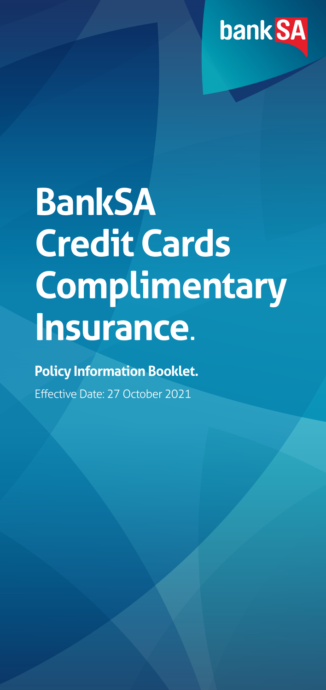

# **BankSA Credit Cards Complimentary Insurance**.

# **Policy Information Booklet.**

Effective Date: 27 October 2021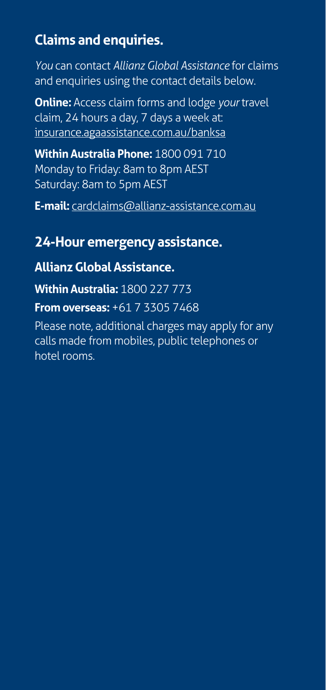# **Claims and enquiries.**

*You* can contact *Allianz Global Assistance* for claims and enquiries using the contact details below.

**Online:** Access claim forms and lodge *your* travel claim, 24 hours a day, 7 days a week at: [insurance.agaassistance.com.au/banksa](http://insurance.agaassistance.com.au/banksa)

**Within Australia Phone:** 1800 091 710 Monday to Friday: 8am to 8pm AEST Saturday: 8am to 5pm AEST

**E-mail:** [cardclaims@allianz-assistance.com.au](mailto:cardclaims%40allianz-assistance.com.au?subject=)

# **24-Hour emergency assistance.**

## **Allianz Global Assistance.**

**Within Australia:** 1800 227 773

**From overseas:** +61 7 3305 7468

Please note, additional charges may apply for any calls made from mobiles, public telephones or hotel rooms.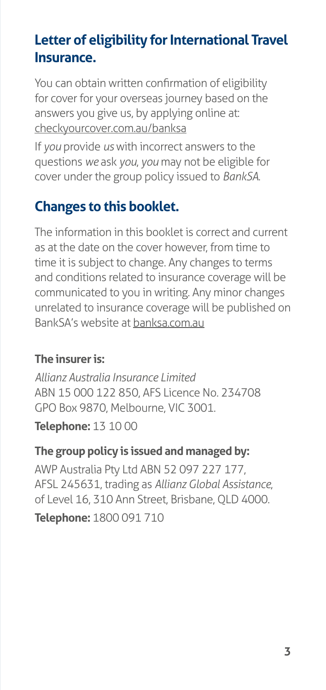# **Letter of eligibility for International Travel Insurance.**

You can obtain written confirmation of eligibility for cover for your overseas journey based on the answers you give us, by applying online at: [checkyourcover.com.au/banksa](http://checkyourcover.com.au/banksa)

If *you* provide *us* with incorrect answers to the questions *we* ask *you*, *you* may not be eligible for cover under the group policy issued to *BankSA*.

# **Changes to this booklet.**

The information in this booklet is correct and current as at the date on the cover however, from time to time it is subject to change. Any changes to terms and conditions related to insurance coverage will be communicated to you in writing. Any minor changes unrelated to insurance coverage will be published on BankSA's website at [banksa.com.au](http://banksa.com.au)

# **The insurer is:**

*Allianz Australia Insurance Limited* ABN 15 000 122 850, AFS Licence No. 234708 GPO Box 9870, Melbourne, VIC 3001.

**Telephone:** 13 10 00

## **The group policy is issued and managed by:**

AWP Australia Pty Ltd ABN 52 097 227 177, AFSL 245631, trading as *Allianz Global Assistance*, of Level 16, 310 Ann Street, Brisbane, QLD 4000.

**Telephone:** 1800 091 710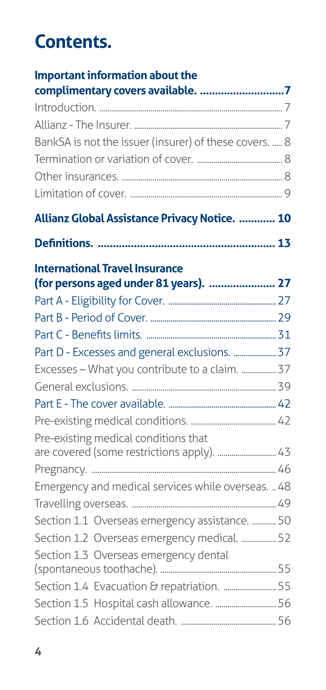# **Contents.**

| BankSA is not the issuer (insurer) of these covers.  8<br>Allianz Global Assistance Privacy Notice.  10<br><b>International Travel Insurance</b><br>(for persons aged under 81 years).  27 |
|--------------------------------------------------------------------------------------------------------------------------------------------------------------------------------------------|
|                                                                                                                                                                                            |
|                                                                                                                                                                                            |
|                                                                                                                                                                                            |
|                                                                                                                                                                                            |
|                                                                                                                                                                                            |
|                                                                                                                                                                                            |
|                                                                                                                                                                                            |
|                                                                                                                                                                                            |
|                                                                                                                                                                                            |
|                                                                                                                                                                                            |
|                                                                                                                                                                                            |
|                                                                                                                                                                                            |
|                                                                                                                                                                                            |
|                                                                                                                                                                                            |
| Part D - Excesses and general exclusions.  37                                                                                                                                              |
| Excesses - What you contribute to a claim.  37                                                                                                                                             |
|                                                                                                                                                                                            |
|                                                                                                                                                                                            |
|                                                                                                                                                                                            |
| Pre-existing medical conditions that<br>are covered (some restrictions apply).  43                                                                                                         |
|                                                                                                                                                                                            |
| Emergency and medical services while overseas.  48                                                                                                                                         |
|                                                                                                                                                                                            |
|                                                                                                                                                                                            |
| Section 1.1 Overseas emergency assistance.  50                                                                                                                                             |
| Section 1.2 Overseas emergency medical.  52                                                                                                                                                |
| Section 1.3 Overseas emergency dental                                                                                                                                                      |
| Section 1.4 Evacuation & repatriation.  55                                                                                                                                                 |
| Section 1.5 Hospital cash allowance.  56                                                                                                                                                   |
|                                                                                                                                                                                            |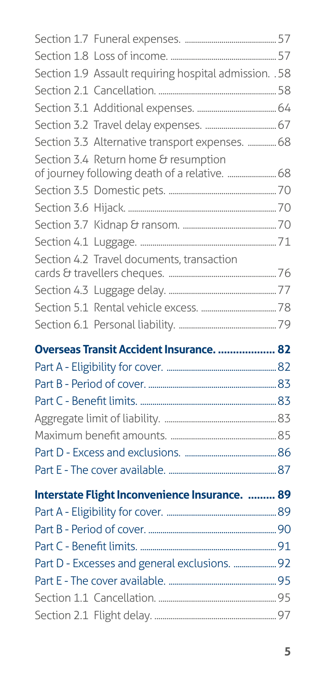| Section 1.9 Assault requiring hospital admission. . 58                                |  |
|---------------------------------------------------------------------------------------|--|
|                                                                                       |  |
|                                                                                       |  |
|                                                                                       |  |
| Section 3.3 Alternative transport expenses.  68                                       |  |
| Section 3.4 Return home & resumption<br>of journey following death of a relative.  68 |  |
|                                                                                       |  |
|                                                                                       |  |
|                                                                                       |  |
|                                                                                       |  |
| Section 4.2 Travel documents, transaction                                             |  |
|                                                                                       |  |
|                                                                                       |  |
|                                                                                       |  |
|                                                                                       |  |
|                                                                                       |  |
| Overseas Transit Accident Insurance.  82                                              |  |
|                                                                                       |  |
|                                                                                       |  |
|                                                                                       |  |
|                                                                                       |  |
|                                                                                       |  |
|                                                                                       |  |
|                                                                                       |  |
|                                                                                       |  |
| Interstate Flight Inconvenience Insurance.  89                                        |  |
|                                                                                       |  |
|                                                                                       |  |
| Part D - Excesses and general exclusions.  92                                         |  |
|                                                                                       |  |
|                                                                                       |  |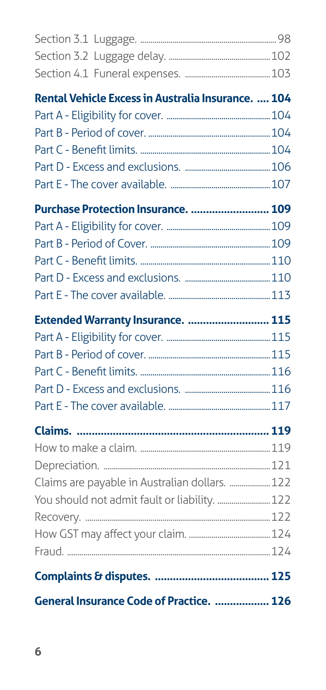| Rental Vehicle Excess in Australia Insurance.  104 |  |
|----------------------------------------------------|--|
|                                                    |  |
|                                                    |  |
|                                                    |  |
|                                                    |  |
|                                                    |  |
| Purchase Protection Insurance.  109                |  |
|                                                    |  |
|                                                    |  |
|                                                    |  |
|                                                    |  |
|                                                    |  |
| Extended Warranty Insurance.  115                  |  |
|                                                    |  |
|                                                    |  |
|                                                    |  |
|                                                    |  |
|                                                    |  |
|                                                    |  |
|                                                    |  |
|                                                    |  |
| Claims are payable in Australian dollars.  122     |  |
| You should not admit fault or liability.  122      |  |
|                                                    |  |
|                                                    |  |
|                                                    |  |
|                                                    |  |
| General Insurance Code of Practice.  126           |  |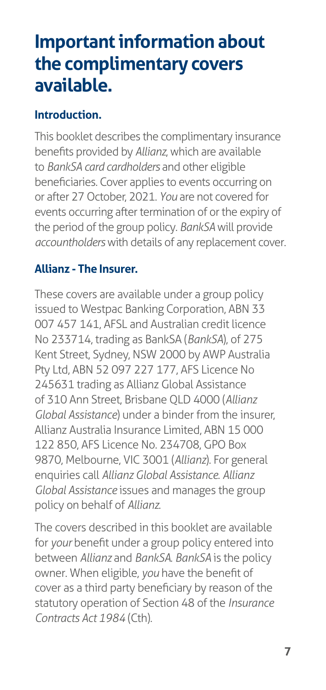# <span id="page-12-0"></span>**Important information about the complimentary covers available.**

# **Introduction.**

This booklet describes the complimentary insurance benefits provided by *Allianz*, which are available to *BankSA card cardholders* and other eligible beneficiaries. Cover applies to events occurring on or after 27 October, 2021. *You* are not covered for events occurring after termination of or the expiry of the period of the group policy. *BankSA* will provide *accountholders* with details of any replacement cover.

### **Allianz - The Insurer.**

These covers are available under a group policy issued to Westpac Banking Corporation, ABN 33 007 457 141, AFSL and Australian credit licence No 233714, trading as BankSA (*BankSA*), of 275 Kent Street, Sydney, NSW 2000 by AWP Australia Pty Ltd, ABN 52 097 227 177, AFS Licence No 245631 trading as Allianz Global Assistance of 310 Ann Street, Brisbane QLD 4000 (*Allianz Global Assistance*) under a binder from the insurer, Allianz Australia Insurance Limited, ABN 15 000 122 850, AFS Licence No. 234708, GPO Box 9870, Melbourne, VIC 3001 (*Allianz*). For general enquiries call *Allianz Global Assistance*. *Allianz Global Assistance* issues and manages the group policy on behalf of *Allianz*.

The covers described in this booklet are available for *your* benefit under a group policy entered into between *Allianz* and *BankSA*. *BankSA* is the policy owner. When eligible, *you* have the benefit of cover as a third party beneficiary by reason of the statutory operation of Section 48 of the *Insurance Contracts Act 1984* (Cth).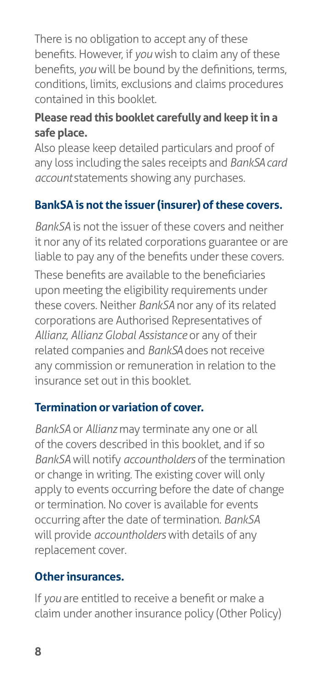<span id="page-13-0"></span>There is no obligation to accept any of these benefits. However, if *you* wish to claim any of these benefits, *you* will be bound by the definitions, terms, conditions, limits, exclusions and claims procedures contained in this booklet.

#### **Please read this booklet carefully and keep it in a safe place.**

Also please keep detailed particulars and proof of any loss including the sales receipts and *BankSA card account* statements showing any purchases.

# **BankSA is not the issuer (insurer) of these covers.**

*BankSA* is not the issuer of these covers and neither it nor any of its related corporations guarantee or are liable to pay any of the benefits under these covers.

These benefits are available to the beneficiaries upon meeting the eligibility requirements under these covers. Neither *BankSA* nor any of its related corporations are Authorised Representatives of *Allianz*, *Allianz Global Assistance* or any of their related companies and *BankSA* does not receive any commission or remuneration in relation to the insurance set out in this booklet.

## **Termination or variation of cover.**

*BankSA* or *Allianz* may terminate any one or all of the covers described in this booklet, and if so *BankSA* will notify *accountholders* of the termination or change in writing. The existing cover will only apply to events occurring before the date of change or termination. No cover is available for events occurring after the date of termination. *BankSA*  will provide *accountholders* with details of any replacement cover.

## **Other insurances.**

If *you* are entitled to receive a benefit or make a claim under another insurance policy (Other Policy)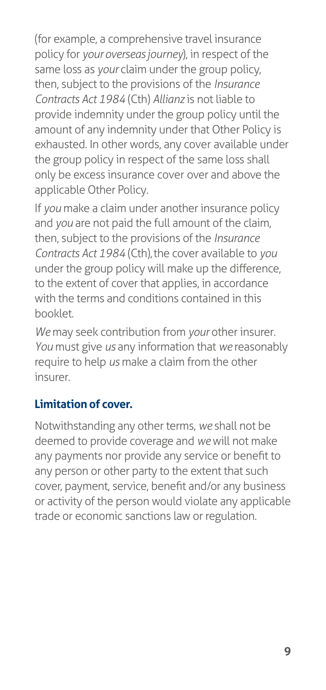<span id="page-14-0"></span>(for example, a comprehensive travel insurance policy for *your overseas journey*), in respect of the same loss as *your* claim under the group policy, then, subject to the provisions of the *Insurance Contracts Act 1984* (Cth) *Allianz* is not liable to provide indemnity under the group policy until the amount of any indemnity under that Other Policy is exhausted. In other words, any cover available under the group policy in respect of the same loss shall only be excess insurance cover over and above the applicable Other Policy.

If *you* make a claim under another insurance policy and *you* are not paid the full amount of the claim, then, subject to the provisions of the *Insurance Contracts Act 1984* (Cth), the cover available to *you*  under the group policy will make up the difference, to the extent of cover that applies, in accordance with the terms and conditions contained in this booklet.

*We* may seek contribution from *your* other insurer. *You* must give *us* any information that *we* reasonably require to help *us* make a claim from the other insurer.

# **Limitation of cover.**

Notwithstanding any other terms, *we* shall not be deemed to provide coverage and *we* will not make any payments nor provide any service or benefit to any person or other party to the extent that such cover, payment, service, benefit and/or any business or activity of the person would violate any applicable trade or economic sanctions law or regulation.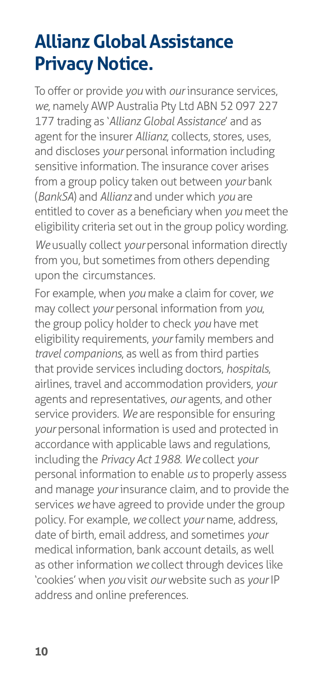# <span id="page-15-0"></span>**Allianz Global Assistance Privacy Notice.**

To offer or provide *you* with *our* insurance services, *we*, namely AWP Australia Pty Ltd ABN 52 097 227 177 trading as '*Allianz Global Assistance*' and as agent for the insurer *Allianz*, collects, stores, uses, and discloses *your* personal information including sensitive information. The insurance cover arises from a group policy taken out between *your* bank (*BankSA*) and *Allianz* and under which *you* are entitled to cover as a beneficiary when *you* meet the eligibility criteria set out in the group policy wording. We usually collect your personal information directly from you, but sometimes from others depending upon the circumstances.

For example, when *you* make a claim for cover, *we*  may collect *your* personal information from *you*, the group policy holder to check *you* have met eligibility requirements, *your* family members and *travel companions*, as well as from third parties that provide services including doctors, *hospitals*, airlines, travel and accommodation providers, *your*  agents and representatives, *our* agents, and other service providers. *We* are responsible for ensuring *your* personal information is used and protected in accordance with applicable laws and regulations, including the *Privacy Act 1988*. *We* collect *your*  personal information to enable *us* to properly assess and manage *your* insurance claim, and to provide the services *we* have agreed to provide under the group policy. For example, *we* collect *your* name, address, date of birth, email address, and sometimes *your*  medical information, bank account details, as well as other information *we* collect through devices like 'cookies' when *you* visit *our* website such as *your* IP address and online preferences.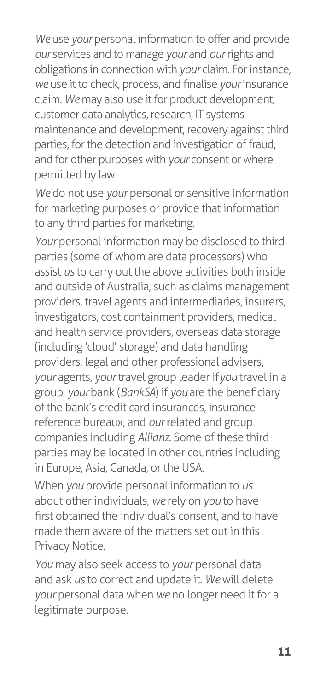*We* use *your* personal information to offer and provide *our* services and to manage *your* and *our* rights and obligations in connection with *your* claim. For instance, *we* use it to check, process, and finalise *your* insurance claim. *We* may also use it for product development, customer data analytics, research, IT systems maintenance and development, recovery against third parties, for the detection and investigation of fraud, and for other purposes with *your* consent or where permitted by law.

We do not use *your* personal or sensitive information for marketing purposes or provide that information to any third parties for marketing.

Your personal information may be disclosed to third parties (some of whom are data processors) who assist *us* to carry out the above activities both inside and outside of Australia, such as claims management providers, travel agents and intermediaries, insurers, investigators, cost containment providers, medical and health service providers, overseas data storage (including 'cloud' storage) and data handling providers, legal and other professional advisers, *your* agents, *your* travel group leader if *you* travel in a group, *your* bank (*BankSA*) if *you* are the beneficiary of the bank's credit card insurances, insurance reference bureaux, and *our* related and group companies including *Allianz*. Some of these third parties may be located in other countries including in Europe, Asia, Canada, or the USA.

When *you* provide personal information to *us*  about other individuals, *we* rely on *you* to have first obtained the individual's consent, and to have made them aware of the matters set out in this Privacy Notice.

*You* may also seek access to *your* personal data and ask *us* to correct and update it. *We* will delete *your* personal data when *we* no longer need it for a legitimate purpose.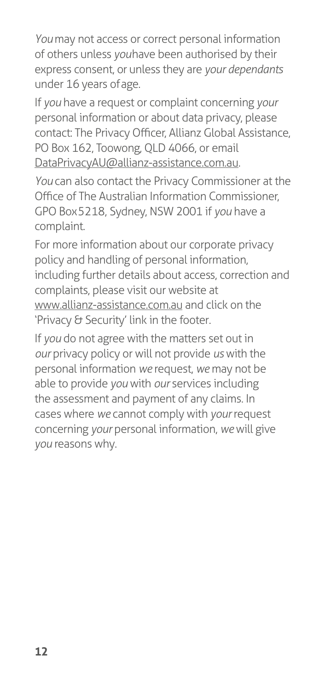*You* may not access or correct personal information of others unless *you* have been authorised by their express consent, or unless they are *your dependants*  under 16 years of age.

If *you* have a request or complaint concerning *your*  personal information or about data privacy, please contact: The Privacy Officer, Allianz Global Assistance, PO Box 162, Toowong, QLD 4066, or email [DataPrivacyAU@allianz-assistance.com.au](mailto:DataPrivacyAU%40allianz-assistance.com.au?subject=).

*You* can also contact the Privacy Commissioner at the Office of The Australian Information Commissioner, GPO Box 5218, Sydney, NSW 2001 if *you* have a complaint.

For more information about our corporate privacy policy and handling of personal information, including further details about access, correction and complaints, please visit our website at [www.allianz-assistance.com.au a](http://www.allianz-assistance.com.au/)nd click on the 'Privacy & Security' link in the footer.

If *you* do not agree with the matters set out in *our* privacy policy or will not provide *us* with the personal information *we* request, *we* may not be able to provide *you* with *our* services including the assessment and payment of any claims. In cases where *we* cannot comply with *your* request concerning *your* personal information, *we* will give *you* reasons why.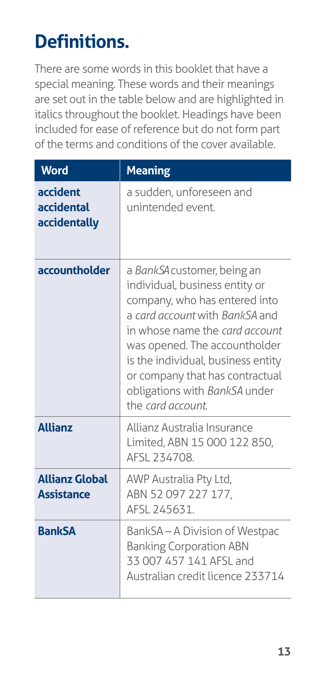# <span id="page-18-0"></span>**Definitions.**

There are some words in this booklet that have a special meaning. These words and their meanings are set out in the table below and are highlighted in italics throughout the booklet. Headings have been included for ease of reference but do not form part of the terms and conditions of the cover available.

| <b>Word</b>                                | <b>Meaning</b>                                                                                                                                                                                                                                                                                                                     |
|--------------------------------------------|------------------------------------------------------------------------------------------------------------------------------------------------------------------------------------------------------------------------------------------------------------------------------------------------------------------------------------|
| accident<br>accidental<br>accidentally     | a sudden, unforeseen and<br>unintended event.                                                                                                                                                                                                                                                                                      |
| accountholder                              | a BankSA customer, being an<br>individual, business entity or<br>company, who has entered into<br>a card account with BankSA and<br>in whose name the card account<br>was opened. The accountholder<br>is the individual, business entity<br>or company that has contractual<br>obligations with BankSA under<br>the card account. |
| <b>Allianz</b>                             | Allianz Australia Insurance<br>Limited, ABN 15 000 122 850,<br>AFSL 234708.                                                                                                                                                                                                                                                        |
| <b>Allianz Global</b><br><b>Assistance</b> | AWP Australia Pty Ltd,<br>ABN 52097227177,<br>AFSL 245631.                                                                                                                                                                                                                                                                         |
| <b>BankSA</b>                              | BankSA-A Division of Westpac<br><b>Banking Corporation ABN</b><br>33 007 457 141 AFSL and<br>Australian credit licence 233714                                                                                                                                                                                                      |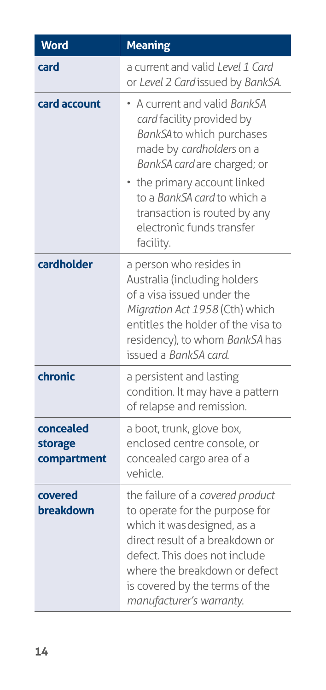| Word                                | <b>Meaning</b>                                                                                                                                                                                                                                                                           |
|-------------------------------------|------------------------------------------------------------------------------------------------------------------------------------------------------------------------------------------------------------------------------------------------------------------------------------------|
| card                                | a current and valid Level 1 Card<br>or Level 2 Card issued by BankSA.                                                                                                                                                                                                                    |
| card account                        | • A current and valid BankSA<br>card facility provided by<br>BankSA to which purchases<br>made by cardholders on a<br>BankSA card are charged; or<br>the primary account linked<br>to a BankSA card to which a<br>transaction is routed by any<br>electronic funds transfer<br>facility. |
| cardholder                          | a person who resides in<br>Australia (including holders<br>of a visa issued under the<br>Migration Act 1958 (Cth) which<br>entitles the holder of the visa to<br>residency), to whom BankSA has<br>issued a BankSA card.                                                                 |
| chronic                             | a persistent and lasting<br>condition. It may have a pattern<br>of relapse and remission.                                                                                                                                                                                                |
| concealed<br>storage<br>compartment | a boot, trunk, glove box,<br>enclosed centre console, or<br>concealed cargo area of a<br>vehicle.                                                                                                                                                                                        |
| covered<br>breakdown                | the failure of a covered product<br>to operate for the purpose for<br>which it was designed, as a<br>direct result of a breakdown or<br>defect. This does not include<br>where the breakdown or defect<br>is covered by the terms of the<br>manufacturer's warranty.                     |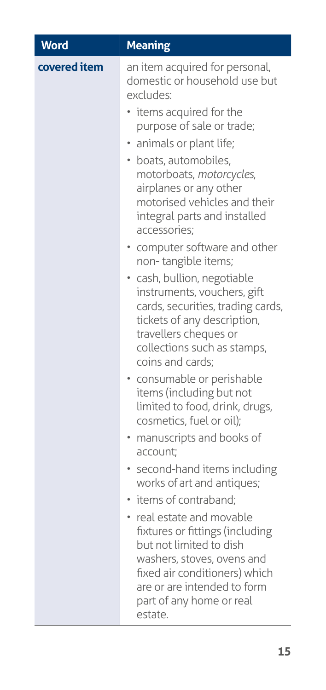| <b>Word</b>  | <b>Meaning</b>                                                                                                                                                                                                                                                                                                                                                                                                        |
|--------------|-----------------------------------------------------------------------------------------------------------------------------------------------------------------------------------------------------------------------------------------------------------------------------------------------------------------------------------------------------------------------------------------------------------------------|
| covered item | an item acquired for personal,<br>domestic or household use but<br>excludes:<br>• items acquired for the<br>purpose of sale or trade;<br>animals or plant life;<br>· boats, automobiles,<br>motorboats, motorcycles,<br>airplanes or any other<br>motorised vehicles and their<br>integral parts and installed<br>accessories;<br>• computer software and other<br>non-tangible items;<br>· cash, bullion, negotiable |
|              | instruments, vouchers, gift<br>cards, securities, trading cards,<br>tickets of any description,<br>travellers cheques or<br>collections such as stamps,<br>coins and cards;<br>· consumable or perishable<br>items (including but not                                                                                                                                                                                 |
|              | limited to food, drink, drugs,<br>cosmetics, fuel or oil);<br>• manuscripts and books of                                                                                                                                                                                                                                                                                                                              |
|              | account;                                                                                                                                                                                                                                                                                                                                                                                                              |
|              | second-hand items including<br>works of art and antiques;                                                                                                                                                                                                                                                                                                                                                             |
|              | · items of contraband;                                                                                                                                                                                                                                                                                                                                                                                                |
|              | • real estate and movable<br>fixtures or fittings (including<br>but not limited to dish<br>washers, stoves, ovens and<br>fixed air conditioners) which<br>are or are intended to form<br>part of any home or real<br>estate.                                                                                                                                                                                          |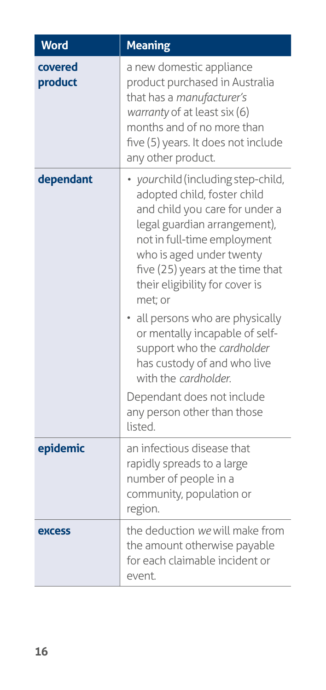| <b>Word</b>                 | <b>Meaning</b>                                                                                                                                                                                                                                                                                                                                                                                                                                                                                                     |
|-----------------------------|--------------------------------------------------------------------------------------------------------------------------------------------------------------------------------------------------------------------------------------------------------------------------------------------------------------------------------------------------------------------------------------------------------------------------------------------------------------------------------------------------------------------|
| covered<br>product          | a new domestic appliance<br>product purchased in Australia<br>that has a manufacturer's<br>warranty of at least six (6)<br>months and of no more than<br>five (5) years. It does not include<br>any other product.                                                                                                                                                                                                                                                                                                 |
| dependant                   | · yourchild (including step-child,<br>adopted child, foster child<br>and child you care for under a<br>legal guardian arrangement),<br>not in full-time employment<br>who is aged under twenty<br>five (25) years at the time that<br>their eligibility for cover is<br>met; or<br>• all persons who are physically<br>or mentally incapable of self-<br>support who the cardholder<br>has custody of and who live<br>with the cardholder.<br>Dependant does not include<br>any person other than those<br>listed. |
| epidemic                    | an infectious disease that<br>rapidly spreads to a large<br>number of people in a<br>community, population or<br>region.                                                                                                                                                                                                                                                                                                                                                                                           |
| <b><i><u>EXCESS</u></i></b> | the deduction we will make from<br>the amount otherwise payable<br>for each claimable incident or<br>event.                                                                                                                                                                                                                                                                                                                                                                                                        |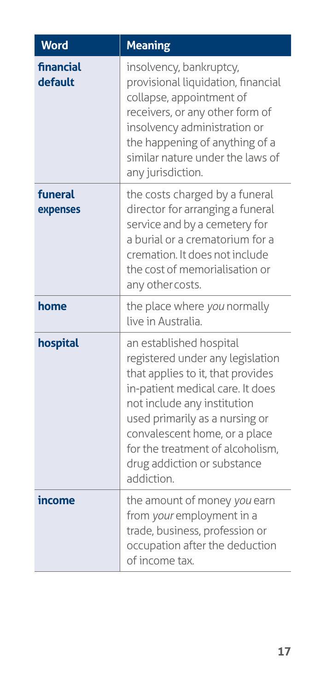| <b>Word</b>          | <b>Meaning</b>                                                                                                                                                                                                                                                                                                          |
|----------------------|-------------------------------------------------------------------------------------------------------------------------------------------------------------------------------------------------------------------------------------------------------------------------------------------------------------------------|
| financial<br>default | insolvency, bankruptcy,<br>provisional liquidation, financial<br>collapse, appointment of<br>receivers, or any other form of<br>insolvency administration or<br>the happening of anything of a<br>similar nature under the laws of<br>any jurisdiction.                                                                 |
| funeral<br>expenses  | the costs charged by a funeral<br>director for arranging a funeral<br>service and by a cemetery for<br>a burial or a crematorium for a<br>cremation. It does not include<br>the cost of memorialisation or<br>any other costs.                                                                                          |
| home                 | the place where you normally<br>live in Australia.                                                                                                                                                                                                                                                                      |
| hospital             | an established hospital<br>registered under any legislation<br>that applies to it, that provides<br>in-patient medical care. It does<br>not include any institution<br>used primarily as a nursing or<br>convalescent home, or a place<br>for the treatment of alcoholism,<br>drug addiction or substance<br>addiction. |
| income               | the amount of money you earn<br>from your employment in a<br>trade, business, profession or<br>occupation after the deduction<br>of income tax.                                                                                                                                                                         |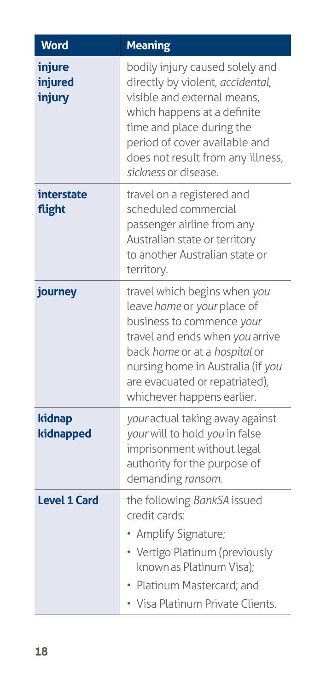| Word                        | <b>Meaning</b>                                                                                                                                                                                                                                                    |
|-----------------------------|-------------------------------------------------------------------------------------------------------------------------------------------------------------------------------------------------------------------------------------------------------------------|
| injure<br>injured<br>injury | bodily injury caused solely and<br>directly by violent, accidental,<br>visible and external means,<br>which happens at a definite<br>time and place during the<br>period of cover available and<br>does not result from any illness,<br>sickness or disease.      |
| interstate<br>flight        | travel on a registered and<br>scheduled commercial<br>passenger airline from any<br>Australian state or territory<br>to another Australian state or<br>territory.                                                                                                 |
| journey                     | travel which begins when you<br>leave home or your place of<br>business to commence your<br>travel and ends when you arrive<br>back home or at a hospital or<br>nursing home in Australia (if you<br>are evacuated or repatriated),<br>whichever happens earlier. |
| kidnap<br>kidnapped         | your actual taking away against<br>your will to hold you in false<br>imprisonment without legal<br>authority for the purpose of<br>demanding ransom.                                                                                                              |
| <b>Level 1 Card</b>         | the following BankSA issued<br>credit cards:<br>Amplify Signature;<br>• Vertigo Platinum (previously<br>known as Platinum Visa);<br>Platinum Mastercard: and<br>• Visa Platinum Private Clients.                                                                  |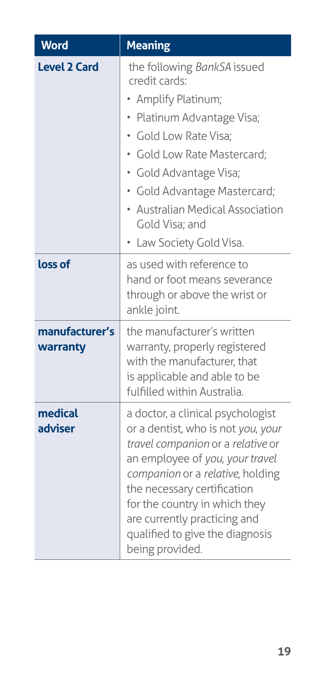| <b>Word</b>                | <b>Meaning</b>                                                                                                                                                                                                                                                                                                                            |
|----------------------------|-------------------------------------------------------------------------------------------------------------------------------------------------------------------------------------------------------------------------------------------------------------------------------------------------------------------------------------------|
| <b>Level 2 Card</b>        | the following BankSA issued<br>credit cards:<br>Amplify Platinum;<br>Platinum Advantage Visa;<br>· Gold Low Rate Visa;<br>Gold Low Rate Mastercard;<br>· Gold Advantage Visa;<br>· Gold Advantage Mastercard;<br>• Australian Medical Association<br>Gold Visa; and<br>Law Society Gold Visa.                                             |
| loss of                    | as used with reference to<br>hand or foot means severance<br>through or above the wrist or<br>ankle joint.                                                                                                                                                                                                                                |
| manufacturer's<br>warranty | the manufacturer's written<br>warranty, properly registered<br>with the manufacturer, that<br>is applicable and able to be<br>fulfilled within Australia.                                                                                                                                                                                 |
| medical<br>adviser         | a doctor, a clinical psychologist<br>or a dentist, who is not you, your<br>travel companion or a relative or<br>an employee of you, your travel<br>companion or a relative, holding<br>the necessary certification<br>for the country in which they<br>are currently practicing and<br>qualified to give the diagnosis<br>being provided. |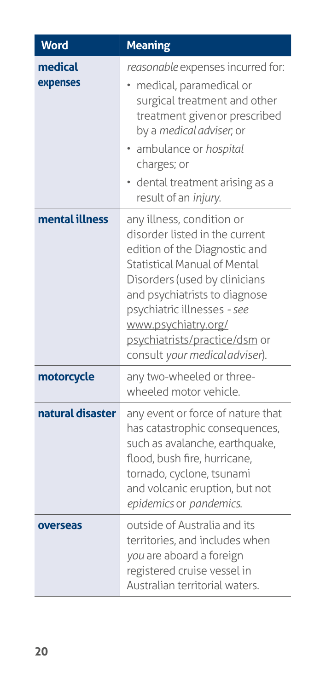| <b>Word</b>         | <b>Meaning</b>                                                                                                                                                                                                                                                                                                         |
|---------------------|------------------------------------------------------------------------------------------------------------------------------------------------------------------------------------------------------------------------------------------------------------------------------------------------------------------------|
| medical<br>expenses | reasonable expenses incurred for:<br>medical, paramedical or<br>surgical treatment and other<br>treatment given or prescribed<br>by a medical adviser, or<br>· ambulance or hospital<br>charges; or<br>• dental treatment arising as a<br>result of an injury.                                                         |
| mental illness      | any illness, condition or<br>disorder listed in the current<br>edition of the Diagnostic and<br>Statistical Manual of Mental<br>Disorders (used by clinicians<br>and psychiatrists to diagnose<br>psychiatric illnesses - see<br>www.psychiatry.org/<br>psychiatrists/practice/dsm or<br>consult your medicaladviser). |
| motorcycle          | any two-wheeled or three-<br>wheeled motor vehicle.                                                                                                                                                                                                                                                                    |
| natural disaster    | any event or force of nature that<br>has catastrophic consequences,<br>such as avalanche, earthquake,<br>flood, bush fire, hurricane,<br>tornado, cyclone, tsunami<br>and volcanic eruption, but not<br>epidemics or pandemics.                                                                                        |
| overseas            | outside of Australia and its<br>territories, and includes when<br>you are aboard a foreign<br>registered cruise vessel in<br>Australian territorial waters.                                                                                                                                                            |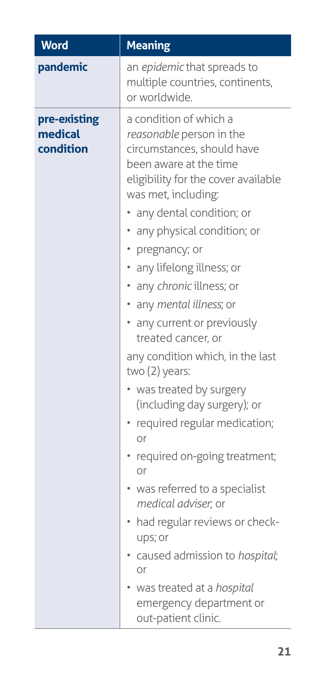| <b>Word</b>                          | <b>Meaning</b>                                                                                                                                                                                                                                                                                                                                                                                                                                                                                                                                                                                                                                                                                                                             |
|--------------------------------------|--------------------------------------------------------------------------------------------------------------------------------------------------------------------------------------------------------------------------------------------------------------------------------------------------------------------------------------------------------------------------------------------------------------------------------------------------------------------------------------------------------------------------------------------------------------------------------------------------------------------------------------------------------------------------------------------------------------------------------------------|
| pandemic                             | an epidemic that spreads to<br>multiple countries, continents,<br>or worldwide.                                                                                                                                                                                                                                                                                                                                                                                                                                                                                                                                                                                                                                                            |
| pre-existing<br>medical<br>condition | a condition of which a<br>reasonable person in the<br>circumstances, should have<br>been aware at the time<br>eligibility for the cover available<br>was met, including:<br>any dental condition; or<br>any physical condition; or<br>• pregnancy; or<br>• any lifelong illness; or<br>· any chronic illness; or<br>• any mental illness; or<br>• any current or previously<br>treated cancer, or<br>any condition which, in the last<br>two (2) years:<br>• was treated by surgery<br>(including day surgery); or<br>• required regular medication;<br>or<br>required on-going treatment;<br>or<br>• was referred to a specialist<br>medical adviser, or<br>• had regular reviews or check-<br>ups; or<br>· caused admission to hospital; |
|                                      | or<br>• was treated at a hospital<br>emergency department or<br>out-patient clinic.                                                                                                                                                                                                                                                                                                                                                                                                                                                                                                                                                                                                                                                        |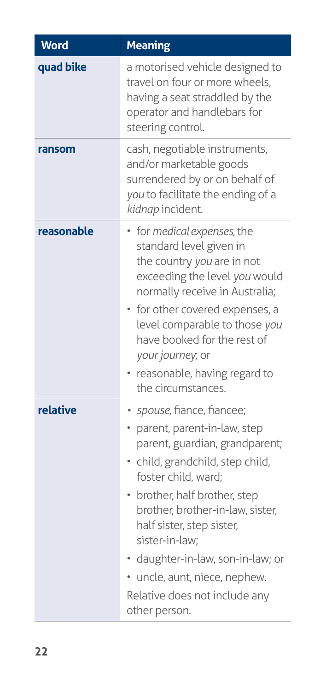| <b>Word</b> | <b>Meaning</b>                                                                                                                                                                                                                                                                                                                                                                                 |
|-------------|------------------------------------------------------------------------------------------------------------------------------------------------------------------------------------------------------------------------------------------------------------------------------------------------------------------------------------------------------------------------------------------------|
| quad bike   | a motorised vehicle designed to<br>travel on four or more wheels,<br>having a seat straddled by the<br>operator and handlebars for<br>steering control.                                                                                                                                                                                                                                        |
| ransom      | cash, negotiable instruments,<br>and/or marketable goods<br>surrendered by or on behalf of<br>you to facilitate the ending of a<br>kidnap incident.                                                                                                                                                                                                                                            |
| reasonable  | for medical expenses, the<br>standard level given in<br>the country you are in not<br>exceeding the level you would<br>normally receive in Australia;<br>for other covered expenses, a<br>level comparable to those you<br>have booked for the rest of<br>your journey, or<br>reasonable, having regard to<br>the circumstances.                                                               |
| relative    | · spouse, fiance, fiancee;<br>parent, parent-in-law, step<br>parent, guardian, grandparent;<br>· child, grandchild, step child,<br>foster child, ward;<br>• brother, half brother, step<br>brother, brother-in-law, sister,<br>half sister, step sister,<br>sister-in-law;<br>daughter-in-law, son-in-law; or<br>uncle, aunt, niece, nephew.<br>Relative does not include any<br>other person. |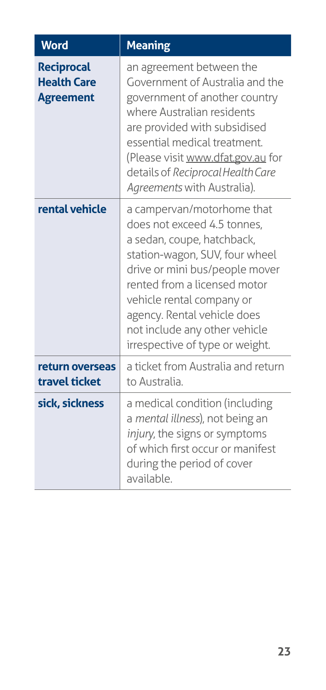| <b>Word</b>                                                 | <b>Meaning</b>                                                                                                                                                                                                                                                                                                              |
|-------------------------------------------------------------|-----------------------------------------------------------------------------------------------------------------------------------------------------------------------------------------------------------------------------------------------------------------------------------------------------------------------------|
| <b>Reciprocal</b><br><b>Health Care</b><br><b>Agreement</b> | an agreement between the<br>Government of Australia and the<br>government of another country<br>where Australian residents<br>are provided with subsidised<br>essential medical treatment.<br>(Please visit www.dfat.gov.au for<br>details of Reciprocal Health Care<br>Agreements with Australia).                         |
| rental vehicle                                              | a campervan/motorhome that<br>does not exceed 4.5 tonnes,<br>a sedan, coupe, hatchback,<br>station-wagon, SUV, four wheel<br>drive or mini bus/people mover<br>rented from a licensed motor<br>vehicle rental company or<br>agency. Rental vehicle does<br>not include any other vehicle<br>irrespective of type or weight. |
| return overseas<br>travel ticket                            | a ticket from Australia and return<br>to Australia.                                                                                                                                                                                                                                                                         |
| sick, sickness                                              | a medical condition (including<br>a mental illness), not being an<br>injury, the signs or symptoms<br>of which first occur or manifest<br>during the period of cover<br>available.                                                                                                                                          |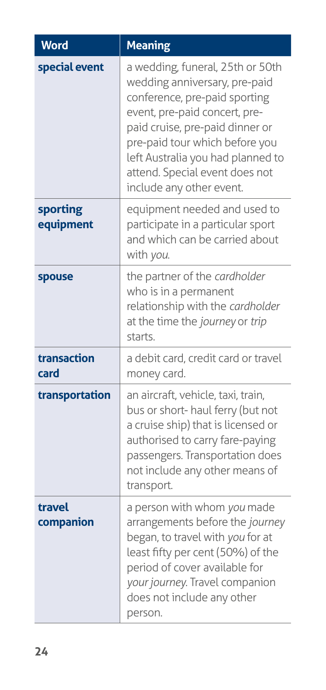| <b>Word</b>           | <b>Meaning</b>                                                                                                                                                                                                                                                                                              |
|-----------------------|-------------------------------------------------------------------------------------------------------------------------------------------------------------------------------------------------------------------------------------------------------------------------------------------------------------|
| special event         | a wedding, funeral, 25th or 50th<br>wedding anniversary, pre-paid<br>conference, pre-paid sporting<br>event, pre-paid concert, pre-<br>paid cruise, pre-paid dinner or<br>pre-paid tour which before you<br>left Australia you had planned to<br>attend. Special event does not<br>include any other event. |
| sporting<br>equipment | equipment needed and used to<br>participate in a particular sport<br>and which can be carried about<br>with you.                                                                                                                                                                                            |
| spouse                | the partner of the cardholder<br>who is in a permanent<br>relationship with the cardholder<br>at the time the journey or trip<br>starts.                                                                                                                                                                    |
| transaction<br>card   | a debit card, credit card or travel<br>money card.                                                                                                                                                                                                                                                          |
| transportation        | an aircraft, vehicle, taxi, train,<br>bus or short- haul ferry (but not<br>a cruise ship) that is licensed or<br>authorised to carry fare-paying<br>passengers. Transportation does<br>not include any other means of<br>transport.                                                                         |
| travel<br>companion   | a person with whom you made<br>arrangements before the journey<br>began, to travel with you for at<br>least fifty per cent (50%) of the<br>period of cover available for<br>your journey. Travel companion<br>does not include any other<br>person.                                                         |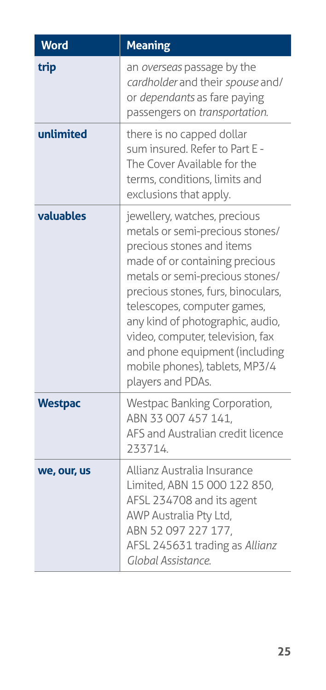| <b>Word</b>    | <b>Meaning</b>                                                                                                                                                                                                                                                                                                                                                                                          |
|----------------|---------------------------------------------------------------------------------------------------------------------------------------------------------------------------------------------------------------------------------------------------------------------------------------------------------------------------------------------------------------------------------------------------------|
| trip           | an overseas passage by the<br>cardholder and their spouse and/<br>or <i>dependants</i> as fare paying<br>passengers on transportation.                                                                                                                                                                                                                                                                  |
| unlimited      | there is no capped dollar<br>sum insured. Refer to Part E -<br>The Cover Available for the<br>terms, conditions, limits and<br>exclusions that apply.                                                                                                                                                                                                                                                   |
| valuables      | jewellery, watches, precious<br>metals or semi-precious stones/<br>precious stones and items<br>made of or containing precious<br>metals or semi-precious stones/<br>precious stones, furs, binoculars,<br>telescopes, computer games,<br>any kind of photographic, audio,<br>video, computer, television, fax<br>and phone equipment (including<br>mobile phones), tablets, MP3/4<br>players and PDAs. |
| <b>Westpac</b> | Westpac Banking Corporation,<br>ABN 33 007 457 141,<br>AFS and Australian credit licence<br>233714.                                                                                                                                                                                                                                                                                                     |
| we, our, us    | Allianz Australia Insurance<br>Limited, ABN 15 000 122 850,<br>AFSL 234708 and its agent<br>AWP Australia Pty Ltd,<br>ABN 52097227177,<br>AFSL 245631 trading as Allianz<br>Global Assistance.                                                                                                                                                                                                          |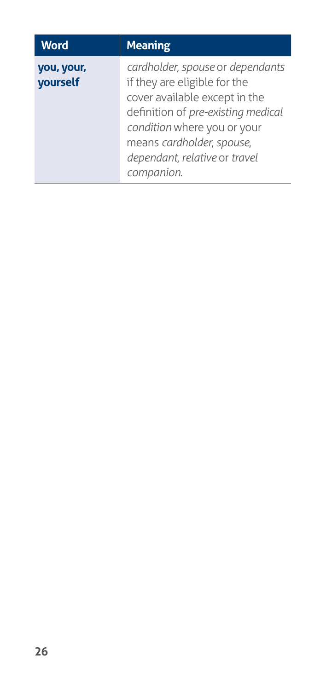| <b>Word</b>            | <b>Meaning</b>                                                                                                                                                                                                                                     |
|------------------------|----------------------------------------------------------------------------------------------------------------------------------------------------------------------------------------------------------------------------------------------------|
| you, your,<br>yourself | cardholder, spouse or dependants<br>if they are eligible for the<br>cover available except in the<br>definition of pre-existing medical<br>condition where you or your<br>means cardholder, spouse,<br>dependant, relative or travel<br>companion. |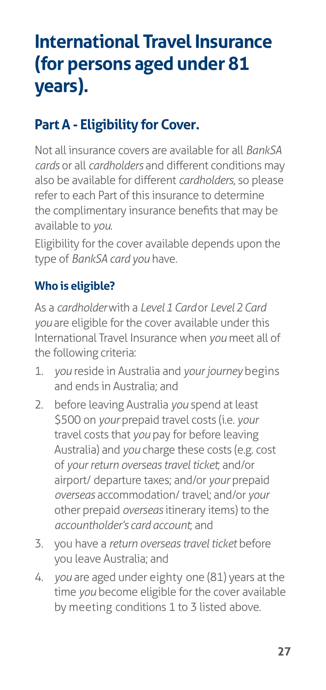# <span id="page-32-0"></span>**International Travel Insurance (for persons aged under 81 years).**

# **Part A - Eligibility for Cover.**

Not all insurance covers are available for all *BankSA cards* or all *cardholders* and different conditions may also be available for different *cardholders*, so please refer to each Part of this insurance to determine the complimentary insurance benefits that may be available to *you*.

Eligibility for the cover available depends upon the type of *BankSA card you* have.

# **Who is eligible?**

As a *cardholder* with a *Level 1 Card* or *Level 2 Card you* are eligible for the cover available under this International Travel Insurance when *you* meet all of the following criteria:

- 1. *you* reside in Australia and *your journey* begins and ends in Australia; and
- 2. before leaving Australia *you* spend at least \$500 on *your* prepaid travel costs (i.e. *your*  travel costs that *you* pay for before leaving Australia) and *you* charge these costs (e.g. cost of *your return overseas travel ticket*; and/or airport/ departure taxes; and/or *your* prepaid *overseas* accommodation/ travel; and/or *your*  other prepaid *overseas* itinerary items) to the *accountholder's card account*; and
- 3. you have a *return overseas travel ticket* before you leave Australia; and
- 4. *you* are aged under eighty one (81) years at the time *you* become eligible for the cover available by meeting conditions 1 to 3 listed above.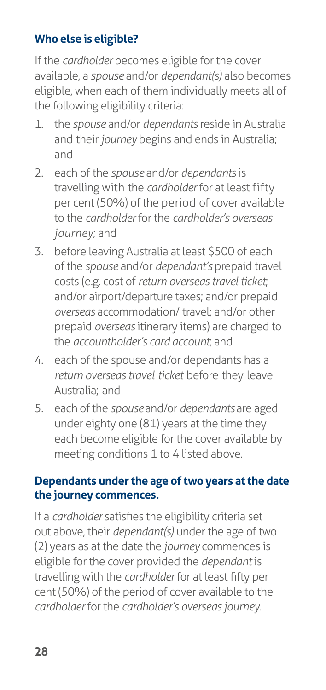# **Who else is eligible?**

If the *cardholder* becomes eligible for the cover available, a *spouse* and/or *dependant(s)* also becomes eligible, when each of them individually meets all of the following eligibility criteria:

- 1. the *spouse* and/or *dependants* reside in Australia and their *journey* begins and ends in Australia; and
- 2. each of the *spouse* and/or *dependants* is travelling with the *cardholder* for at least fifty per cent (50%) of the period of cover available to the *cardholder* for the *cardholder's overseas journey*; and
- 3. before leaving Australia at least \$500 of each of the *spouse* and/or *dependant's* prepaid travel costs (e.g. cost of *return overseas travel ticket*; and/or airport/departure taxes; and/or prepaid *overseas* accommodation/ travel; and/or other prepaid *overseas* itinerary items) are charged to the *accountholder's card account*; and
- 4. each of the spouse and/or dependants has a *return overseas travel ticket* before they leave Australia; and
- 5. each of the *spouse* and/or *dependants* are aged under eighty one (81) years at the time they each become eligible for the cover available by meeting conditions 1 to 4 listed above.

#### **Dependants under the age of two years at the date the journey commences.**

If a *cardholder* satisfies the eligibility criteria set out above, their *dependant(s)* under the age of two (2) years as at the date the *journey* commences is eligible for the cover provided the *dependant* is travelling with the *cardholder* for at least fifty per cent (50%) of the period of cover available to the *cardholder* for the *cardholder's overseas journey*.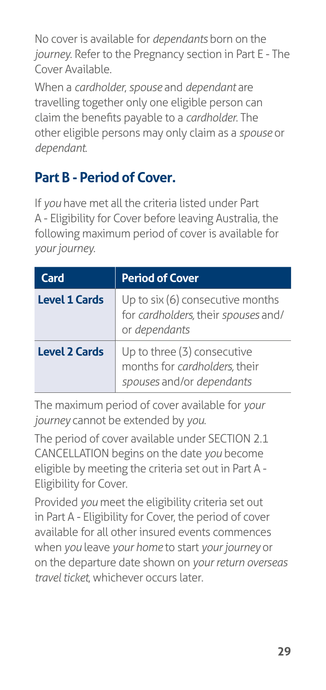<span id="page-34-0"></span>No cover is available for *dependants* born on the *journey*. Refer to the Pregnancy section in Part E - The Cover Available.

When a *cardholder*, *spouse* and *dependant* are travelling together only one eligible person can claim the benefits payable to a *cardholder*. The other eligible persons may only claim as a *spouse* or *dependant*.

# **Part B - Period of Cover.**

If *you* have met all the criteria listed under Part A - Eligibility for Cover before leaving Australia, the following maximum period of cover is available for *your journey*.

| <b>Card</b>          | <b>Period of Cover</b>                                                                    |
|----------------------|-------------------------------------------------------------------------------------------|
| <b>Level 1 Cards</b> | Up to six (6) consecutive months<br>for cardholders, their spouses and/<br>or dependants  |
| <b>Level 2 Cards</b> | Up to three (3) consecutive<br>months for cardholders, their<br>spouses and/or dependants |

The maximum period of cover available for *your journey* cannot be extended by *you*.

The period of cover available under SECTION 2.1 CANCELLATION begins on the date *you* become eligible by meeting the criteria set out in Part A - Eligibility for Cover*.*

Provided *you* meet the eligibility criteria set out in Part A - Eligibility for Cover, the period of cover available for all other insured events commences when *you* leave *your home* to start *your journey* or on the departure date shown on *your return overseas travel ticket*, whichever occurs later.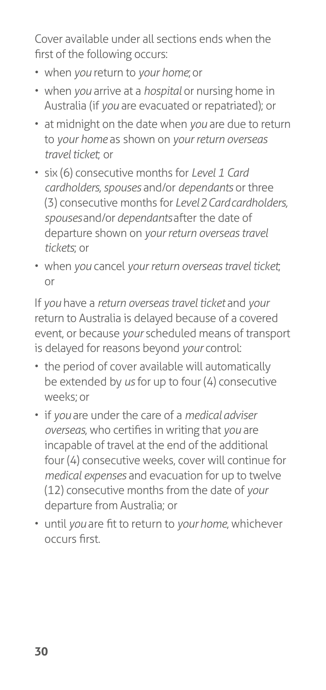Cover available under all sections ends when the first of the following occurs:

- when *you* return to *your home*; or
- when *you* arrive at a *hospital* or nursing home in Australia (if *you* are evacuated or repatriated); or
- at midnight on the date when *you* are due to return to *your home* as shown on *your return overseas travel ticket*; or
- six (6) consecutive months for *Level 1 Card cardholders, spouses* and/or *dependants* or three (3) consecutive months for *Level 2 Card cardholders, spouses* and/or *dependants* after the date of departure shown on *your return overseas travel tickets*; or
- when *you* cancel *your return overseas travel ticket*; or

If *you* have a *return overseas travel ticket* and *your*  return to Australia is delayed because of a covered event, or because *your* scheduled means of transport is delayed for reasons beyond *your* control:

- the period of cover available will automatically be extended by *us* for up to four (4) consecutive weeks; or
- if *you* are under the care of a *medical adviser overseas*, who certifies in writing that *you* are incapable of travel at the end of the additional four (4) consecutive weeks, cover will continue for *medical expenses* and evacuation for up to twelve (12) consecutive months from the date of *your*  departure from Australia; or
- until *you* are fit to return to *your home*, whichever occurs first.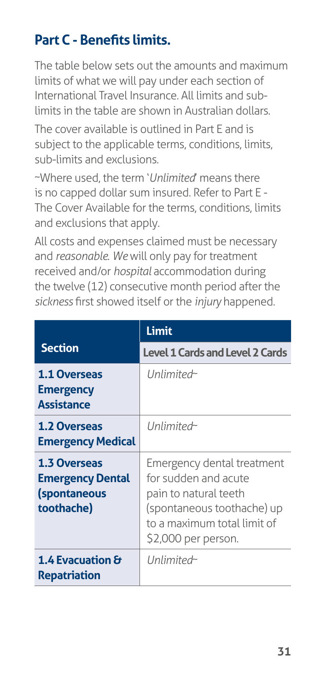# **Part C - Benefits limits.**

The table below sets out the amounts and maximum limits of what we will pay under each section of International Travel Insurance. All limits and sublimits in the table are shown in Australian dollars.

The cover available is outlined in Part E and is subject to the applicable terms, conditions, limits, sub-limits and exclusions.

~Where used, the term '*Unlimited*' means there is no capped dollar sum insured. Refer to Part E - The Cover Available for the terms, conditions, limits and exclusions that apply.

All costs and expenses claimed must be necessary and *reasonable*. *We* will only pay for treatment received and/or *hospital* accommodation during the twelve (12) consecutive month period after the *sickness* first showed itself or the *injury* happened.

|                                                                                     | <b>Limit</b>                                                                                                                                                    |
|-------------------------------------------------------------------------------------|-----------------------------------------------------------------------------------------------------------------------------------------------------------------|
| <b>Section</b>                                                                      | <b>Level 1 Cards and Level 2 Cards</b>                                                                                                                          |
| <b>1.1 Overseas</b><br><b>Emergency</b><br><b>Assistance</b>                        | Unlimited <sub>~</sub>                                                                                                                                          |
| <b>1.2 Overseas</b><br><b>Emergency Medical</b>                                     | Unlimited <sub>~</sub>                                                                                                                                          |
| <b>1.3 Overseas</b><br><b>Emergency Dental</b><br><i>(spontaneous</i><br>toothache) | Emergency dental treatment<br>for sudden and acute<br>pain to natural teeth<br>(spontaneous toothache) up<br>to a maximum total limit of<br>\$2,000 per person. |
| 1.4 Evacuation $\theta$<br><b>Repatriation</b>                                      | Unlimited <sub>~</sub>                                                                                                                                          |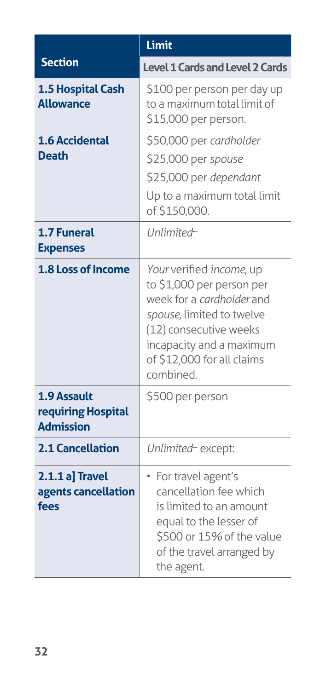|                                                       | Limit                                                                                                                                                                                                            |
|-------------------------------------------------------|------------------------------------------------------------------------------------------------------------------------------------------------------------------------------------------------------------------|
| <b>Section</b>                                        | <b>Level 1 Cards and Level 2 Cards</b>                                                                                                                                                                           |
| 1.5 Hospital Cash<br><b>Allowance</b>                 | \$100 per person per day up<br>to a maximum total limit of<br>\$15,000 per person.                                                                                                                               |
| <b>1.6 Accidental</b><br><b>Death</b>                 | \$50,000 per cardholder<br>\$25,000 per spouse<br>\$25,000 per dependant<br>Up to a maximum total limit<br>of \$150,000.                                                                                         |
| 1.7 Funeral<br><b>Expenses</b>                        | Unlimited~                                                                                                                                                                                                       |
| 1.8 Loss of Income                                    | Your verified income, up<br>to \$1,000 per person per<br>week for a cardholder and<br>spouse, limited to twelve<br>(12) consecutive weeks<br>incapacity and a maximum<br>of \$12,000 for all claims<br>combined. |
| 1.9 Assault<br>requiring Hospital<br><b>Admission</b> | \$500 per person                                                                                                                                                                                                 |
| <b>2.1 Cancellation</b>                               | Unlimited~ except:                                                                                                                                                                                               |
| $2.1.1a]$ Travel<br>agents cancellation<br>fees       | • For travel agent's<br>cancellation fee which<br>is limited to an amount<br>equal to the lesser of<br>\$500 or 15% of the value<br>of the travel arranged by<br>the agent.                                      |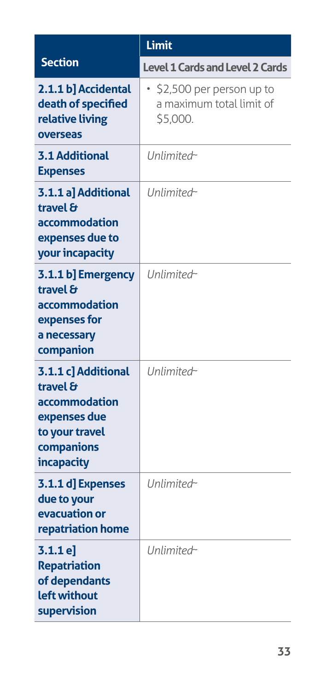|                                                                                                                       | Limit                                                            |
|-----------------------------------------------------------------------------------------------------------------------|------------------------------------------------------------------|
| <b>Section</b>                                                                                                        | <b>Level 1 Cards and Level 2 Cards</b>                           |
| 2.1.1 b] Accidental<br>death of specified<br>relative living<br>overseas                                              | \$2,500 per person up to<br>a maximum total limit of<br>\$5,000. |
| <b>3.1 Additional</b><br><b>Expenses</b>                                                                              | Unlimited~                                                       |
| 3.1.1 a] Additional<br>travel &<br>accommodation<br>expenses due to<br>your incapacity                                | Unlimited~                                                       |
| 3.1.1 b] Emergency<br>travel &<br>accommodation<br>expenses for<br>a necessary<br>companion                           | Unlimited~                                                       |
| 3.1.1 c] Additional<br>travel $\theta$<br>accommodation<br>expenses due<br>to your travel<br>companions<br>incapacity | Unlimited~                                                       |
| 3.1.1 d] Expenses<br>due to your<br>evacuation or<br>repatriation home                                                | Unlimited~                                                       |
| 3.1.1e<br><b>Repatriation</b><br>of dependants<br>left without<br>supervision                                         | Unlimited~                                                       |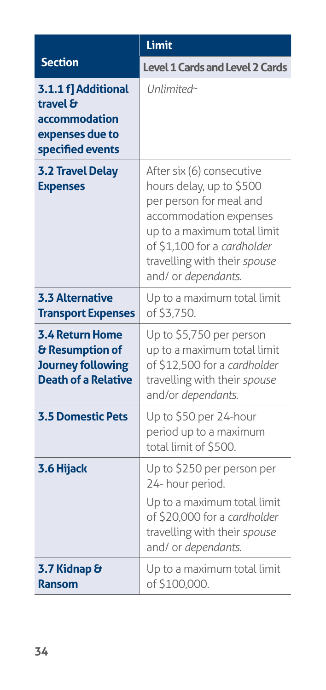|                                                                                                     | Limit                                                                                                                                                                                                                           |
|-----------------------------------------------------------------------------------------------------|---------------------------------------------------------------------------------------------------------------------------------------------------------------------------------------------------------------------------------|
| <b>Section</b>                                                                                      | Level 1 Cards and Level 2 Cards                                                                                                                                                                                                 |
| 3.1.1 f] Additional<br>travel $\theta$<br>accommodation<br>expenses due to<br>specified events      | Unlimited~                                                                                                                                                                                                                      |
| <b>3.2 Travel Delay</b><br><b>Expenses</b>                                                          | After six (6) consecutive<br>hours delay, up to \$500<br>per person for meal and<br>accommodation expenses<br>up to a maximum total limit<br>of \$1,100 for a cardholder<br>travelling with their spouse<br>and/ or dependants. |
| <b>3.3 Alternative</b><br><b>Transport Expenses</b>                                                 | Up to a maximum total limit<br>of \$3,750.                                                                                                                                                                                      |
| <b>3.4 Return Home</b><br>& Resumption of<br><b>Journey following</b><br><b>Death of a Relative</b> | Up to \$5,750 per person<br>up to a maximum total limit<br>of \$12,500 for a cardholder<br>travelling with their spouse<br>and/or dependants.                                                                                   |
| <b>3.5 Domestic Pets</b>                                                                            | Up to \$50 per 24-hour<br>period up to a maximum<br>total limit of \$500.                                                                                                                                                       |
| 3.6 Hijack                                                                                          | Up to \$250 per person per<br>24- hour period.                                                                                                                                                                                  |
|                                                                                                     | Up to a maximum total limit<br>of \$20,000 for a cardholder<br>travelling with their spouse<br>and/ or dependants.                                                                                                              |
| 3.7 Kidnap &<br>Ransom                                                                              | Up to a maximum total limit<br>of \$100,000.                                                                                                                                                                                    |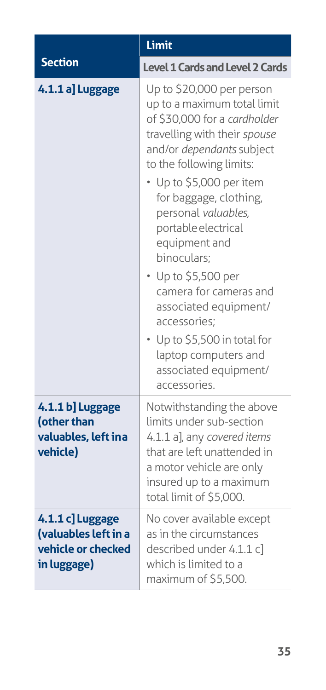|                                                                               | Limit                                                                                                                                                                                                                                                                                                                                                                                                                                         |
|-------------------------------------------------------------------------------|-----------------------------------------------------------------------------------------------------------------------------------------------------------------------------------------------------------------------------------------------------------------------------------------------------------------------------------------------------------------------------------------------------------------------------------------------|
| <b>Section</b>                                                                | <b>Level 1 Cards and Level 2 Cards</b>                                                                                                                                                                                                                                                                                                                                                                                                        |
| 4.1.1 a] Luggage                                                              | Up to \$20,000 per person<br>up to a maximum total limit<br>of \$30,000 for a cardholder<br>travelling with their spouse<br>and/or dependants subject<br>to the following limits:<br>• Up to \$5,000 per item<br>for baggage, clothing,<br>personal valuables,<br>portable electrical<br>equipment and<br>binoculars;<br>• Up to \$5,500 per<br>camera for cameras and<br>associated equipment/<br>accessories;<br>Up to \$5,500 in total for |
|                                                                               | laptop computers and<br>associated equipment/<br>accessories.                                                                                                                                                                                                                                                                                                                                                                                 |
| 4.1.1 b] Luggage<br>(other than<br>valuables, left ina<br>vehicle)            | Notwithstanding the above<br>limits under sub-section<br>4.1.1 a], any covered items<br>that are left unattended in<br>a motor vehicle are only<br>insured up to a maximum<br>total limit of \$5,000.                                                                                                                                                                                                                                         |
| 4.1.1 c] Luggage<br>(valuables left in a<br>vehicle or checked<br>in luggage) | No cover available except<br>as in the circumstances<br>described under 4.1.1 c]<br>which is limited to a<br>maximum of \$5,500.                                                                                                                                                                                                                                                                                                              |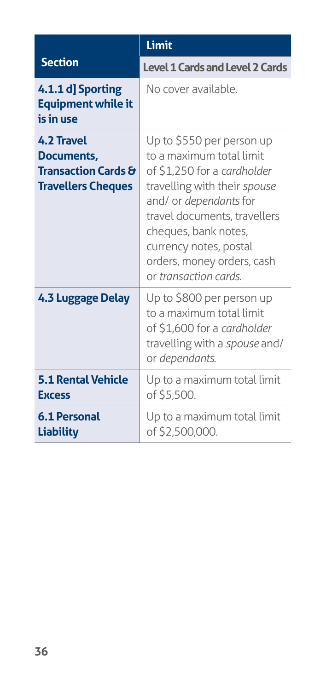|                                                                                         | Limit                                                                                                                                                                                                                                                                                   |
|-----------------------------------------------------------------------------------------|-----------------------------------------------------------------------------------------------------------------------------------------------------------------------------------------------------------------------------------------------------------------------------------------|
| <b>Section</b>                                                                          | <b>Level 1 Cards and Level 2 Cards</b>                                                                                                                                                                                                                                                  |
| 4.1.1 d] Sporting<br><b>Equipment while it</b><br>is in use                             | No cover available.                                                                                                                                                                                                                                                                     |
| 4.2 Travel<br>Documents,<br><b>Transaction Cards &amp;</b><br><b>Travellers Cheques</b> | Up to \$550 per person up<br>to a maximum total limit<br>of \$1,250 for a cardholder<br>travelling with their spouse<br>and/ or dependants for<br>travel documents, travellers<br>cheques, bank notes,<br>currency notes, postal<br>orders, money orders, cash<br>or transaction cards. |
| <b>4.3 Luggage Delay</b>                                                                | Up to \$800 per person up<br>to a maximum total limit<br>of \$1,600 for a cardholder<br>travelling with a spouse and/<br>or dependants.                                                                                                                                                 |
| <b>5.1 Rental Vehicle</b><br><b>Excess</b>                                              | Up to a maximum total limit<br>of \$5,500.                                                                                                                                                                                                                                              |
| <b>6.1 Personal</b><br><b>Liability</b>                                                 | Up to a maximum total limit<br>of \$2,500,000.                                                                                                                                                                                                                                          |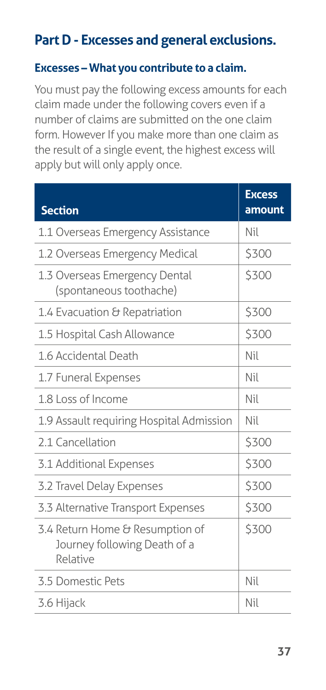# **Part D - Excesses and general exclusions.**

#### **Excesses – What you contribute to a claim.**

You must pay the following excess amounts for each claim made under the following covers even if a number of claims are submitted on the one claim form. However If you make more than one claim as the result of a single event, the highest excess will apply but will only apply once.

| <b>Section</b>                                                              | <b>Excess</b><br>amount |
|-----------------------------------------------------------------------------|-------------------------|
| 1.1 Overseas Emergency Assistance                                           | Nil                     |
| 1.2 Overseas Emergency Medical                                              | \$300                   |
| 1.3 Overseas Emergency Dental<br>(spontaneous toothache)                    | \$300                   |
| 1.4 Evacuation & Repatriation                                               | \$300                   |
| 1.5 Hospital Cash Allowance                                                 | \$300                   |
| 1.6 Accidental Death                                                        | Nil                     |
| 1.7 Funeral Expenses                                                        | Nil                     |
| 1.8 Loss of Income                                                          | Nil                     |
| 1.9 Assault requiring Hospital Admission                                    | Nil                     |
| 2.1 Cancellation                                                            | \$300                   |
| 3.1 Additional Expenses                                                     | \$300                   |
| 3.2 Travel Delay Expenses                                                   | \$300                   |
| 3.3 Alternative Transport Expenses                                          | \$300                   |
| 3.4 Return Home & Resumption of<br>Journey following Death of a<br>Relative | \$300                   |
| 3.5 Domestic Pets                                                           | Nil                     |
| 3.6 Hijack                                                                  | Nil                     |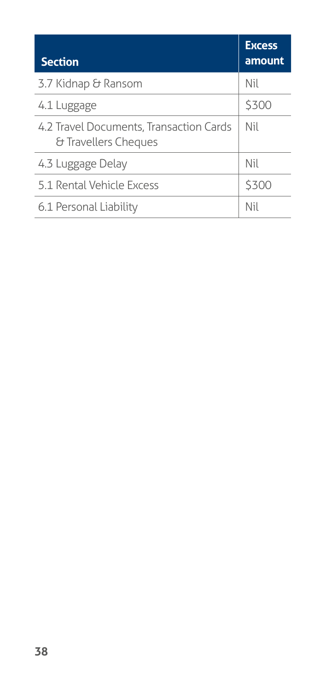| <b>Section</b>                                                  | <b>Excess</b><br>amount |
|-----------------------------------------------------------------|-------------------------|
| 3.7 Kidnap & Ransom                                             | Nil                     |
| 4.1 Luggage                                                     | \$300                   |
| 4.2 Travel Documents, Transaction Cards<br>& Travellers Cheques | Nil                     |
| 4.3 Luggage Delay                                               | Nil                     |
| 5.1 Rental Vehicle Excess                                       | \$300                   |
| 6.1 Personal Liability                                          | Nil                     |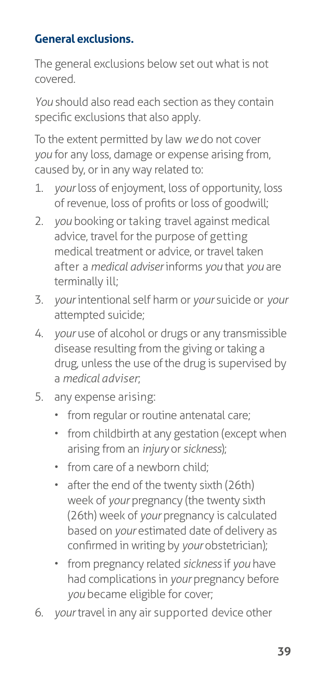# **General exclusions.**

The general exclusions below set out what is not covered.

*You* should also read each section as they contain specific exclusions that also apply.

To the extent permitted by law *we* do not cover *you* for any loss, damage or expense arising from, caused by, or in any way related to:

- 1. *your* loss of enjoyment, loss of opportunity, loss of revenue, loss of profits or loss of goodwill;
- 2. *you* booking or taking travel against medical advice, travel for the purpose of getting medical treatment or advice, or travel taken after a *medical adviser* informs *you* that *you* are terminally ill;
- 3. *your* intentional self harm or *your* suicide or *your* attempted suicide;
- 4. *your* use of alcohol or drugs or any transmissible disease resulting from the giving or taking a drug, unless the use of the drug is supervised by a *medical adviser*;
- 5. any expense arising:
	- from regular or routine antenatal care;
	- from childbirth at any gestation (except when arising from an *injury* or *sickness*);
	- from care of a newborn child;
	- after the end of the twenty sixth (26th) week of *your* pregnancy (the twenty sixth (26th) week of *your* pregnancy is calculated based on *your* estimated date of delivery as confirmed in writing by *your* obstetrician);
	- from pregnancy related *sickness* if *you* have had complications in *your* pregnancy before *you* became eligible for cover;
- 6. *your* travel in any air supported device other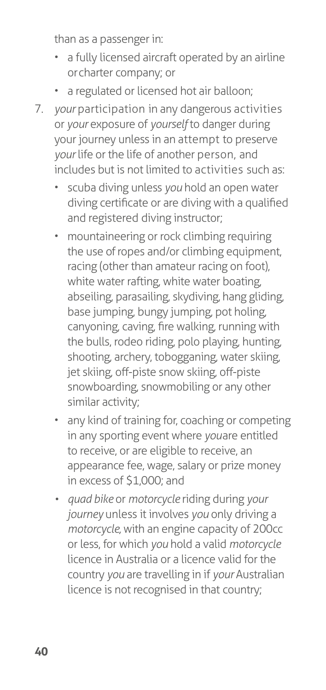than as a passenger in:

- a fully licensed aircraft operated by an airline or charter company; or
- a regulated or licensed hot air balloon;
- 7. *your* participation in any dangerous activities or *your* exposure of *yourself* to danger during your journey unless in an attempt to preserve *your* life or the life of another person, and includes but is not limited to activities such as:
	- scuba diving unless *you* hold an open water diving certificate or are diving with a qualified and registered diving instructor;
	- mountaineering or rock climbing requiring the use of ropes and/or climbing equipment, racing (other than amateur racing on foot), white water rafting, white water boating, abseiling, parasailing, skydiving, hang gliding, base jumping, bungy jumping, pot holing, canyoning, caving, fire walking, running with the bulls, rodeo riding, polo playing, hunting, shooting, archery, tobogganing, water skiing, jet skiing, off-piste snow skiing, off-piste snowboarding, snowmobiling or any other similar activity;
	- any kind of training for, coaching or competing in any sporting event where *you* are entitled to receive, or are eligible to receive, an appearance fee, wage, salary or prize money in excess of \$1,000; and
	- *• quad bike* or *motorcycle* riding during *your journey* unless it involves *you* only driving a *motorcycle,* with an engine capacity of 200cc or less, for which *you* hold a valid *motorcycle*  licence in Australia or a licence valid for the country *you* are travelling in if *your* Australian licence is not recognised in that country;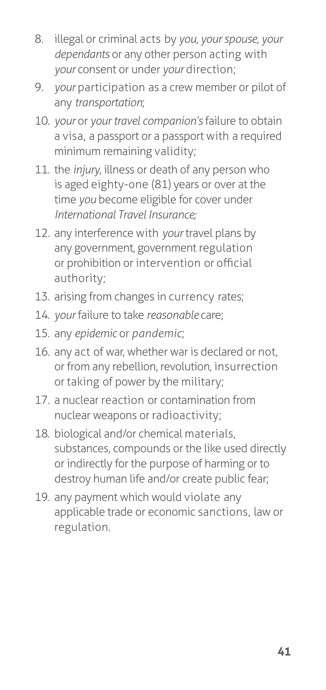- 8. illegal or criminal acts by *you*, *your spouse*, *your dependants* or any other person acting with *your* consent or under *your* direction;
- 9. *your* participation as a crew member or pilot of any *transportation*;
- 10. *your* or *your travel companion's* failure to obtain a visa, a passport or a passport with a required minimum remaining validity;
- 11. the *injury*, illness or death of any person who is aged eighty-one (81) years or over at the time *you* become eligible for cover under *International Travel Insurance;*
- 12. any interference with *your* travel plans by any government, government regulation or prohibition or intervention or official authority;
- 13. arising from changes in currency rates;
- 14. *your* failure to take *reasonable* care;
- 15. any *epidemic* or *pandemic*;
- 16. any act of war, whether war is declared or not, or from any rebellion, revolution, insurrection or taking of power by the military;
- 17. a nuclear reaction or contamination from nuclear weapons or radioactivity;
- 18. biological and/or chemical materials, substances, compounds or the like used directly or indirectly for the purpose of harming or to destroy human life and/or create public fear;
- 19. any payment which would violate any applicable trade or economic sanctions, law or regulation.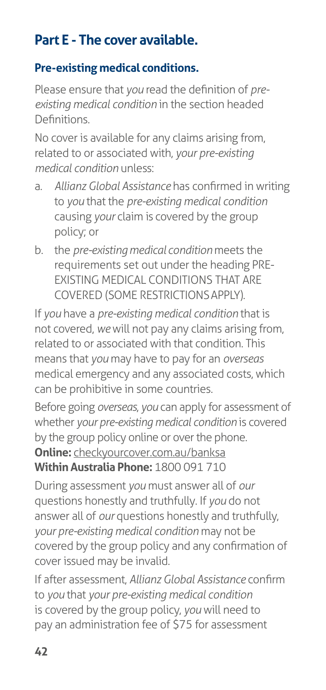# **Part E - The cover available.**

## **Pre-existing medical conditions.**

Please ensure that *you* read the definition of *preexisting medical condition* in the section headed **Definitions** 

No cover is available for any claims arising from, related to or associated with, *your pre-existing medical condition* unless:

- a. *Allianz Global Assistance* has confirmed in writing to *you* that the *pre-existing medical condition*  causing *your* claim is covered by the group policy; or
- b. the *pre-existing medical condition* meets the requirements set out under the heading PRE-EXISTING MEDICAL CONDITIONS THAT ARE COVERED (SOME RESTRICTIONS APPLY).

If *you* have a *pre-existing medical condition* that is not covered, *we* will not pay any claims arising from, related to or associated with that condition. This means that *you* may have to pay for an *overseas*  medical emergency and any associated costs, which can be prohibitive in some countries.

Before going *overseas*, *you* can apply for assessment of whether *your pre-existing medical condition* is covered by the group policy online or over the phone. **Online:** [checkyourcover.com.au/banksa](http://checkyourcover.com.au/banksa) **Within Australia Phone:** 1800 091 710

During assessment *you* must answer all of *our*  questions honestly and truthfully. If *you* do not answer all of *our* questions honestly and truthfully, *your pre-existing medical condition* may not be covered by the group policy and any confirmation of cover issued may be invalid.

If after assessment, *Allianz Global Assistance* confirm to *you* that *your pre-existing medical condition*  is covered by the group policy, *you* will need to pay an administration fee of \$75 for assessment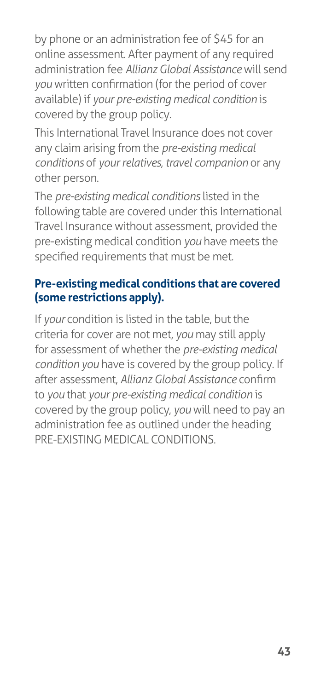by phone or an administration fee of \$45 for an online assessment. After payment of any required administration fee *Allianz Global Assistance* will send *you* written confirmation (for the period of cover available) if *your pre-existing medical condition* is covered by the group policy.

This International Travel Insurance does not cover any claim arising from the *pre-existing medical conditions* of *your relatives*, *travel companion* or any other person.

The *pre-existing medical conditions* listed in the following table are covered under this International Travel Insurance without assessment, provided the pre-existing medical condition *you* have meets the specified requirements that must be met.

### **Pre-existing medical conditions that are covered (some restrictions apply).**

If *your* condition is listed in the table, but the criteria for cover are not met, *you* may still apply for assessment of whether the *pre-existing medical condition you* have is covered by the group policy. If after assessment, *Allianz Global Assistance* confirm to *you* that *your pre-existing medical condition* is covered by the group policy, *you* will need to pay an administration fee as outlined under the heading PRE-EXISTING MEDICAL CONDITIONS.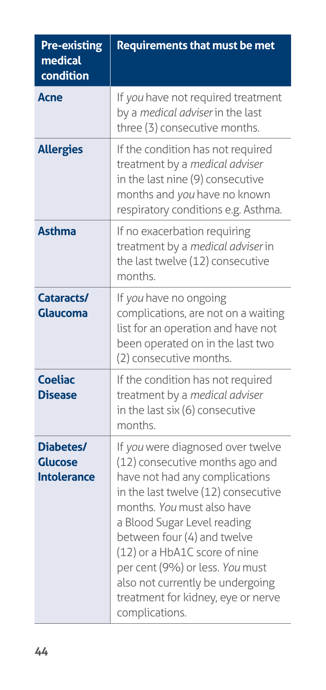| <b>Pre-existing</b><br>medical<br>condition       | <b>Requirements that must be met</b>                                                                                                                                                                                                                                                                                                                                                                      |
|---------------------------------------------------|-----------------------------------------------------------------------------------------------------------------------------------------------------------------------------------------------------------------------------------------------------------------------------------------------------------------------------------------------------------------------------------------------------------|
| <b>Acne</b>                                       | If you have not required treatment<br>by a medical adviser in the last<br>three (3) consecutive months.                                                                                                                                                                                                                                                                                                   |
| <b>Allergies</b>                                  | If the condition has not required<br>treatment by a medical adviser<br>in the last nine (9) consecutive<br>months and you have no known<br>respiratory conditions e.g. Asthma.                                                                                                                                                                                                                            |
| <b>Asthma</b>                                     | If no exacerbation requiring<br>treatment by a medical adviser in<br>the last twelve (12) consecutive<br>months.                                                                                                                                                                                                                                                                                          |
| Cataracts/<br>Glaucoma                            | If you have no ongoing<br>complications, are not on a waiting<br>list for an operation and have not<br>been operated on in the last two<br>(2) consecutive months.                                                                                                                                                                                                                                        |
| <b>Coeliac</b><br><b>Disease</b>                  | If the condition has not required<br>treatment by a medical adviser<br>in the last six (6) consecutive<br>months                                                                                                                                                                                                                                                                                          |
| Diabetes/<br><b>Glucose</b><br><b>Intolerance</b> | If you were diagnosed over twelve<br>(12) consecutive months ago and<br>have not had any complications<br>in the last twelve (12) consecutive<br>months. You must also have<br>a Blood Sugar Level reading<br>between four (4) and twelve<br>(12) or a HbA1C score of nine<br>per cent (9%) or less. You must<br>also not currently be undergoing<br>treatment for kidney, eye or nerve<br>complications. |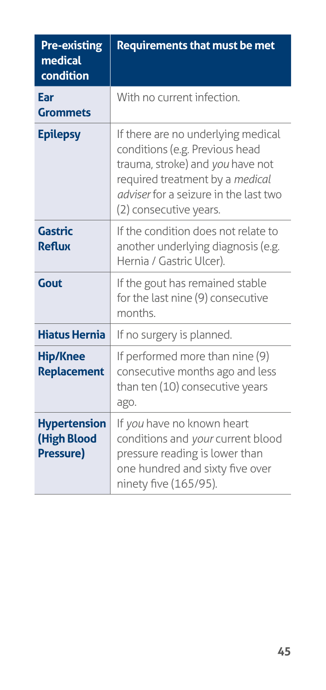| <b>Pre-existing</b><br>medical<br>condition                   | <b>Requirements that must be met</b>                                                                                                                                                                                  |
|---------------------------------------------------------------|-----------------------------------------------------------------------------------------------------------------------------------------------------------------------------------------------------------------------|
| Ear<br><b>Grommets</b>                                        | With no current infection.                                                                                                                                                                                            |
| <b>Epilepsy</b>                                               | If there are no underlying medical<br>conditions (e.g. Previous head<br>trauma, stroke) and you have not<br>required treatment by a medical<br><i>adviser</i> for a seizure in the last two<br>(2) consecutive years. |
| <b>Gastric</b><br><b>Reflux</b>                               | If the condition does not relate to<br>another underlying diagnosis (e.g.<br>Hernia / Gastric Ulcer).                                                                                                                 |
| Gout                                                          | If the gout has remained stable<br>for the last nine (9) consecutive<br>months.                                                                                                                                       |
| <b>Hiatus Hernia</b>                                          | If no surgery is planned.                                                                                                                                                                                             |
| <b>Hip/Knee</b><br><b>Replacement</b>                         | If performed more than nine (9)<br>consecutive months ago and less<br>than ten (10) consecutive years<br>ago.                                                                                                         |
| <b>Hypertension</b><br><b>(High Blood</b><br><b>Pressure)</b> | If you have no known heart<br>conditions and your current blood<br>pressure reading is lower than<br>one hundred and sixty five over<br>ninety five (165/95).                                                         |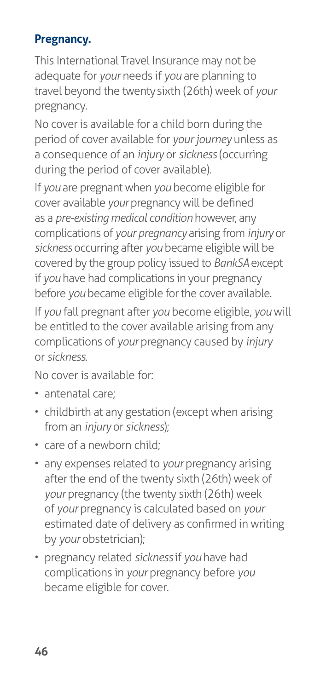# **Pregnancy.**

This International Travel Insurance may not be adequate for *your* needs if *you* are planning to travel beyond the twenty sixth (26th) week of *your*  pregnancy.

No cover is available for a child born during the period of cover available for *your journey* unless as a consequence of an *injury* or *sickness* (occurring during the period of cover available).

If *you* are pregnant when *you* become eligible for cover available *your* pregnancy will be defined as a *pre-existing medical condition* however, any complications of *your pregnancy* arising from *injury* or *sickness* occurring after *you* became eligible will be covered by the group policy issued to *BankSA* except if *you* have had complications in your pregnancy before *you* became eligible for the cover available.

If *you* fall pregnant after *you* become eligible, *you* will be entitled to the cover available arising from any complications of *your* pregnancy caused by *injury*  or *sickness*.

No cover is available for:

- antenatal care;
- childbirth at any gestation (except when arising from an *injury* or *sickness*);
- care of a newborn child;
- any expenses related to *your* pregnancy arising after the end of the twenty sixth (26th) week of *your* pregnancy (the twenty sixth (26th) week of *your* pregnancy is calculated based on *your*  estimated date of delivery as confirmed in writing by *your* obstetrician);
- pregnancy related *sickness* if *you* have had complications in *your* pregnancy before *you*  became eligible for cover.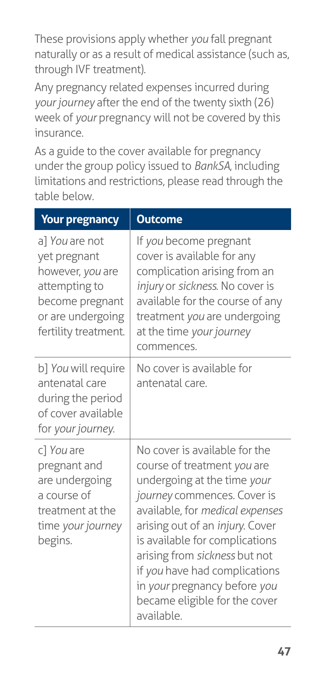These provisions apply whether *you* fall pregnant naturally or as a result of medical assistance (such as, through IVF treatment).

Any pregnancy related expenses incurred during *your journey* after the end of the twenty sixth (26) week of *your* pregnancy will not be covered by this insurance.

As a guide to the cover available for pregnancy under the group policy issued to *BankSA*, including limitations and restrictions, please read through the table below.

| <b>Your pregnancy</b>                                                                                                               | <b>Outcome</b>                                                                                                                                                                                                                                                                                                                                                                      |
|-------------------------------------------------------------------------------------------------------------------------------------|-------------------------------------------------------------------------------------------------------------------------------------------------------------------------------------------------------------------------------------------------------------------------------------------------------------------------------------------------------------------------------------|
| a] You are not<br>yet pregnant<br>however, you are<br>attempting to<br>become pregnant<br>or are undergoing<br>fertility treatment. | If you become pregnant<br>cover is available for any<br>complication arising from an<br>injury or sickness. No cover is<br>available for the course of any<br>treatment you are undergoing<br>at the time your journey<br>commences.                                                                                                                                                |
| b] You will require<br>antenatal care<br>during the period<br>of cover available<br>for your journey.                               | No cover is available for<br>antenatal care.                                                                                                                                                                                                                                                                                                                                        |
| c] You are<br>pregnant and<br>are undergoing<br>a course of<br>treatment at the<br>time your journey<br>begins.                     | No cover is available for the<br>course of treatment you are<br>undergoing at the time your<br>journey commences. Cover is<br>available, for medical expenses<br>arising out of an injury. Cover<br>is available for complications<br>arising from sickness but not<br>if you have had complications<br>in your pregnancy before you<br>became eligible for the cover<br>available. |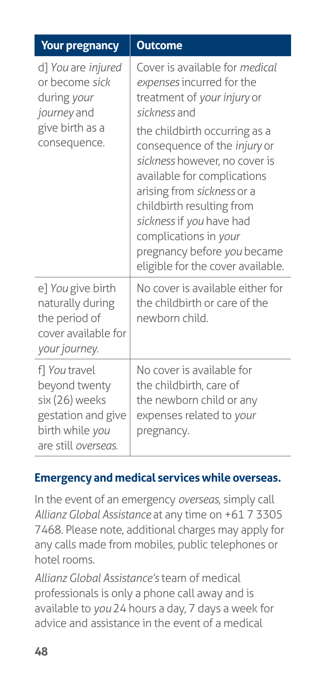| <b>Your pregnancy</b>                                                                                            | <b>Outcome</b>                                                                                                                                                                                                                                                                                                                                                                                                                         |
|------------------------------------------------------------------------------------------------------------------|----------------------------------------------------------------------------------------------------------------------------------------------------------------------------------------------------------------------------------------------------------------------------------------------------------------------------------------------------------------------------------------------------------------------------------------|
| d] You are injured<br>or become sick<br>during your<br>journey and<br>give birth as a<br>consequence.            | Cover is available for medical<br>expenses incurred for the<br>treatment of your injury or<br>sickness and<br>the childbirth occurring as a<br>consequence of the <i>injury</i> or<br>sickness however, no cover is<br>available for complications<br>arising from sickness or a<br>childbirth resulting from<br>sickness if you have had<br>complications in your<br>pregnancy before you became<br>eligible for the cover available. |
| e] You give birth<br>naturally during<br>the period of<br>cover available for<br>your journey.                   | No cover is available either for<br>the childbirth or care of the<br>newborn child.                                                                                                                                                                                                                                                                                                                                                    |
| f] You travel<br>beyond twenty<br>six (26) weeks<br>gestation and give<br>birth while you<br>are still overseas. | No cover is available for<br>the childbirth, care of<br>the newborn child or any<br>expenses related to your<br>pregnancy.                                                                                                                                                                                                                                                                                                             |

### **Emergency and medical services while overseas.**

In the event of an emergency *overseas*, simply call *Allianz Global Assistance* at any time on +61 7 3305 7468. Please note, additional charges may apply for any calls made from mobiles, public telephones or hotel rooms.

*Allianz Global Assistance's* team of medical professionals is only a phone call away and is available to *you* 24 hours a day, 7 days a week for advice and assistance in the event of a medical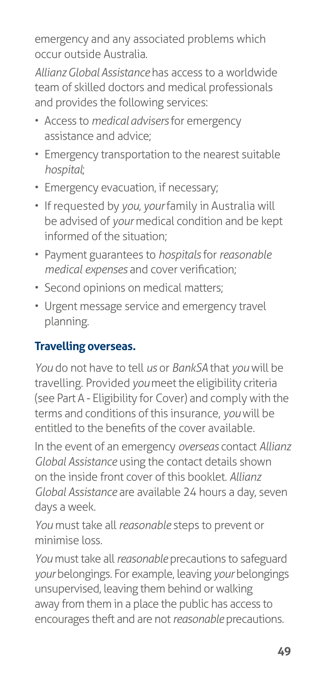emergency and any associated problems which occur outside Australia.

*Allianz Global Assistance* has access to a worldwide team of skilled doctors and medical professionals and provides the following services:

- Access to *medical advisers* for emergency assistance and advice;
- Emergency transportation to the nearest suitable *hospital*;
- Emergency evacuation, if necessary;
- If requested by *you*, *your* family in Australia will be advised of *your* medical condition and be kept informed of the situation;
- Payment guarantees to *hospitals* for *reasonable medical expenses* and cover verification;
- Second opinions on medical matters;
- Urgent message service and emergency travel planning.

# **Travelling overseas.**

*You* do not have to tell *us* or *BankSA* that *you* will be travelling. Provided *you* meet the eligibility criteria (see Part A - Eligibility for Cover) and comply with the terms and conditions of this insurance, *you* will be entitled to the benefits of the cover available.

In the event of an emergency *overseas* contact *Allianz Global Assistance* using the contact details shown on the inside front cover of this booklet. *Allianz Global Assistance* are available 24 hours a day, seven days a week.

*You* must take all *reasonable* steps to prevent or minimise loss.

*You* must take all *reasonable* precautions to safeguard *your* belongings. For example, leaving *your* belongings unsupervised, leaving them behind or walking away from them in a place the public has access to encourages theft and are not *reasonable* precautions.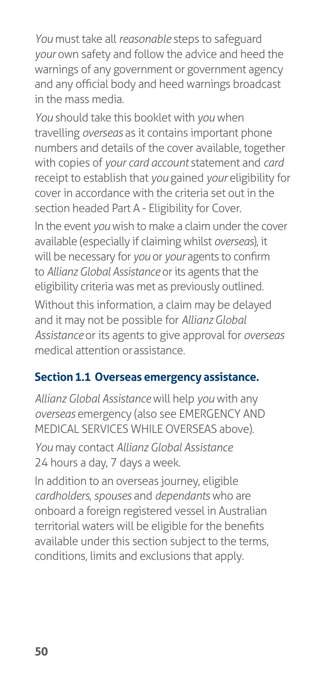*You* must take all *reasonable* steps to safeguard *your* own safety and follow the advice and heed the warnings of any government or government agency and any official body and heed warnings broadcast in the mass media.

*You* should take this booklet with *you* when travelling *overseas* as it contains important phone numbers and details of the cover available, together with copies of *your card account* statement and *card*  receipt to establish that *you* gained *your* eligibility for cover in accordance with the criteria set out in the section headed Part A - Eligibility for Cover*.*

In the event *you* wish to make a claim under the cover available (especially if claiming whilst *overseas*), it will be necessary for *you* or *your* agents to confirm to *Allianz Global Assistance* or its agents that the eligibility criteria was met as previously outlined.

Without this information, a claim may be delayed and it may not be possible for *Allianz Global Assistance* or its agents to give approval for *overseas*  medical attention or assistance.

### **Section 1.1 Overseas emergency assistance.**

*Allianz Global Assistance* will help *you* with any *overseas* emergency (also see EMERGENCY AND MEDICAL SERVICES WHILE OVERSEAS above).

*You* may contact *Allianz Global Assistance*  24 hours a day, 7 days a week.

In addition to an overseas journey, eligible *cardholders*, *spouses* and *dependants* who are onboard a foreign registered vessel in Australian territorial waters will be eligible for the benefits available under this section subject to the terms, conditions, limits and exclusions that apply.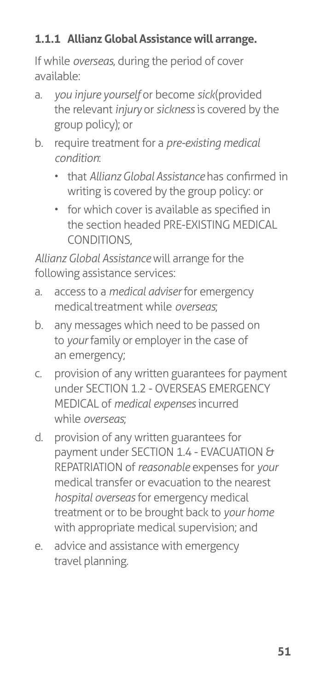# **1.1.1 Allianz Global Assistance will arrange.**

If while *overseas*, during the period of cover available:

- a. *you injure yourself* or become *sick* (provided the relevant *injury* or *sickness* is covered by the group policy); or
- b. require treatment for a *pre-existing medical condition*:
	- that *Allianz Global Assistance* has confirmed in writing is covered by the group policy: or
	- for which cover is available as specified in the section headed PRE-EXISTING MEDICAL CONDITIONS,

*Allianz Global Assistance* will arrange for the following assistance services:

- a. access to a *medical adviser* for emergency medical treatment while *overseas*;
- b. any messages which need to be passed on to *your* family or employer in the case of an emergency;
- c. provision of any written guarantees for payment under SECTION 1.2 - OVERSEAS EMERGENCY MEDICAL of *medical expenses* incurred while *overseas*;
- d. provision of any written guarantees for payment under SECTION 1.4 - EVACUATION & REPATRIATION of *reasonable* expenses for *your*  medical transfer or evacuation to the nearest *hospital overseas* for emergency medical treatment or to be brought back to *your home*  with appropriate medical supervision; and
- e. advice and assistance with emergency travel planning.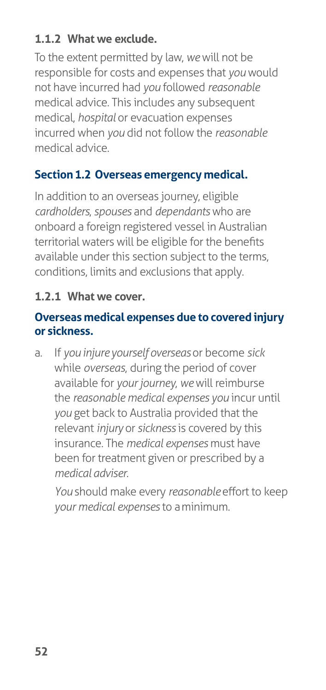### **1.1.2 What we exclude.**

To the extent permitted by law, *we* will not be responsible for costs and expenses that *you* would not have incurred had *you* followed *reasonable*  medical advice. This includes any subsequent medical, *hospital* or evacuation expenses incurred when *you* did not follow the *reasonable*  medical advice.

### **Section 1.2 Overseas emergency medical.**

In addition to an overseas journey, eligible *cardholders*, *spouses* and *dependants* who are onboard a foreign registered vessel in Australian territorial waters will be eligible for the benefits available under this section subject to the terms, conditions, limits and exclusions that apply.

#### **1.2.1 What we cover.**

#### **Overseas medical expenses due to covered injury or sickness.**

a. If *you injure yourself overseas* or become *sick*  while *overseas*, during the period of cover available for *your journey*, *we* will reimburse the *reasonable medical expenses you* incur until *you* get back to Australia provided that the relevant *injury* or *sickness* is covered by this insurance. The *medical expenses* must have been for treatment given or prescribed by a *medical adviser*.

*You* should make every *reasonable* effort to keep *your medical expenses* to a minimum.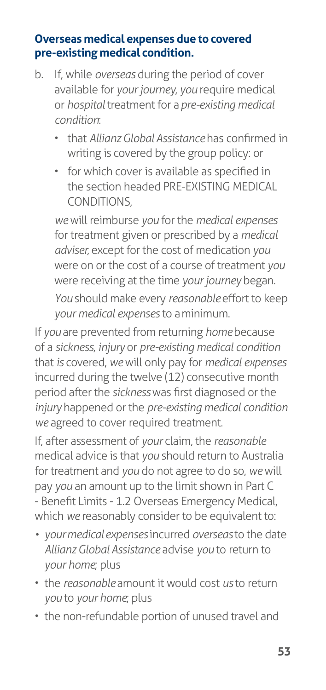#### **Overseas medical expenses due to covered pre-existing medical condition.**

- b. If, while *overseas* during the period of cover available for *your journey*, *you* require medical or *hospital* treatment for a *pre-existing medical condition*:
	- that *Allianz Global Assistance* has confirmed in writing is covered by the group policy: or
	- for which cover is available as specified in the section headed PRE-EXISTING MEDICAL CONDITIONS,

*we* will reimburse *you* for the *medical expenses*  for treatment given or prescribed by a *medical adviser,* except for the cost of medication *you*  were on or the cost of a course of treatment *you*  were receiving at the time *your journey* began. *You* should make every *reasonable* effort to keep *your medical expenses* to a minimum.

If *you* are prevented from returning *home* because of a *sickness*, *injury* or *pre-existing medical condition*  that *is* covered, *we* will only pay for *medical expenses*  incurred during the twelve (12) consecutive month period after the *sickness* was first diagnosed or the *injury* happened or the *pre-existing medical condition we* agreed to cover required treatment.

If, after assessment of *your* claim, the *reasonable*  medical advice is that *you* should return to Australia for treatment and *you* do not agree to do so, *we* will pay *you* an amount up to the limit shown in Part C - Benefit Limits - 1.2 Overseas Emergency Medical, which *we* reasonably consider to be equivalent to:

- *• your medical expenses* incurred *overseas* to the date *Allianz Global Assistance* advise *you* to return to *your home*; plus
- the *reasonable* amount it would cost *us* to return *you* to *your home*; plus
- the non-refundable portion of unused travel and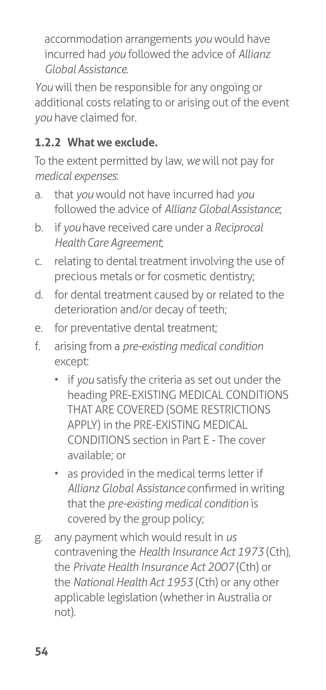accommodation arrangements *you* would have incurred had *you* followed the advice of *Allianz Global Assistance*.

*You* will then be responsible for any ongoing or additional costs relating to or arising out of the event *you* have claimed for.

# **1.2.2 What we exclude.**

To the extent permitted by law, *we* will not pay for *medical expenses*:

- a. that *you* would not have incurred had *you*  followed the advice of *Allianz Global Assistance*;
- b. if *you* have received care under a *Reciprocal Health Care Agreement*;
- c. relating to dental treatment involving the use of precious metals or for cosmetic dentistry;
- d. for dental treatment caused by or related to the deterioration and/or decay of teeth;
- e. for preventative dental treatment;
- f. arising from a *pre-existing medical condition*  except:
	- if *you* satisfy the criteria as set out under the heading PRE-EXISTING MEDICAL CONDITIONS THAT ARE COVERED (SOME RESTRICTIONS APPLY) in the PRE-EXISTING MEDICAL CONDITIONS section in Part E - The cover available; or
	- as provided in the medical terms letter if *Allianz Global Assistance* confirmed in writing that the *pre-existing medical condition* is covered by the group policy;
- g. any payment which would result in *us*  contravening the *Health Insurance Act 1973* (Cth), the *Private Health Insurance Act 2007* (Cth) or the *National Health Act 1953* (Cth) or any other applicable legislation (whether in Australia or not).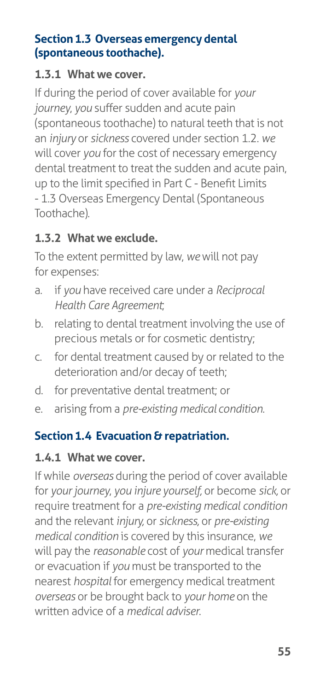### **Section 1.3 Overseas emergency dental (spontaneous toothache).**

#### **1.3.1 What we cover.**

If during the period of cover available for *your journey*, *you* suffer sudden and acute pain (spontaneous toothache) to natural teeth that is not an *injury* or *sickness* covered under section 1.2. *we*  will cover *you* for the cost of necessary emergency dental treatment to treat the sudden and acute pain, up to the limit specified in Part C - Benefit Limits - 1.3 Overseas Emergency Dental (Spontaneous Toothache)*.*

### **1.3.2 What we exclude.**

To the extent permitted by law, *we* will not pay for expenses:

- a. if *you* have received care under a *Reciprocal Health Care Agreement*;
- b. relating to dental treatment involving the use of precious metals or for cosmetic dentistry;
- c. for dental treatment caused by or related to the deterioration and/or decay of teeth;
- d. for preventative dental treatment; or
- e. arising from a *pre-existing medical condition*.

### **Section 1.4 Evacuation & repatriation.**

### **1.4.1 What we cover.**

If while *overseas* during the period of cover available for *your journey*, *you injure yourself,* or become *sick,* or require treatment for a *pre-existing medical condition*  and the relevant *injury,* or *sickness,* or *pre-existing medical condition* is covered by this insurance, *we*  will pay the *reasonable* cost of *your* medical transfer or evacuation if *you* must be transported to the nearest *hospital* for emergency medical treatment *overseas* or be brought back to *your home* on the written advice of a *medical adviser*.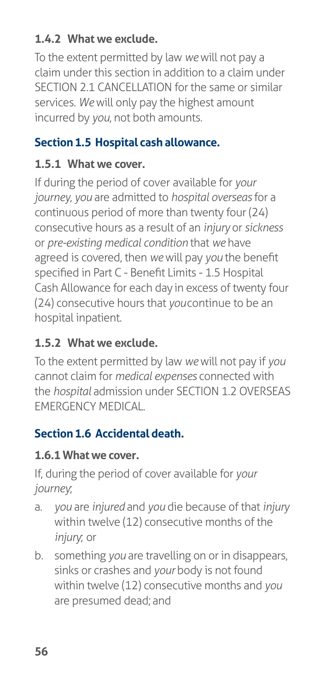# **1.4.2 What we exclude.**

To the extent permitted by law *we* will not pay a claim under this section in addition to a claim under SECTION 2.1 CANCELLATION for the same or similar services. *We* will only pay the highest amount incurred by *you*, not both amounts.

### **Section 1.5 Hospital cash allowance.**

### **1.5.1 What we cover.**

If during the period of cover available for *your journey*, *you* are admitted to *hospital overseas* for a continuous period of more than twenty four (24) consecutive hours as a result of an *injury* or *sickness*  or *pre-existing medical condition* that *we* have agreed is covered, then *we* will pay *you* the benefit specified in Part C - Benefit Limits - 1.5 Hospital Cash Allowance for each day in excess of twenty four (24) consecutive hours that *you* continue to be an hospital inpatient.

# **1.5.2 What we exclude.**

To the extent permitted by law *we* will not pay if *you*  cannot claim for *medical expenses* connected with the *hospital* admission under SECTION 1.2 OVERSEAS EMERGENCY MEDICAL.

# **Section 1.6 Accidental death.**

### **1.6.1 What we cover.**

If, during the period of cover available for *your journey*;

- a. *you* are *injured* and *you* die because of that *injury*  within twelve (12) consecutive months of the *injury*; or
- b. something *you* are travelling on or in disappears, sinks or crashes and *your* body is not found within twelve (12) consecutive months and *you*  are presumed dead; and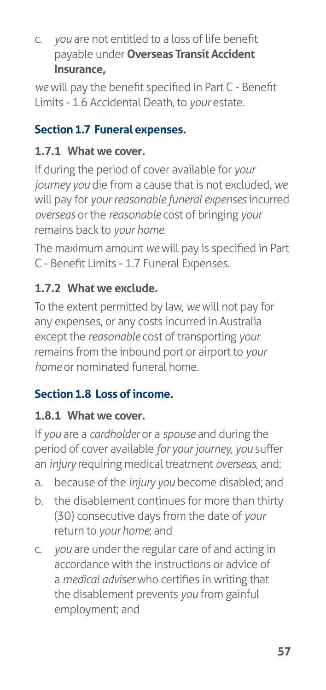c. *you* are not entitled to a loss of life benefit payable under **Overseas Transit Accident Insurance,**

*we* will pay the benefit specified in Part C - Benefit Limits - 1.6 Accidental Death, to *your* estate.

# **Section 1.7 Funeral expenses.**

# **1.7.1 What we cover.**

If during the period of cover available for *your journey you* die from a cause that is not excluded, *we*  will pay for *your reasonable funeral expenses* incurred *overseas* or the *reasonable* cost of bringing *your*  remains back to *your home*.

The maximum amount *we* will pay is specified in Part C - Benefit Limits - 1.7 Funeral Expenses.

# **1.7.2 What we exclude.**

To the extent permitted by law, *we* will not pay for any expenses, or any costs incurred in Australia except the *reasonable* cost of transporting *your*  remains from the inbound port or airport to *your home* or nominated funeral home.

# **Section 1.8 Loss of income.**

### **1.8.1 What we cover.**

If *you* are a *cardholder* or a *spouse* and during the period of cover available *for your journey*, *you* suffer an *injury* requiring medical treatment *overseas*, and:

- a. because of the *injury you* become disabled; and
- b. the disablement continues for more than thirty (30) consecutive days from the date of *your*  return to *your home*; and
- c. *you* are under the regular care of and acting in accordance with the instructions or advice of a *medical adviser* who certifies in writing that the disablement prevents *you* from gainful employment; and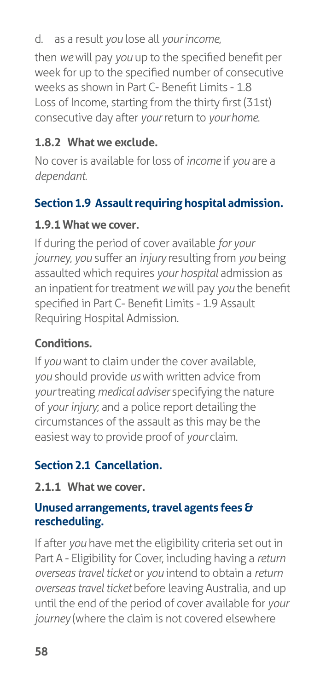### d. as a result *you* lose all *your income*,

then *we* will pay *you* up to the specified benefit per week for up to the specified number of consecutive weeks as shown in Part C- Benefit Limits - 1.8 Loss of Income, starting from the thirty first (31st) consecutive day after *your* return to *your home*.

### **1.8.2 What we exclude.**

No cover is available for loss of *income* if *you* are a *dependant*.

### **Section 1.9 Assault requiring hospital admission.**

### **1.9.1 What we cover.**

If during the period of cover available *for your journey*, *you* suffer an *injury* resulting from *you* being assaulted which requires *your hospital* admission as an inpatient for treatment *we* will pay *you* the benefit specified in Part C- Benefit Limits - 1.9 Assault Requiring Hospital Admission.

### **Conditions.**

If *you* want to claim under the cover available, *you* should provide *us* with written advice from *your* treating *medical adviser* specifying the nature of *your injury*; and a police report detailing the circumstances of the assault as this may be the easiest way to provide proof of *your* claim.

### **Section 2.1 Cancellation.**

### **2.1.1 What we cover.**

### **Unused arrangements, travel agents fees & rescheduling.**

If after *you* have met the eligibility criteria set out in Part A - Eligibility for Cover, including having a *return overseas travel ticket* or *you* intend to obtain a *return overseas travel ticket* before leaving Australia, and up until the end of the period of cover available for *your journey* (where the claim is not covered elsewhere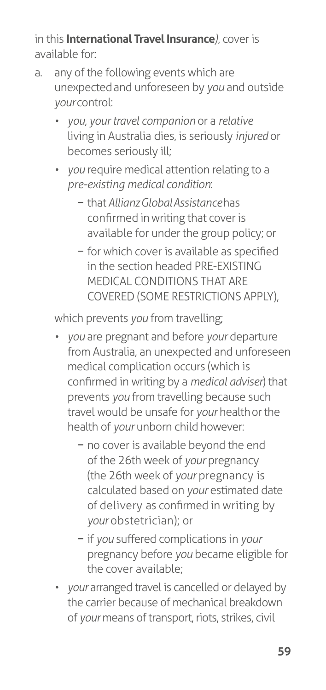in this **International Travel Insurance***)*, cover is available for:

- a. any of the following events which are unexpected and unforeseen by *you* and outside *your* control:
	- *• you*, *your travel companion* or a *relative*  living in Australia dies, is seriously *injured* or becomes seriously ill;
	- *• you* require medical attention relating to a *pre-existing medical condition*:
		- − that *Allianz Global Assistance* has confirmed in writing that cover is available for under the group policy; or
		- − for which cover is available as specified in the section headed PRE-EXISTING MEDICAL CONDITIONS THAT ARE COVERED (SOME RESTRICTIONS APPLY),

which prevents *you* from travelling;

- *• you* are pregnant and before *your* departure from Australia, an unexpected and unforeseen medical complication occurs (which is confirmed in writing by a *medical adviser*) that prevents *you* from travelling because such travel would be unsafe for *your* health or the health of *your* unborn child however:
	- − no cover is available beyond the end of the 26th week of *your* pregnancy (the 26th week of *your* pregnancy is calculated based on *your* estimated date of delivery as confirmed in writing by *your* obstetrician); or
	- − if *you* suffered complications in *your*  pregnancy before *you* became eligible for the cover available;
- *your* arranged travel is cancelled or delayed by the carrier because of mechanical breakdown of *your* means of transport, riots, strikes, civil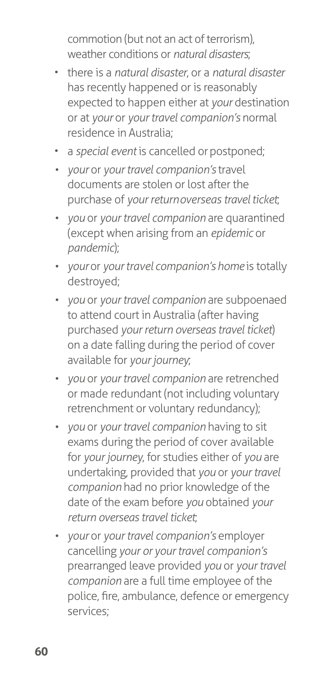commotion (but not an act of terrorism), weather conditions or *natural disasters*;

- there is a *natural disaster*, or a *natural disaster*  has recently happened or is reasonably expected to happen either at *your* destination or at *your* or *your travel companion's* normal residence in Australia;
- a *special event* is cancelled or postponed;
- *• your* or *your travel companion's* travel documents are stolen or lost after the purchase of *your return overseas travel ticket*;
- *• you* or *your travel companion* are quarantined (except when arising from an *epidemic* or *pandemic*);
- *vour or your travel companion's home* is totally destroyed;
- *• you* or *your travel companion* are subpoenaed to attend court in Australia (after having purchased *your return overseas travel ticket*) on a date falling during the period of cover available for *your journey*;
- *• you* or *your travel companion* are retrenched or made redundant (not including voluntary retrenchment or voluntary redundancy);
- *• you* or *your travel companion* having to sit exams during the period of cover available for *your journey*, for studies either of *you* are undertaking, provided that *you* or *your travel companion* had no prior knowledge of the date of the exam before *you* obtained *your return overseas travel ticket*;
- *• your* or *your travel companion's* employer cancelling *your or your travel companion's*  prearranged leave provided *you* or *your travel companion* are a full time employee of the police, fire, ambulance, defence or emergency services;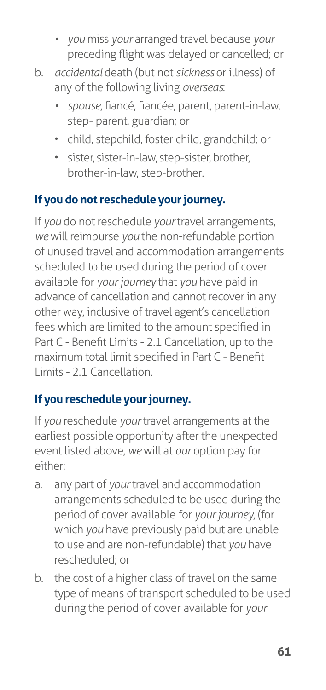- *• you* miss *your* arranged travel because *your*  preceding flight was delayed or cancelled; or
- b. *accidental* death (but not *sickness* or illness) of any of the following living *overseas*:
	- *• spouse*, fiancé, fiancée, parent, parent-in-law, step- parent, guardian; or
	- child, stepchild, foster child, grandchild; or
	- sister, sister-in-law, step-sister, brother, brother-in-law, step-brother.

# **If you do not reschedule your journey.**

If *you* do not reschedule *your* travel arrangements, *we* will reimburse *you* the non-refundable portion of unused travel and accommodation arrangements scheduled to be used during the period of cover available for *your journey* that *you* have paid in advance of cancellation and cannot recover in any other way, inclusive of travel agent's cancellation fees which are limited to the amount specified in Part C - Benefit Limits - 2.1 Cancellation, up to the maximum total limit specified in Part C - Benefit Limits - 2.1 Cancellation.

# **If you reschedule your journey.**

If *you* reschedule *your* travel arrangements at the earliest possible opportunity after the unexpected event listed above, *we* will at *our* option pay for either:

- a. any part of *your* travel and accommodation arrangements scheduled to be used during the period of cover available for *your journey*, (for which *you* have previously paid but are unable to use and are non-refundable) that *you* have rescheduled; or
- b. the cost of a higher class of travel on the same type of means of transport scheduled to be used during the period of cover available for *your*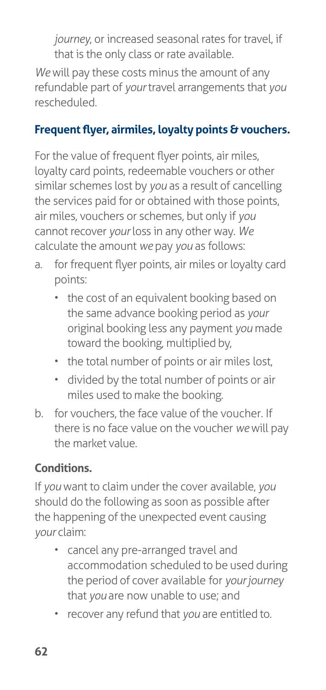*journey*, or increased seasonal rates for travel, if that is the only class or rate available.

*We* will pay these costs minus the amount of any refundable part of *your* travel arrangements that *you*  rescheduled.

### **Frequent flyer, airmiles, loyalty points & vouchers.**

For the value of frequent flyer points, air miles, loyalty card points, redeemable vouchers or other similar schemes lost by *you* as a result of cancelling the services paid for or obtained with those points, air miles, vouchers or schemes, but only if *you*  cannot recover *your* loss in any other way. *We*  calculate the amount *we* pay *you* as follows:

- a. for frequent flyer points, air miles or loyalty card points:
	- the cost of an equivalent booking based on the same advance booking period as *your*  original booking less any payment *you* made toward the booking, multiplied by,
	- the total number of points or air miles lost,
	- divided by the total number of points or air miles used to make the booking.
- b. for vouchers, the face value of the voucher. If there is no face value on the voucher *we* will pay the market value.

# **Conditions.**

If *you* want to claim under the cover available, *you*  should do the following as soon as possible after the happening of the unexpected event causing *your* claim:

- cancel any pre-arranged travel and accommodation scheduled to be used during the period of cover available for *your journey*  that *you* are now unable to use; and
- recover any refund that *you* are entitled to.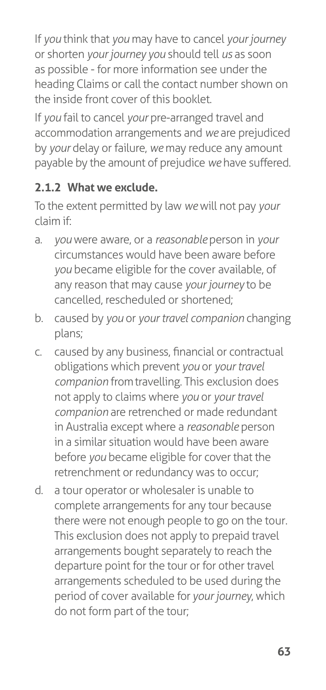If *you* think that *you* may have to cancel *your journey*  or shorten *your journey you* should tell *us* as soon as possible - for more information see under the heading Claims or call the contact number shown on the inside front cover of this booklet.

If *you* fail to cancel *your* pre-arranged travel and accommodation arrangements and *we* are prejudiced by *your* delay or failure, *we* may reduce any amount payable by the amount of prejudice *we* have suffered.

# **2.1.2 What we exclude.**

To the extent permitted by law *we* will not pay *your*  claim if:

- a. *you* were aware, or a *reasonable* person in *your*  circumstances would have been aware before *you* became eligible for the cover available, of any reason that may cause *your journey* to be cancelled, rescheduled or shortened;
- b. caused by *you* or *your travel companion* changing plans;
- c. caused by any business, financial or contractual obligations which prevent *you* or *your travel companion* from travelling. This exclusion does not apply to claims where *you* or *your travel companion* are retrenched or made redundant in Australia except where a *reasonable* person in a similar situation would have been aware before *you* became eligible for cover that the retrenchment or redundancy was to occur;
- d. a tour operator or wholesaler is unable to complete arrangements for any tour because there were not enough people to go on the tour. This exclusion does not apply to prepaid travel arrangements bought separately to reach the departure point for the tour or for other travel arrangements scheduled to be used during the period of cover available for *your journey*, which do not form part of the tour;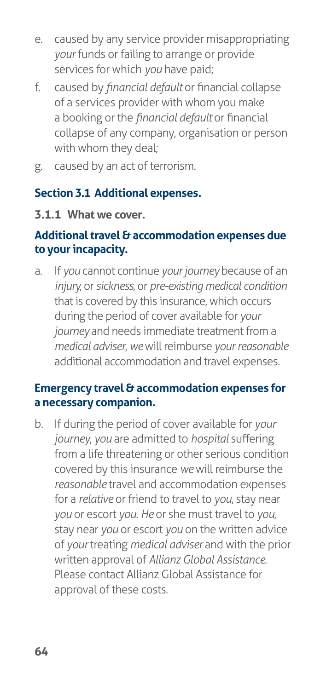- e. caused by any service provider misappropriating *your* funds or failing to arrange or provide services for which *you* have paid;
- f. caused by *financial default* or financial collapse of a services provider with whom you make a booking or the *financial default* or financial collapse of any company, organisation or person with whom they deal;
- g. caused by an act of terrorism.

### **Section 3.1 Additional expenses.**

#### **3.1.1 What we cover.**

#### **Additional travel & accommodation expenses due to your incapacity.**

a. If *you* cannot continue *your journey* because of an *injury,* or *sickness,* or *pre-existing medical condition*  that is covered by this insurance, which occurs during the period of cover available for *your journey* and needs immediate treatment from a *medical adviser*, *we* will reimburse *your reasonable*  additional accommodation and travel expenses.

#### **Emergency travel & accommodation expenses for a necessary companion.**

b. If during the period of cover available for *your journey*, *you* are admitted to *hospital* suffering from a life threatening or other serious condition covered by this insurance *we* will reimburse the *reasonable* travel and accommodation expenses for a *relative* or friend to travel to *you*, stay near *you* or escort *you*. *He* or she must travel to *you*, stay near *you* or escort *you* on the written advice of *your* treating *medical adviser* and with the prior written approval of *Allianz Global Assistance*. Please contact Allianz Global Assistance for approval of these costs.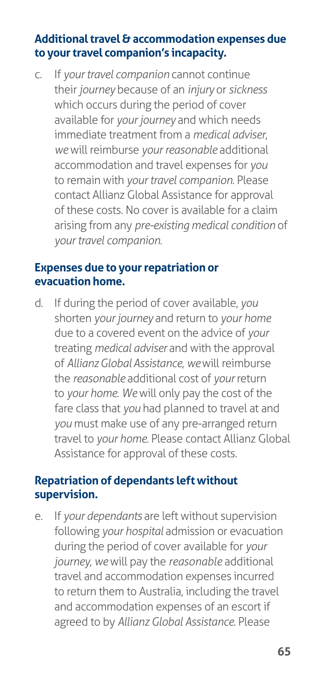#### **Additional travel & accommodation expenses due to your travel companion's incapacity.**

c. If *your travel companion* cannot continue their *journey* because of an *injury* or *sickness*  which occurs during the period of cover available for *your journey* and which needs immediate treatment from a *medical adviser*, *we* will reimburse *your reasonable* additional accommodation and travel expenses for *you*  to remain with *your travel companion*. Please contact Allianz Global Assistance for approval of these costs. No cover is available for a claim arising from any *pre-existing medical condition* of *your travel companion*.

#### **Expenses due to your repatriation or evacuation home.**

d. If during the period of cover available, *you*  shorten *your journey* and return to *your home*  due to a covered event on the advice of *your*  treating *medical adviser* and with the approval of *Allianz Global Assistance*, *we* will reimburse the *reasonable* additional cost of *your* return to *your home*. *We* will only pay the cost of the fare class that *you* had planned to travel at and *you* must make use of any pre-arranged return travel to *your home*. Please contact Allianz Global Assistance for approval of these costs.

#### **Repatriation of dependants left without supervision.**

e. If *your dependants* are left without supervision following *your hospital* admission or evacuation during the period of cover available for *your journey*, *we* will pay the *reasonable* additional travel and accommodation expenses incurred to return them to Australia, including the travel and accommodation expenses of an escort if agreed to by *Allianz Global Assistance*. Please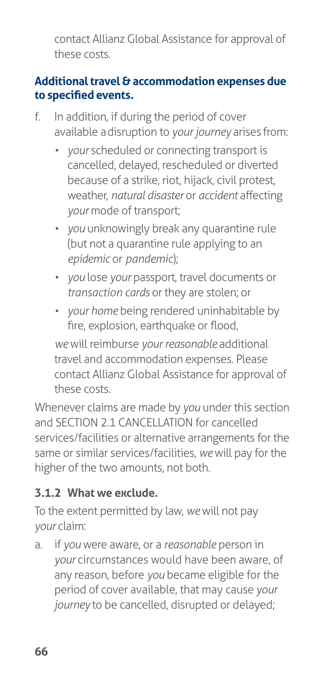contact Allianz Global Assistance for approval of these costs.

### **Additional travel & accommodation expenses due to specified events.**

- f. In addition, if during the period of cover available a disruption to *your journey* arises from:
	- *• your* scheduled or connecting transport is cancelled, delayed, rescheduled or diverted because of a strike, riot, hijack, civil protest, weather, *natural disaster* or *accident* affecting *your* mode of transport;
	- *• you* unknowingly break any quarantine rule (but not a quarantine rule applying to an *epidemic* or *pandemic*);
	- *• you* lose *your* passport, travel documents or *transaction cards* or they are stolen; or
	- *• your home* being rendered uninhabitable by fire, explosion, earthquake or flood,

*we* will reimburse *your reasonable* additional travel and accommodation expenses. Please contact Allianz Global Assistance for approval of these costs.

Whenever claims are made by *you* under this section and SECTION 2.1 CANCELLATION for cancelled services/facilities or alternative arrangements for the same or similar services/facilities, *we* will pay for the higher of the two amounts, not both.

# **3.1.2 What we exclude.**

To the extent permitted by law, *we* will not pay *your* claim:

a. if *you* were aware, or a *reasonable* person in *your* circumstances would have been aware, of any reason, before *you* became eligible for the period of cover available, that may cause *your journey* to be cancelled, disrupted or delayed;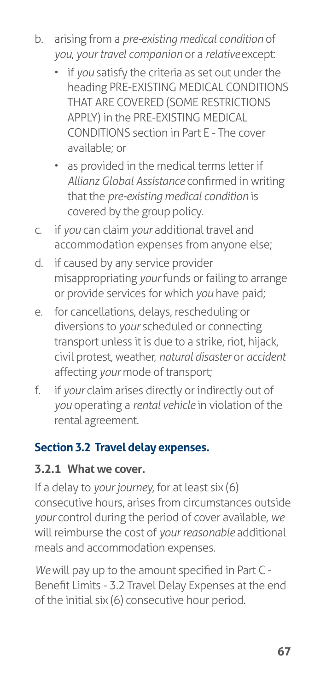- b. arising from a *pre-existing medical condition* of *you*, *your travel companion* or a *relative* except:
	- if *you* satisfy the criteria as set out under the heading PRE-EXISTING MEDICAL CONDITIONS THAT ARE COVERED (SOME RESTRICTIONS APPLY) in the PRE-EXISTING MEDICAL CONDITIONS section in Part E - The cover available; or
	- as provided in the medical terms letter if *Allianz Global Assistance* confirmed in writing that the *pre-existing medical condition* is covered by the group policy.
- c. if *you* can claim *your* additional travel and accommodation expenses from anyone else;
- d. if caused by any service provider misappropriating *your* funds or failing to arrange or provide services for which *you* have paid;
- e. for cancellations, delays, rescheduling or diversions to *your* scheduled or connecting transport unless it is due to a strike, riot, hijack, civil protest, weather, *natural disaster* or *accident*  affecting *your* mode of transport;
- f. if *your* claim arises directly or indirectly out of *you* operating a *rental vehicle* in violation of the rental agreement.

#### **Section 3.2 Travel delay expenses.**

#### **3.2.1 What we cover.**

If a delay to *your journey*, for at least six (6) consecutive hours, arises from circumstances outside *your* control during the period of cover available, *we*  will reimburse the cost of *your reasonable* additional meals and accommodation expenses.

*We* will pay up to the amount specified in Part C - Benefit Limits - 3.2 Travel Delay Expenses at the end of the initial six (6) consecutive hour period.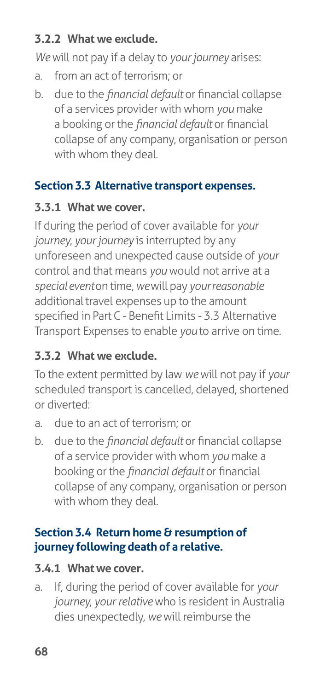### **3.2.2 What we exclude.**

*We* will not pay if a delay to *your journey* arises:

- a. from an act of terrorism; or
- b. due to the *financial default* or financial collapse of a services provider with whom *you* make a booking or the *financial default* or financial collapse of any company, organisation or person with whom they deal.

#### **Section 3.3 Alternative transport expenses.**

#### **3.3.1 What we cover.**

If during the period of cover available for *your journey*, *your journey* is interrupted by any unforeseen and unexpected cause outside of *your*  control and that means *you* would not arrive at a *special event* on time, *we* will pay *your reasonable*  additional travel expenses up to the amount specified in Part C - Benefit Limits - 3.3 Alternative Transport Expenses to enable *you* to arrive on time.

## **3.3.2 What we exclude.**

To the extent permitted by law *we* will not pay if *your*  scheduled transport is cancelled, delayed, shortened or diverted:

- a. due to an act of terrorism; or
- b. due to the *financial default* or financial collapse of a service provider with whom *you* make a booking or the *financial default* or financial collapse of any company, organisation or person with whom they deal.

#### **Section 3.4 Return home & resumption of journey following death of a relative.**

#### **3.4.1 What we cover.**

a. If, during the period of cover available for *your journey*, *your relative* who is resident in Australia dies unexpectedly, *we* will reimburse the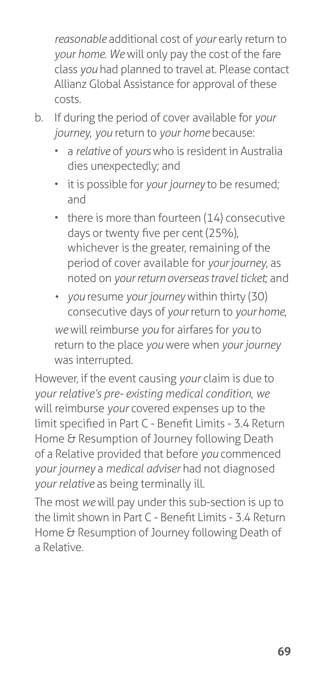*reasonable* additional cost of *your* early return to *your home*. *We* will only pay the cost of the fare class *you* had planned to travel at. Please contact Allianz Global Assistance for approval of these costs.

- b. If during the period of cover available for *your journey*, *you* return to *your home* because:
	- a *relative* of *yours* who is resident in Australia dies unexpectedly; and
	- it is possible for *your journey* to be resumed; and
	- there is more than fourteen (14) consecutive days or twenty five per cent (25%), whichever is the greater, remaining of the period of cover available for *your journey*, as noted on *your return overseas travel ticket*; and
	- *• you* resume *your journey* within thirty (30) consecutive days of *your* return to *your home*, *we* will reimburse *you* for airfares for *you* to return to the place *you* were when *your journey*  was interrupted.

However, if the event causing *your* claim is due to *your relative's pre- existing medical condition*, *we*  will reimburse *your* covered expenses up to the limit specified in Part C - Benefit Limits - 3.4 Return Home & Resumption of Journey following Death of a Relative provided that before *you* commenced *your journey* a *medical adviser* had not diagnosed *your relative* as being terminally ill.

The most *we* will pay under this sub-section is up to the limit shown in Part C - Benefit Limits - 3.4 Return Home & Resumption of Journey following Death of a Relative.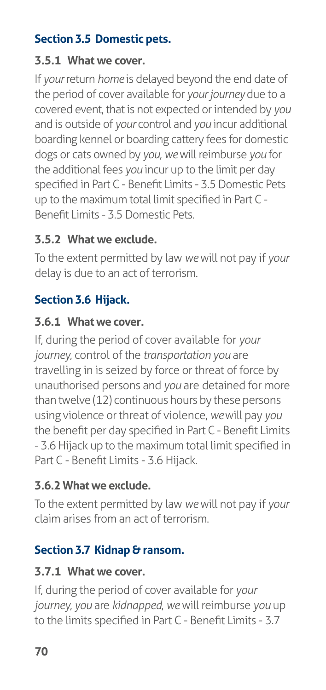## **Section 3.5 Domestic pets.**

#### **3.5.1 What we cover.**

If *your* return *home* is delayed beyond the end date of the period of cover available for *your journey* due to a covered event, that is not expected or intended by *you*  and is outside of *your* control and *you* incur additional boarding kennel or boarding cattery fees for domestic dogs or cats owned by *you*, *we* will reimburse *you* for the additional fees *you* incur up to the limit per day specified in Part C - Benefit Limits - 3.5 Domestic Pets up to the maximum total limit specified in Part C - Benefit Limits - 3.5 Domestic Pets.

#### **3.5.2 What we exclude.**

To the extent permitted by law *we* will not pay if *your*  delay is due to an act of terrorism.

### **Section 3.6 Hijack.**

#### **3.6.1 What we cover.**

If, during the period of cover available for *your journey*, control of the *transportation you* are travelling in is seized by force or threat of force by unauthorised persons and *you* are detained for more than twelve (12) continuous hours by these persons using violence or threat of violence, *we* will pay *you*  the benefit per day specified in Part C - Benefit Limits - 3.6 Hijack up to the maximum total limit specified in Part C - Benefit Limits - 3.6 Hijack.

#### **3.6.2 What we exclude.**

To the extent permitted by law *we* will not pay if *your*  claim arises from an act of terrorism.

#### **Section 3.7 Kidnap & ransom.**

#### **3.7.1 What we cover.**

If, during the period of cover available for *your journey*, *you* are *kidnapped*, *we* will reimburse *you* up to the limits specified in Part C - Benefit Limits - 3.7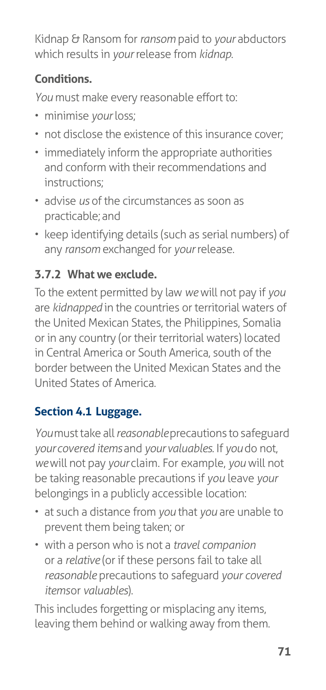Kidnap & Ransom for *ransom* paid to *your* abductors which results in *your* release from *kidnap*.

## **Conditions.**

*You* must make every reasonable effort to:

- minimise *your* loss;
- not disclose the existence of this insurance cover;
- immediately inform the appropriate authorities and conform with their recommendations and instructions;
- advise *us* of the circumstances as soon as practicable; and
- keep identifying details (such as serial numbers) of any *ransom* exchanged for *your* release.

## **3.7.2 What we exclude.**

To the extent permitted by law *we* will not pay if *you*  are *kidnapped* in the countries or territorial waters of the United Mexican States, the Philippines, Somalia or in any country (or their territorial waters) located in Central America or South America, south of the border between the United Mexican States and the United States of America.

## **Section 4.1 Luggage.**

*You* must take all *reasonable* precautions to safeguard *your covered items* and *your valuables*. If *you* do not, *we* will not pay *your* claim. For example, *you* will not be taking reasonable precautions if *you* leave *your*  belongings in a publicly accessible location:

- at such a distance from *you* that *you* are unable to prevent them being taken; or
- with a person who is not a *travel companion*  or a *relative* (or if these persons fail to take all *reasonable* precautions to safeguard *your covered items* or *valuables*).

This includes forgetting or misplacing any items, leaving them behind or walking away from them.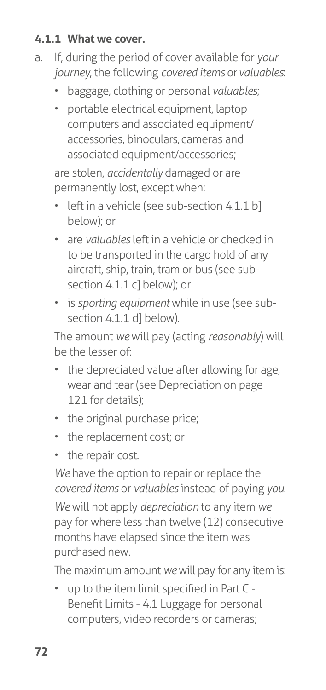#### **4.1.1 What we cover.**

- a. If, during the period of cover available for *your journey*, the following *covered items* or *valuables*:
	- baggage, clothing or personal *valuables*;
	- portable electrical equipment, laptop computers and associated equipment/ accessories, binoculars, cameras and associated equipment/accessories;

are stolen, *accidentally* damaged or are permanently lost, except when:

- left in a vehicle (see sub-section 4.1.1 b] below); or
- are *valuables* left in a vehicle or checked in to be transported in the cargo hold of any aircraft, ship, train, tram or bus (see subsection 4.1.1 c] below); or
- is *sporting equipment* while in use (see subsection 4.1.1 dl below).

The amount *we* will pay (acting *reasonably*) will be the lesser of:

- the depreciated value after allowing for age, wear and tear (see Depreciation on [page](#page-126-0)  [121](#page-126-0) for details);
- the original purchase price;
- the replacement cost; or
- the repair cost.

*We* have the option to repair or replace the *covered items* or *valuables* instead of paying *you*. *We* will not apply *depreciation* to any item *we*  pay for where less than twelve (12) consecutive months have elapsed since the item was purchased new.

The maximum amount *we* will pay for any item is:

• up to the item limit specified in Part C - Benefit Limits - 4.1 Luggage for personal computers, video recorders or cameras;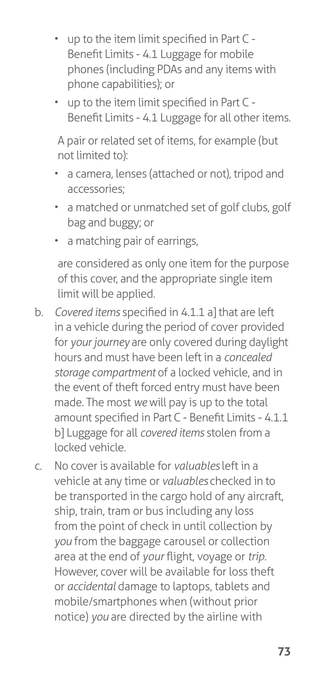- up to the item limit specified in Part C Benefit Limits - 4.1 Luggage for mobile phones (including PDAs and any items with phone capabilities); or
- up to the item limit specified in Part C Benefit Limits - 4.1 Luggage for all other items.

A pair or related set of items, for example (but not limited to):

- a camera, lenses (attached or not), tripod and accessories;
- a matched or unmatched set of golf clubs, golf bag and buggy; or
- a matching pair of earrings,

are considered as only one item for the purpose of this cover, and the appropriate single item limit will be applied.

- b. *Covered items* specified in 4.1.1 a] that are left in a vehicle during the period of cover provided for *your journey* are only covered during daylight hours and must have been left in a *concealed storage compartment* of a locked vehicle, and in the event of theft forced entry must have been made. The most *we* will pay is up to the total amount specified in Part C - Benefit Limits - 4.1.1 b] Luggage for all *covered items* stolen from a locked vehicle.
- c. No cover is available for *valuables* left in a vehicle at any time or *valuables* checked in to be transported in the cargo hold of any aircraft, ship, train, tram or bus including any loss from the point of check in until collection by *you* from the baggage carousel or collection area at the end of *your* flight, voyage or *trip.*  However, cover will be available for loss theft or *accidental* damage to laptops, tablets and mobile/smartphones when (without prior notice) *you* are directed by the airline with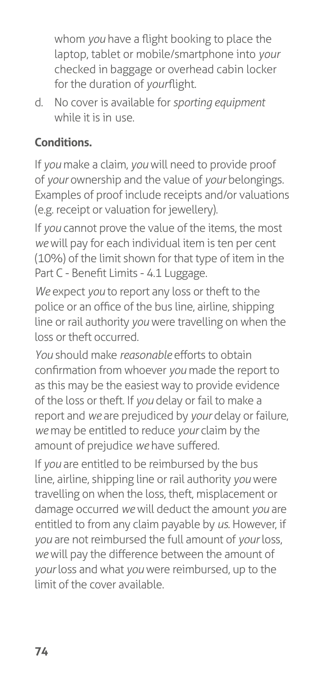whom *you* have a flight booking to place the laptop, tablet or mobile/smartphone into *your*  checked in baggage or overhead cabin locker for the duration of *yourflight*.

d. No cover is available for *sporting equipment*  while it is in use.

## **Conditions.**

If *you* make a claim, *you* will need to provide proof of *your* ownership and the value of *your* belongings. Examples of proof include receipts and/or valuations (e.g. receipt or valuation for jewellery).

If *you* cannot prove the value of the items, the most *we* will pay for each individual item is ten per cent (10%) of the limit shown for that type of item in the Part C - Benefit Limits - 4.1 Luggage.

*We* expect *you* to report any loss or theft to the police or an office of the bus line, airline, shipping line or rail authority *you* were travelling on when the loss or theft occurred.

*You* should make *reasonable* efforts to obtain confirmation from whoever *you* made the report to as this may be the easiest way to provide evidence of the loss or theft. If *you* delay or fail to make a report and *we* are prejudiced by *your* delay or failure, *we* may be entitled to reduce *your* claim by the amount of prejudice *we* have suffered.

If *you* are entitled to be reimbursed by the bus line, airline, shipping line or rail authority *you* were travelling on when the loss, theft, misplacement or damage occurred *we* will deduct the amount *you* are entitled to from any claim payable by *us*. However, if *you* are not reimbursed the full amount of *your* loss, *we* will pay the difference between the amount of *your* loss and what *you* were reimbursed, up to the limit of the cover available.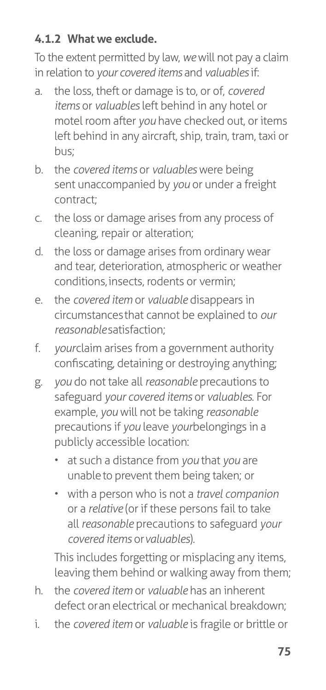### **4.1.2 What we exclude.**

To the extent permitted by law, *we* will not pay a claim in relation to *your covered items* and *valuables* if:

- a. the loss, theft or damage is to, or of, *covered items* or *valuables* left behind in any hotel or motel room after *you* have checked out, or items left behind in any aircraft, ship, train, tram, taxi or bus;
- b. the *covered items* or *valuables* were being sent unaccompanied by *you* or under a freight contract;
- c. the loss or damage arises from any process of cleaning, repair or alteration;
- d. the loss or damage arises from ordinary wear and tear, deterioration, atmospheric or weather conditions, insects, rodents or vermin;
- e. the *covered item* or *valuable* disappears in circumstances that cannot be explained to *our reasonable* satisfaction;
- f. *your* claim arises from a government authority confiscating, detaining or destroying anything;
- g. *you* do not take all *reasonable* precautions to safeguard *your covered items* or *valuables*. For example, *you* will not be taking *reasonable*  precautions if *you* leave *yourbelongings* in a publicly accessible location:
	- at such a distance from *you* that *you* are unable to prevent them being taken; or
	- with a person who is not a *travel companion*  or a *relative* (or if these persons fail to take all *reasonable* precautions to safeguard *your covered items* or *valuables*).

This includes forgetting or misplacing any items, leaving them behind or walking away from them;

- h. the *covered item* or *valuable* has an inherent defect or an electrical or mechanical breakdown;
- i. the *covered item* or *valuable* is fragile or brittle or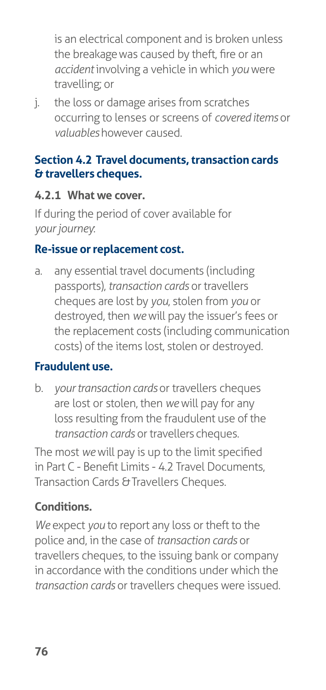is an electrical component and is broken unless the breakage was caused by theft, fire or an *accident* involving a vehicle in which *you* were travelling; or

j. the loss or damage arises from scratches occurring to lenses or screens of *covered items* or *valuables* however caused.

#### **Section 4.2 Travel documents, transaction cards & travellers cheques.**

#### **4.2.1 What we cover.**

If during the period of cover available for *your journey*:

#### **Re-issue or replacement cost.**

a. any essential travel documents (including passports), *transaction cards* or travellers cheques are lost by *you*, stolen from *you* or destroyed, then *we* will pay the issuer's fees or the replacement costs (including communication costs) of the items lost, stolen or destroyed.

#### **Fraudulent use.**

b. *your transaction cards* or travellers cheques are lost or stolen, then *we* will pay for any loss resulting from the fraudulent use of the *transaction cards* or travellers cheques.

The most *we* will pay is up to the limit specified in Part C - Benefit Limits - 4.2 Travel Documents, Transaction Cards & Travellers Cheques.

#### **Conditions.**

*We* expect *you* to report any loss or theft to the police and, in the case of *transaction cards* or travellers cheques, to the issuing bank or company in accordance with the conditions under which the *transaction cards* or travellers cheques were issued.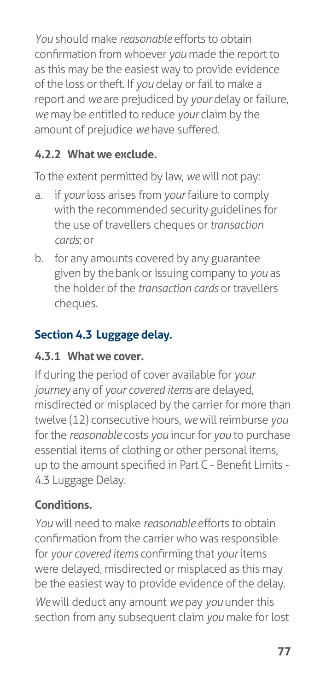*You* should make *reasonable* efforts to obtain confirmation from whoever *you* made the report to as this may be the easiest way to provide evidence of the loss or theft. If *you* delay or fail to make a report and *we* are prejudiced by *your* delay or failure, *we* may be entitled to reduce *your* claim by the amount of prejudice *we* have suffered.

### **4.2.2 What we exclude.**

To the extent permitted by law, *we* will not pay:

- a. if *your* loss arises from *your* failure to comply with the recommended security guidelines for the use of travellers cheques or *transaction cards*; or
- b. for any amounts covered by any guarantee given by the bank or issuing company to *you* as the holder of the *transaction cards* or travellers cheques.

## **Section 4.3 Luggage delay.**

#### **4.3.1 What we cover.**

If during the period of cover available for *your journey* any of *your covered items* are delayed, misdirected or misplaced by the carrier for more than twelve (12) consecutive hours, *we* will reimburse *you*  for the *reasonable* costs *you* incur for *you* to purchase essential items of clothing or other personal items, up to the amount specified in Part C - Benefit Limits - 4.3 Luggage Delay.

## **Conditions.**

*You* will need to make *reasonable* efforts to obtain confirmation from the carrier who was responsible for *your covered items* confirming that *your* items were delayed, misdirected or misplaced as this may be the easiest way to provide evidence of the delay.

*We* will deduct any amount *we* pay *you* under this section from any subsequent claim *you* make for lost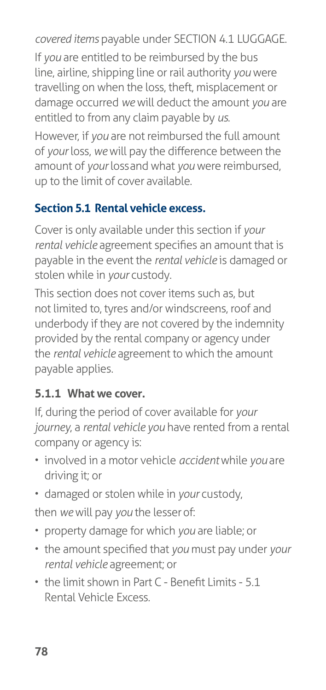*covered items* payable under SECTION 4.1 LUGGAGE.

If *you* are entitled to be reimbursed by the bus line, airline, shipping line or rail authority *you* were travelling on when the loss, theft, misplacement or damage occurred *we* will deduct the amount *you* are entitled to from any claim payable by *us*.

However, if *you* are not reimbursed the full amount of *your* loss, *we* will pay the difference between the amount of *your* loss and what *you* were reimbursed, up to the limit of cover available.

#### **Section 5.1 Rental vehicle excess.**

Cover is only available under this section if *your rental vehicle* agreement specifies an amount that is payable in the event the *rental vehicle* is damaged or stolen while in *your* custody.

This section does not cover items such as, but not limited to, tyres and/or windscreens, roof and underbody if they are not covered by the indemnity provided by the rental company or agency under the *rental vehicle* agreement to which the amount payable applies.

#### **5.1.1 What we cover.**

If, during the period of cover available for *your journey*, a *rental vehicle you* have rented from a rental company or agency is:

- involved in a motor vehicle *accident* while *you* are driving it; or
- damaged or stolen while in *your* custody,

then *we* will pay *you* the lesser of:

- property damage for which *you* are liable; or
- the amount specified that *you* must pay under *your rental vehicle* agreement; or
- the limit shown in Part C Benefit Limits 5.1 Rental Vehicle Excess*.*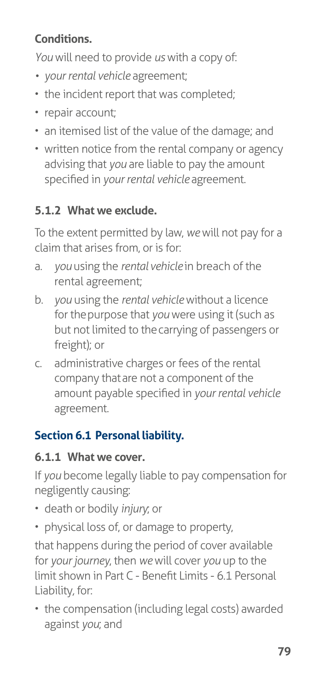## **Conditions.**

*You* will need to provide *us* with a copy of:

- *• your rental vehicle* agreement;
- the incident report that was completed;
- repair account;
- an itemised list of the value of the damage; and
- written notice from the rental company or agency advising that *you* are liable to pay the amount specified in *your rental vehicle* agreement.

## **5.1.2 What we exclude.**

To the extent permitted by law, *we* will not pay for a claim that arises from, or is for:

- a. *you* using the *rental vehicle* in breach of the rental agreement;
- b. *you* using the *rental vehicle* without a licence for the purpose that *you* were using it (such as but not limited to the carrying of passengers or freight); or
- c. administrative charges or fees of the rental company that are not a component of the amount payable specified in *your rental vehicle*  agreement.

## **Section 6.1 Personal liability.**

## **6.1.1 What we cover.**

If *you* become legally liable to pay compensation for negligently causing:

- death or bodily *injury*; or
- physical loss of, or damage to property,

that happens during the period of cover available for *your journey*, then *we* will cover *you* up to the limit shown in Part C - Benefit Limits - 6.1 Personal Liability*,* for:

• the compensation (including legal costs) awarded against *you*; and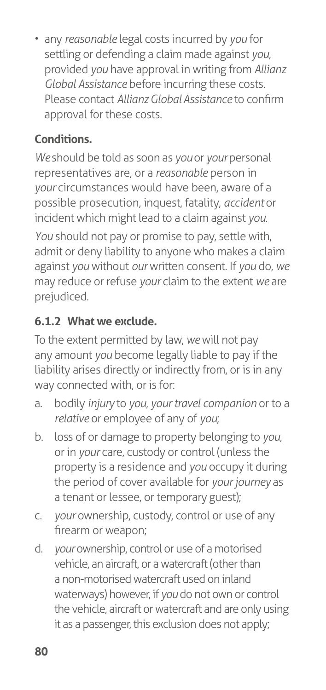• any *reasonable* legal costs incurred by *you* for settling or defending a claim made against *you*, provided *you* have approval in writing from *Allianz Global Assistance* before incurring these costs. Please contact *Allianz Global Assistance* to confirm approval for these costs.

## **Conditions.**

*We* should be told as soon as *you* or *your* personal representatives are, or a *reasonable* person in *your* circumstances would have been, aware of a possible prosecution, inquest, fatality, *accident* or incident which might lead to a claim against *you*. *You* should not pay or promise to pay, settle with, admit or deny liability to anyone who makes a claim against *you* without *our* written consent. If *you* do, *we*  may reduce or refuse *your* claim to the extent *we* are prejudiced.

## **6.1.2 What we exclude.**

To the extent permitted by law, *we* will not pay any amount *you* become legally liable to pay if the liability arises directly or indirectly from, or is in any way connected with, or is for:

- a. bodily *injury* to *you*, *your travel companion* or to a *relative* or employee of any of *you*;
- b. loss of or damage to property belonging to *you*, or in *your* care, custody or control (unless the property is a residence and *you* occupy it during the period of cover available for *your journey* as a tenant or lessee, or temporary guest);
- c. *your* ownership, custody, control or use of any firearm or weapon;
- d. *your* ownership, control or use of a motorised vehicle, an aircraft, or a watercraft (other than a non-motorised watercraft used on inland waterways) however, if *you* do not own or control the vehicle, aircraft or watercraft and are only using it as a passenger, this exclusion does not apply;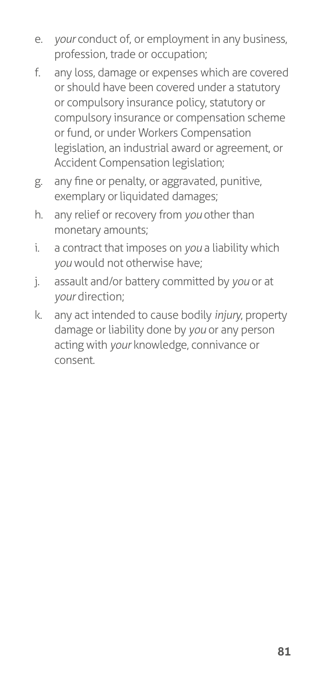- e. *your* conduct of, or employment in any business, profession, trade or occupation;
- f. any loss, damage or expenses which are covered or should have been covered under a statutory or compulsory insurance policy, statutory or compulsory insurance or compensation scheme or fund, or under Workers Compensation legislation, an industrial award or agreement, or Accident Compensation legislation;
- g. any fine or penalty, or aggravated, punitive, exemplary or liquidated damages;
- h. any relief or recovery from *you* other than monetary amounts;
- i. a contract that imposes on *you* a liability which *you* would not otherwise have;
- j. assault and/or battery committed by *you* or at *your* direction;
- k. any act intended to cause bodily *injury*, property damage or liability done by *you* or any person acting with *your* knowledge, connivance or consent.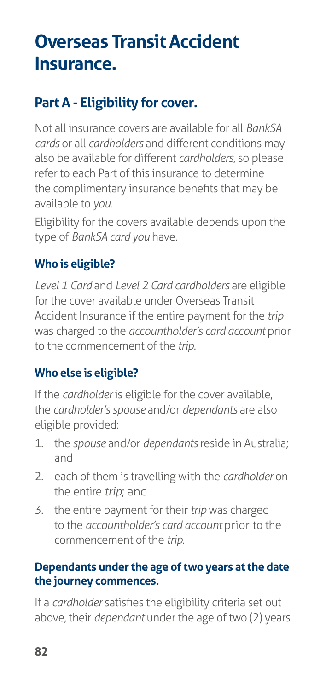# **Overseas Transit Accident Insurance.**

## **Part A - Eligibility for cover.**

Not all insurance covers are available for all *BankSA cards* or all *cardholders* and different conditions may also be available for different *cardholders*, so please refer to each Part of this insurance to determine the complimentary insurance benefits that may be available to *you*.

Eligibility for the covers available depends upon the type of *BankSA card you* have.

### **Who is eligible?**

*Level 1 Card* and *Level 2 Card cardholders* are eligible for the cover available under Overseas Transit Accident Insurance if the entire payment for the *trip*  was charged to the *accountholder's card account* prior to the commencement of the *trip*.

#### **Who else is eligible?**

If the *cardholder* is eligible for the cover available, the *cardholder's spouse* and/or *dependants* are also eligible provided:

- 1. the *spouse* and/or *dependants* reside in Australia; and
- 2. each of them is travelling with the *cardholder* on the entire *trip*; and
- 3. the entire payment for their *trip* was charged to the *accountholder's card account* prior to the commencement of the *trip*.

#### **Dependants under the age of two years at the date the journey commences.**

If a *cardholder* satisfies the eligibility criteria set out above, their *dependant* under the age of two (2) years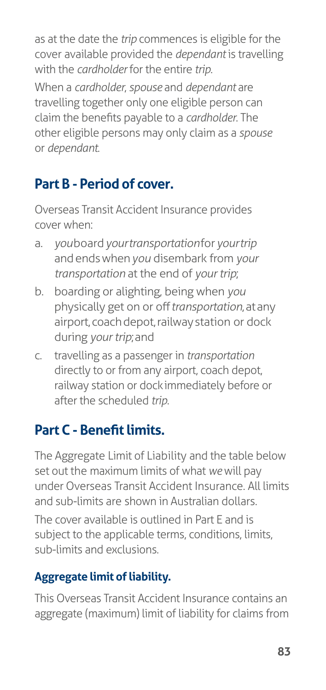as at the date the *trip* commences is eligible for the cover available provided the *dependant* is travelling with the *cardholder* for the entire *trip*.

When a *cardholder*, *spouse* and *dependant* are travelling together only one eligible person can claim the benefits payable to a *cardholder*. The other eligible persons may only claim as a *spouse*  or *dependant*.

## **Part B - Period of cover.**

Overseas Transit Accident Insurance provides cover when:

- a. *you* board *your transportation* for *your trip*  and ends when *you* disembark from *your transportation* at the end of *your trip*;
- b. boarding or alighting, being when *you*  physically get on or off *transportation*, at any airport, coach depot, railway station or dock during *your trip*; and
- c. travelling as a passenger in *transportation*  directly to or from any airport, coach depot, railway station or dock immediately before or after the scheduled *trip*.

## **Part C - Benefit limits.**

The Aggregate Limit of Liability and the table below set out the maximum limits of what *we* will pay under Overseas Transit Accident Insurance. All limits and sub-limits are shown in Australian dollars.

The cover available is outlined in Part E and is subject to the applicable terms, conditions, limits, sub-limits and exclusions.

## **Aggregate limit of liability.**

This Overseas Transit Accident Insurance contains an aggregate (maximum) limit of liability for claims from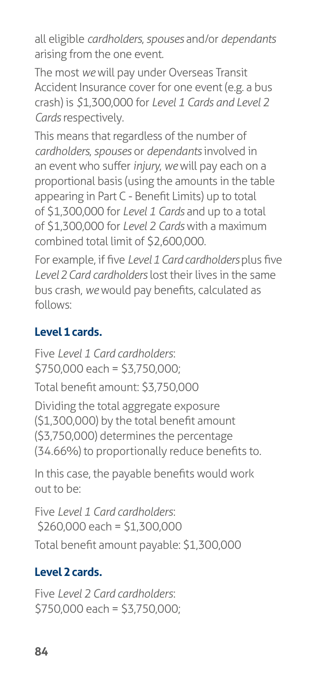all eligible *cardholders*, *spouses* and/or *dependants*  arising from the one event.

The most *we* will pay under Overseas Transit Accident Insurance cover for one event (e.g. a bus crash) is *\$*1,300,000 for *Level 1 Cards and Level 2 Cards* respectively.

This means that regardless of the number of *cardholders*, *spouses* or *dependants* involved in an event who suffer *injury*, *we* will pay each on a proportional basis (using the amounts in the table appearing in Part C - Benefit Limits) up to total of \$1,300,000 for *Level 1 Cards* and up to a total of \$1,300,000 for *Level 2 Cards* with a maximum combined total limit of \$2,600,000.

For example, if five *Level 1 Card cardholders* plus five *Level 2 Card cardholders* lost their lives in the same bus crash, *we* would pay benefits, calculated as follows:

## **Level 1 cards.**

Five *Level 1 Card cardholders*: \$750,000 each = \$3,750,000;

Total benefit amount: \$3,750,000

Dividing the total aggregate exposure (\$1,300,000) by the total benefit amount (\$3,750,000) determines the percentage (34.66%) to proportionally reduce benefits to.

In this case, the payable benefits would work out to be:

Five *Level 1 Card cardholders*: \$260,000 each = \$1,300,000 Total benefit amount payable: \$1,300,000

## **Level 2 cards.**

Five *Level 2 Card cardholders*:  $$750,000$  each =  $$3,750,000$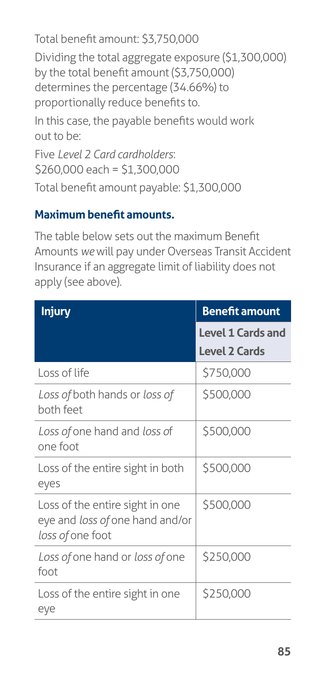Total benefit amount: \$3,750,000 Dividing the total aggregate exposure (\$1,300,000) by the total benefit amount (\$3,750,000) determines the percentage (34.66%) to proportionally reduce benefits to. In this case, the payable benefits would work out to be: Five *Level 2 Card cardholders*: \$260,000 each = \$1,300,000

Total benefit amount payable: \$1,300,000

#### **Maximum benefit amounts.**

The table below sets out the maximum Benefit Amounts *we* will pay under Overseas Transit Accident Insurance if an aggregate limit of liability does not apply (see above).

| <b>Injury</b>                                                                          | <b>Benefit amount</b>                            |
|----------------------------------------------------------------------------------------|--------------------------------------------------|
|                                                                                        | <b>Level 1 Cards and</b><br><b>Level 2 Cards</b> |
| Loss of life                                                                           | \$750,000                                        |
| Loss of both hands or loss of<br>both feet                                             | \$500,000                                        |
| Loss of one hand and loss of<br>one foot                                               | \$500,000                                        |
| Loss of the entire sight in both<br>eyes                                               | \$500,000                                        |
| Loss of the entire sight in one<br>eye and loss of one hand and/or<br>loss of one foot | \$500,000                                        |
| Loss of one hand or loss of one<br>foot                                                | \$250,000                                        |
| Loss of the entire sight in one<br>eye                                                 | \$250,000                                        |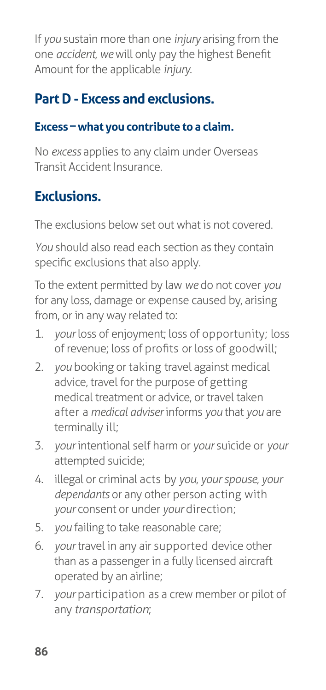If *you* sustain more than one *injury* arising from the one *accident*, *we* will only pay the highest Benefit Amount for the applicable *injury*.

## **Part D - Excess and exclusions.**

### **Excess – what you contribute to a claim.**

No *excess* applies to any claim under Overseas Transit Accident Insurance.

## **Exclusions.**

The exclusions below set out what is not covered.

*You* should also read each section as they contain specific exclusions that also apply.

To the extent permitted by law *we* do not cover *you*  for any loss, damage or expense caused by, arising from, or in any way related to:

- 1. *your* loss of enjoyment; loss of opportunity; loss of revenue; loss of profits or loss of goodwill;
- 2. *you* booking or taking travel against medical advice, travel for the purpose of getting medical treatment or advice, or travel taken after a *medical adviser* informs *you* that *you* are terminally ill;
- 3. *your* intentional self harm or *your* suicide or *your* attempted suicide;
- 4. illegal or criminal acts by *you*, *your spouse*, *your dependants* or any other person acting with *your* consent or under *your* direction;
- 5. *you* failing to take reasonable care;
- 6. *your* travel in any air supported device other than as a passenger in a fully licensed aircraft operated by an airline;
- 7. *your* participation as a crew member or pilot of any *transportation*;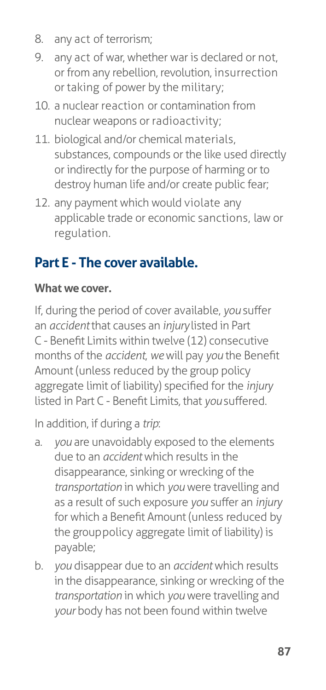- 8. any act of terrorism;
- 9. any act of war, whether war is declared or not, or from any rebellion, revolution, insurrection or taking of power by the military;
- 10. a nuclear reaction or contamination from nuclear weapons or radioactivity;
- 11. biological and/or chemical materials, substances, compounds or the like used directly or indirectly for the purpose of harming or to destroy human life and/or create public fear;
- 12. any payment which would violate any applicable trade or economic sanctions, law or regulation.

## **Part E - The cover available.**

## **What we cover.**

If, during the period of cover available, *you* suffer an *accident* that causes an *injury* listed in Part C - Benefit Limits within twelve (12) consecutive months of the *accident*, *we* will pay *you* the Benefit Amount (unless reduced by the group policy aggregate limit of liability) specified for the *injury*  listed in Part C - Benefit Limits*,* that *you* suffered.

In addition, if during a *trip*:

- a. *you* are unavoidably exposed to the elements due to an *accident* which results in the disappearance, sinking or wrecking of the *transportation* in which *you* were travelling and as a result of such exposure *you* suffer an *injury*  for which a Benefit Amount (unless reduced by the group policy aggregate limit of liability) is payable;
- b. *you* disappear due to an *accident* which results in the disappearance, sinking or wrecking of the *transportation* in which *you* were travelling and *your* body has not been found within twelve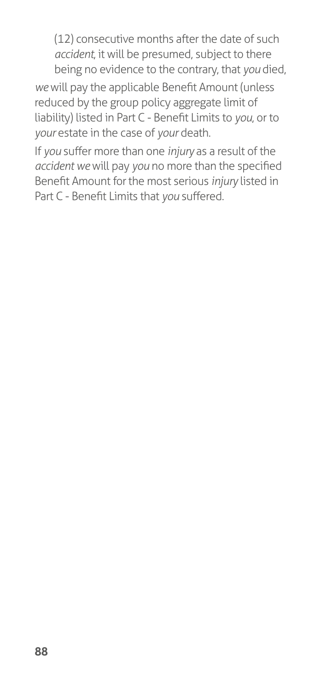(12) consecutive months after the date of such *accident*, it will be presumed, subject to there being no evidence to the contrary, that *you* died,

*we* will pay the applicable Benefit Amount (unless reduced by the group policy aggregate limit of liability) listed in Part C - Benefit Limits to *you*, or to *your* estate in the case of *your* death.

If *you* suffer more than one *injury* as a result of the *accident we* will pay *you* no more than the specified Benefit Amount for the most serious *injury* listed in Part C - Benefit Limits that *you* suffered.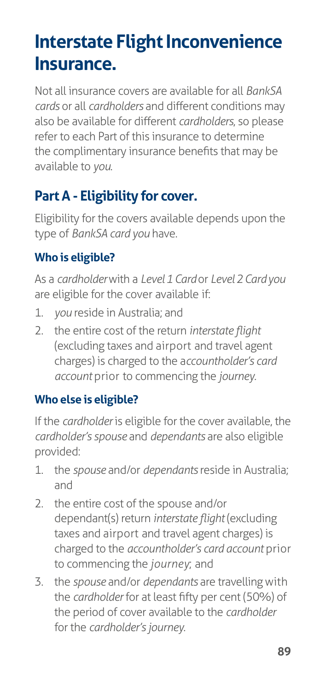# **Interstate Flight Inconvenience Insurance.**

Not all insurance covers are available for all *BankSA cards* or all *cardholders* and different conditions may also be available for different *cardholders*, so please refer to each Part of this insurance to determine the complimentary insurance benefits that may be available to *you*.

## **Part A - Eligibility for cover.**

Eligibility for the covers available depends upon the type of *BankSA card you* have.

## **Who is eligible?**

As a *cardholder* with a *Level 1 Card* or *Level 2 Card you*  are eligible for the cover available if:

- 1. *you* reside in Australia; and
- 2. the entire cost of the return *interstate flight*  (excluding taxes and airport and travel agent charges) is charged to the a*ccountholder's card account* prior to commencing the *journey*.

#### **Who else is eligible?**

If the *cardholder* is eligible for the cover available, the *cardholder's spouse* and *dependants* are also eligible provided:

- 1. the *spouse* and/or *dependants* reside in Australia; and
- 2. the entire cost of the spouse and/or dependant(s) return *interstate flight* (excluding taxes and airport and travel agent charges) is charged to the *accountholder's card account* prior to commencing the *journey*; and
- 3. the *spouse* and/or *dependants* are travelling with the *cardholder* for at least fifty per cent (50%) of the period of cover available to the *cardholder*  for the *cardholder's journey*.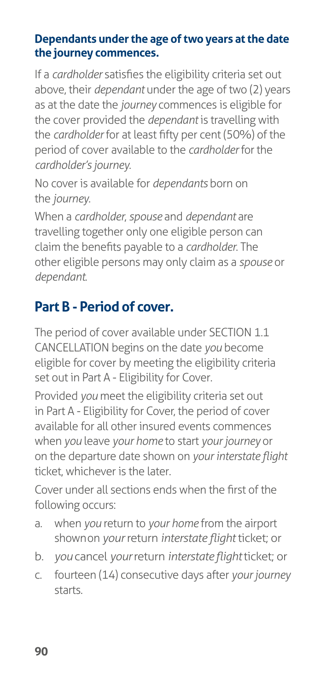#### **Dependants under the age of two years at the date the journey commences.**

If a *cardholder* satisfies the eligibility criteria set out above, their *dependant* under the age of two (2) years as at the date the *journey* commences is eligible for the cover provided the *dependant* is travelling with the *cardholder* for at least fifty per cent (50%) of the period of cover available to the *cardholder* for the *cardholder's journey*.

No cover is available for *dependants* born on the *journey*.

When a *cardholder*, *spouse* and *dependant* are travelling together only one eligible person can claim the benefits payable to a *cardholder*. The other eligible persons may only claim as a *spouse* or *dependant*.

## **Part B - Period of cover.**

The period of cover available under SECTION 1.1 CANCELLATION begins on the date *you* become eligible for cover by meeting the eligibility criteria set out in Part A - Eligibility for Cover.

Provided *you* meet the eligibility criteria set out in Part A - Eligibility for Cover, the period of cover available for all other insured events commences when *you* leave *your home* to start *your journey* or on the departure date shown on *your interstate flight*  ticket, whichever is the later.

Cover under all sections ends when the first of the following occurs:

- a. when *you* return to *your home* from the airport shown on *your* return *interstate flight* ticket; or
- b. *you* cancel *your* return *interstate flight* ticket; or
- c. fourteen (14) consecutive days after *your journey*  starts.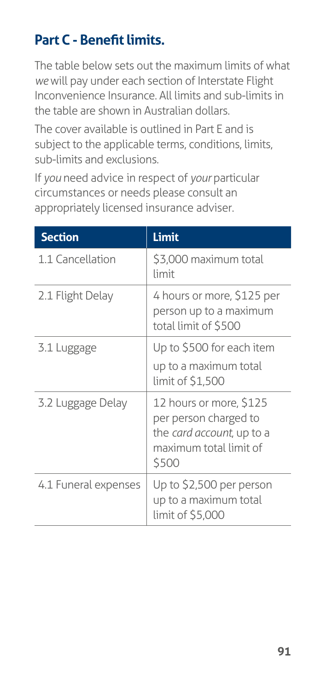## **Part C - Benefit limits.**

The table below sets out the maximum limits of what *we* will pay under each section of Interstate Flight Inconvenience Insurance. All limits and sub-limits in the table are shown in Australian dollars.

The cover available is outlined in Part E and is subject to the applicable terms, conditions, limits, sub-limits and exclusions.

If *you* need advice in respect of *your* particular circumstances or needs please consult an appropriately licensed insurance adviser.

| <b>Section</b>       | Limit                                                                                                            |
|----------------------|------------------------------------------------------------------------------------------------------------------|
| 1.1 Cancellation     | \$3,000 maximum total<br>limit                                                                                   |
| 2.1 Flight Delay     | 4 hours or more, \$125 per<br>person up to a maximum<br>total limit of \$500                                     |
| 3.1 Luggage          | Up to \$500 for each item<br>up to a maximum total                                                               |
|                      | limit of \$1,500                                                                                                 |
| 3.2 Luggage Delay    | 12 hours or more, \$125<br>per person charged to<br>the card account, up to a<br>maximum total limit of<br>\$500 |
| 4.1 Funeral expenses | Up to \$2,500 per person<br>up to a maximum total<br>limit of \$5,000                                            |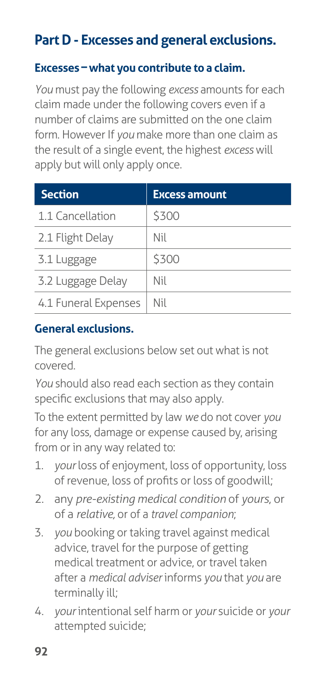## **Part D - Excesses and general exclusions.**

#### **Excesses – what you contribute to a claim.**

*You* must pay the following *excess* amounts for each claim made under the following covers even if a number of claims are submitted on the one claim form. However If *you* make more than one claim as the result of a single event, the highest *excess* will apply but will only apply once.

| <b>Section</b>       | <b>Excess amount</b> |
|----------------------|----------------------|
| 1.1 Cancellation     | \$300                |
| 2.1 Flight Delay     | Nil                  |
| 3.1 Luggage          | \$300                |
| 3.2 Luggage Delay    | Nil                  |
| 4.1 Funeral Expenses | Nil                  |

#### **General exclusions.**

The general exclusions below set out what is not covered.

*You* should also read each section as they contain specific exclusions that may also apply.

To the extent permitted by law *we* do not cover *you*  for any loss, damage or expense caused by, arising from or in any way related to:

- 1. *your* loss of enjoyment, loss of opportunity, loss of revenue, loss of profits or loss of goodwill;
- 2. any *pre-existing medical condition* of *yours*, or of a *relative,* or of a *travel companion*;
- 3. *you* booking or taking travel against medical advice, travel for the purpose of getting medical treatment or advice, or travel taken after a *medical adviser* informs *you* that *you* are terminally ill;
- 4. *your* intentional self harm or *your* suicide or *your* attempted suicide;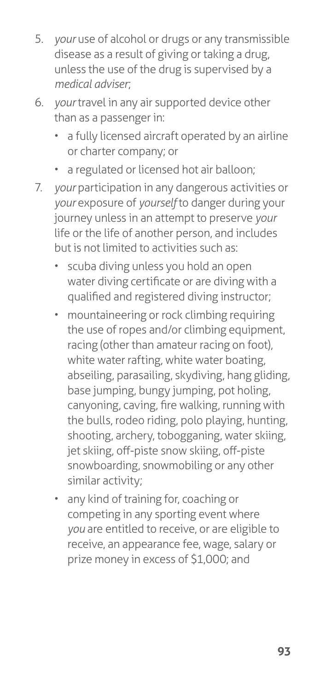- 5. *your* use of alcohol or drugs or any transmissible disease as a result of giving or taking a drug, unless the use of the drug is supervised by a *medical adviser*;
- 6. *your* travel in any air supported device other than as a passenger in:
	- a fully licensed aircraft operated by an airline or charter company; or
	- a regulated or licensed hot air balloon;
- 7. *your* participation in any dangerous activities or *your* exposure of *yourself* to danger during your journey unless in an attempt to preserve *your*  life or the life of another person, and includes but is not limited to activities such as:
	- scuba diving unless you hold an open water diving certificate or are diving with a qualified and registered diving instructor;
	- mountaineering or rock climbing requiring the use of ropes and/or climbing equipment, racing (other than amateur racing on foot), white water rafting, white water boating, abseiling, parasailing, skydiving, hang gliding, base jumping, bungy jumping, pot holing, canyoning, caving, fire walking, running with the bulls, rodeo riding, polo playing, hunting, shooting, archery, tobogganing, water skiing, jet skiing, off-piste snow skiing, off-piste snowboarding, snowmobiling or any other similar activity;
	- any kind of training for, coaching or competing in any sporting event where *you* are entitled to receive, or are eligible to receive, an appearance fee, wage, salary or prize money in excess of \$1,000; and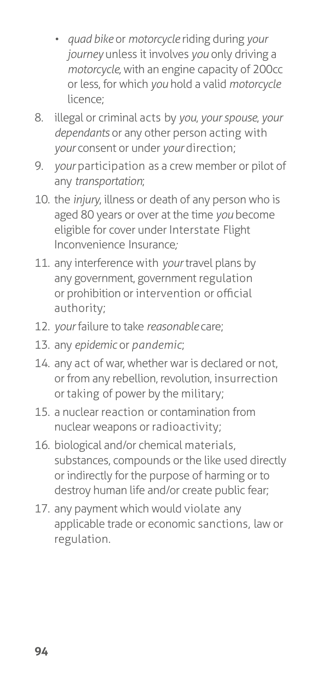- *• quad bike* or *motorcycle* riding during *your journey* unless it involves *you* only driving a *motorcycle,* with an engine capacity of 200cc or less, for which *you* hold a valid *motorcycle*  licence;
- 8. illegal or criminal acts by *you*, *your spouse*, *your dependants* or any other person acting with *your* consent or under *your* direction;
- 9. *your participation as a crew member or pilot of* any *transportation*;
- 10. the *injury*, illness or death of any person who is aged 80 years or over at the time *you* become eligible for cover under Interstate Flight Inconvenience Insurance*;*
- 11. any interference with *your* travel plans by any government, government regulation or prohibition or intervention or official authority;
- 12. *your* failure to take *reasonable* care;
- 13. any *epidemic* or *pandemic*;
- 14. any act of war, whether war is declared or not, or from any rebellion, revolution, insurrection or taking of power by the military;
- 15. a nuclear reaction or contamination from nuclear weapons or radioactivity;
- 16. biological and/or chemical materials, substances, compounds or the like used directly or indirectly for the purpose of harming or to destroy human life and/or create public fear;
- 17. any payment which would violate any applicable trade or economic sanctions, law or regulation.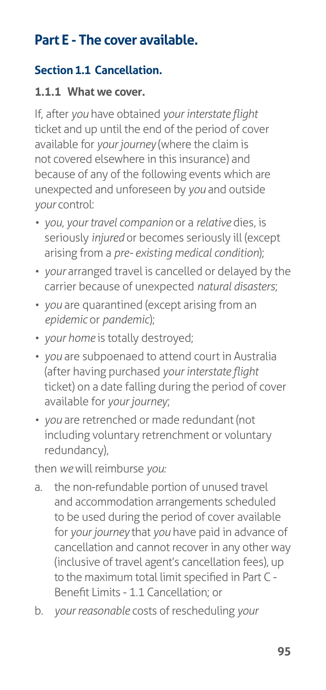## **Part E - The cover available.**

### **Section 1.1 Cancellation.**

#### **1.1.1 What we cover.**

If, after *you* have obtained *your interstate flight*  ticket and up until the end of the period of cover available for *your journey* (where the claim is not covered elsewhere in this insurance) and because of any of the following events which are unexpected and unforeseen by *you* and outside *your* control:

- *• you*, *your travel companion* or a *relative* dies, is seriously *injured* or becomes seriously ill (except arising from a *pre- existing medical condition*);
- *your* arranged travel is cancelled or delayed by the carrier because of unexpected *natural disasters*;
- *• you* are quarantined (except arising from an *epidemic* or *pandemic*);
- *• your home* is totally destroyed;
- *• you* are subpoenaed to attend court in Australia (after having purchased *your interstate flight*  ticket) on a date falling during the period of cover available for *your journey*;
- *• you* are retrenched or made redundant (not including voluntary retrenchment or voluntary redundancy),

then *we* will reimburse *you:*

- a. the non-refundable portion of unused travel and accommodation arrangements scheduled to be used during the period of cover available for *your journey* that *you* have paid in advance of cancellation and cannot recover in any other way (inclusive of travel agent's cancellation fees), up to the maximum total limit specified in Part C - Benefit Limits - 1.1 Cancellation; or
- b. *your reasonable* costs of rescheduling *your*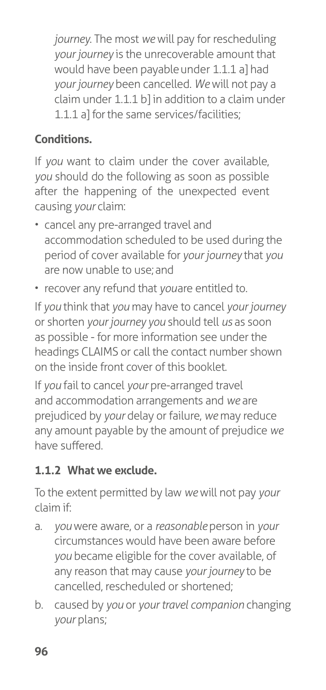*journey*. The most *we* will pay for rescheduling *your journey* is the unrecoverable amount that would have been payable under 1.1.1 a] had *your journey* been cancelled. *We* will not pay a claim under 1.1.1 b] in addition to a claim under 1.1.1 a] for the same services/facilities;

## **Conditions.**

If *you* want to claim under the cover available, *you* should do the following as soon as possible after the happening of the unexpected event causing *your* claim:

- cancel any pre-arranged travel and accommodation scheduled to be used during the period of cover available for *your journey* that *you*  are now unable to use; and
- recover any refund that *you* are entitled to.

If *you* think that *you* may have to cancel *your journey*  or shorten *your journey you* should tell *us* as soon as possible - for more information see under the headings CLAIMS or call the contact number shown on the inside front cover of this booklet.

If *you* fail to cancel *your* pre-arranged travel and accommodation arrangements and *we* are prejudiced by *your* delay or failure, *we* may reduce any amount payable by the amount of prejudice *we*  have suffered.

## **1.1.2 What we exclude.**

To the extent permitted by law *we* will not pay *your*  claim if:

- a. *you* were aware, or a *reasonable* person in *your*  circumstances would have been aware before *you* became eligible for the cover available, of any reason that may cause *your journey* to be cancelled, rescheduled or shortened;
- b. caused by *you* or *your travel companion* changing *your* plans;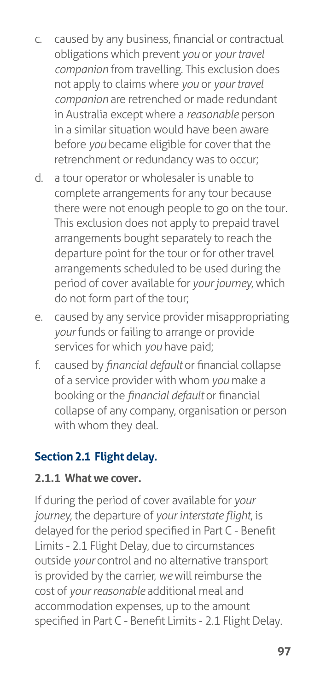- c. caused by any business, financial or contractual obligations which prevent *you* or *your travel companion* from travelling. This exclusion does not apply to claims where *you* or *your travel companion* are retrenched or made redundant in Australia except where a *reasonable* person in a similar situation would have been aware before *you* became eligible for cover that the retrenchment or redundancy was to occur;
- d. a tour operator or wholesaler is unable to complete arrangements for any tour because there were not enough people to go on the tour. This exclusion does not apply to prepaid travel arrangements bought separately to reach the departure point for the tour or for other travel arrangements scheduled to be used during the period of cover available for *your journey*, which do not form part of the tour;
- e. caused by any service provider misappropriating *your* funds or failing to arrange or provide services for which *you* have paid;
- f. caused by *financial default* or financial collapse of a service provider with whom *you* make a booking or the *financial default* or financial collapse of any company, organisation or person with whom they deal.

#### **Section 2.1 Flight delay.**

#### **2.1.1 What we cover.**

If during the period of cover available for *your journey*, the departure of *your interstate flight*, is delayed for the period specified in Part C - Benefit Limits - 2.1 Flight Delay, due to circumstances outside *your* control and no alternative transport is provided by the carrier, *we* will reimburse the cost of *your reasonable* additional meal and accommodation expenses, up to the amount specified in Part C - Benefit Limits - 2.1 Flight Delay.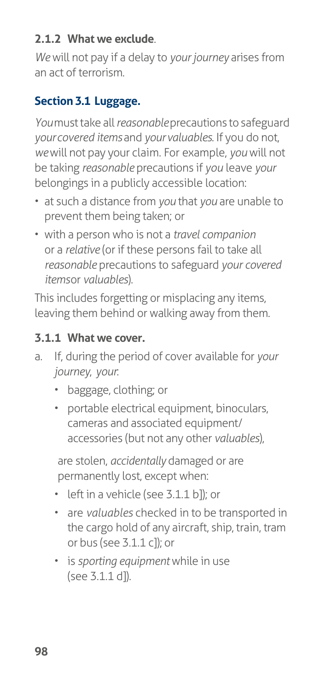#### **2.1.2 What we exclude**.

*We* will not pay if a delay to *your journey* arises from an act of terrorism.

### **Section 3.1 Luggage.**

*You* must take all *reasonable* precautions to safeguard *your covered items* and *your valuables*. If you do not, *we* will not pay your claim. For example, *you* will not be taking *reasonable* precautions if *you* leave *your*  belongings in a publicly accessible location:

- at such a distance from *you* that *you* are unable to prevent them being taken; or
- with a person who is not a *travel companion*  or a *relative* (or if these persons fail to take all *reasonable* precautions to safeguard *your covered items* or *valuables*).

This includes forgetting or misplacing any items, leaving them behind or walking away from them.

#### **3.1.1 What we cover.**

- a. If, during the period of cover available for *your journey*, *your*:
	- baggage, clothing; or
	- portable electrical equipment, binoculars, cameras and associated equipment/ accessories (but not any other *valuables*),

are stolen, *accidentally* damaged or are permanently lost, except when:

- left in a vehicle (see 3.1.1 b]); or
- are *valuables* checked in to be transported in the cargo hold of any aircraft, ship, train, tram or bus (see 3.1.1 c]); or
- is *sporting equipment* while in use (see 3.1.1 d]).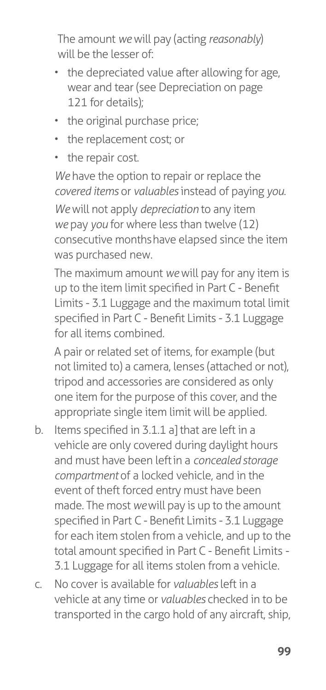The amount *we* will pay (acting *reasonably*) will be the lesser of:

- the depreciated value after allowing for age, wear and tear (see Depreciation on [page](#page-126-0)  [121](#page-126-0) for details);
- the original purchase price;
- the replacement cost; or
- the repair cost.

*We* have the option to repair or replace the *covered items* or *valuables* instead of paying *you*.

*We* will not apply *depreciation* to any item *we* pay *you* for where less than twelve (12) consecutive months have elapsed since the item was purchased new.

The maximum amount *we* will pay for any item is up to the item limit specified in Part C - Benefit Limits - 3.1 Luggage and the maximum total limit specified in Part C - Benefit Limits - 3.1 Luggage for all items combined.

A pair or related set of items, for example (but not limited to) a camera, lenses (attached or not), tripod and accessories are considered as only one item for the purpose of this cover, and the appropriate single item limit will be applied.

- b. Items specified in 3.1.1 a] that are left in a vehicle are only covered during daylight hours and must have been left in a *concealed storage compartment* of a locked vehicle, and in the event of theft forced entry must have been made. The most *we* will pay is up to the amount specified in Part C - Benefit Limits - 3.1 Luggage for each item stolen from a vehicle, and up to the total amount specified in Part C - Benefit Limits - 3.1 Luggage for all items stolen from a vehicle.
- c. No cover is available for *valuables* left in a vehicle at any time or *valuables* checked in to be transported in the cargo hold of any aircraft, ship,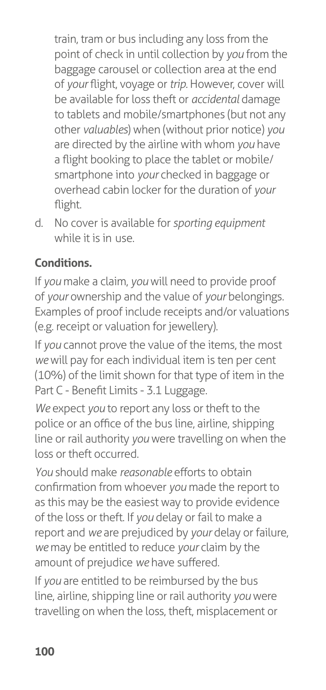train, tram or bus including any loss from the point of check in until collection by *you* from the baggage carousel or collection area at the end of *your* flight, voyage or *trip.* However, cover will be available for loss theft or *accidental* damage to tablets and mobile/smartphones (but not any other *valuables*) when (without prior notice) *you*  are directed by the airline with whom *you* have a flight booking to place the tablet or mobile/ smartphone into *your* checked in baggage or overhead cabin locker for the duration of *your*  flight.

d. No cover is available for *sporting equipment*  while it is in use.

## **Conditions.**

If *you* make a claim, *you* will need to provide proof of *your* ownership and the value of *your* belongings. Examples of proof include receipts and/or valuations (e.g. receipt or valuation for jewellery).

If *you* cannot prove the value of the items, the most *we* will pay for each individual item is ten per cent (10%) of the limit shown for that type of item in the Part C - Benefit Limits - 3.1 Luggage.

*We* expect *you* to report any loss or theft to the police or an office of the bus line, airline, shipping line or rail authority *you* were travelling on when the loss or theft occurred.

*You* should make *reasonable* efforts to obtain confirmation from whoever *you* made the report to as this may be the easiest way to provide evidence of the loss or theft. If *you* delay or fail to make a report and *we* are prejudiced by *your* delay or failure, *we* may be entitled to reduce *your* claim by the amount of prejudice *we* have suffered.

If *you* are entitled to be reimbursed by the bus line, airline, shipping line or rail authority *you* were travelling on when the loss, theft, misplacement or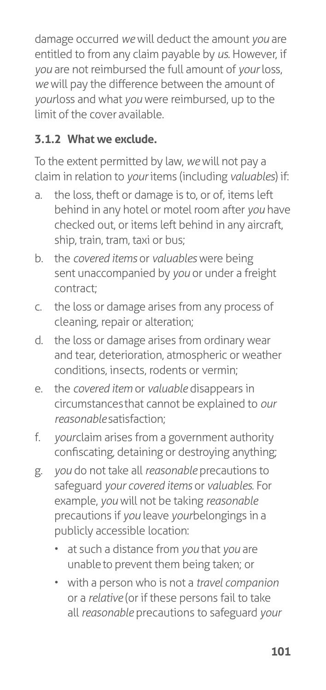damage occurred *we* will deduct the amount *you* are entitled to from any claim payable by *us*. However, if *you* are not reimbursed the full amount of *your* loss, *we* will pay the difference between the amount of *yourloss and what you were reimbursed, up to the* limit of the cover available.

#### **3.1.2 What we exclude.**

To the extent permitted by law, *we* will not pay a claim in relation to *your* items (including *valuables*) if:

- a. the loss, theft or damage is to, or of, items left behind in any hotel or motel room after *you* have checked out, or items left behind in any aircraft, ship, train, tram, taxi or bus;
- b. the *covered items* or *valuables* were being sent unaccompanied by *you* or under a freight contract;
- c. the loss or damage arises from any process of cleaning, repair or alteration;
- d. the loss or damage arises from ordinary wear and tear, deterioration, atmospheric or weather conditions, insects, rodents or vermin;
- e. the *covered item* or *valuable* disappears in circumstances that cannot be explained to *our reasonable* satisfaction;
- f. *yourclaim arises from a government authority* confiscating, detaining or destroying anything;
- g. *you* do not take all *reasonable* precautions to safeguard *your covered items* or *valuables*. For example, *you* will not be taking *reasonable*  precautions if *you* leave *your* belongings in a publicly accessible location:
	- at such a distance from *you* that *you* are unable to prevent them being taken; or
	- with a person who is not a *travel companion*  or a *relative* (or if these persons fail to take all *reasonable* precautions to safeguard *your*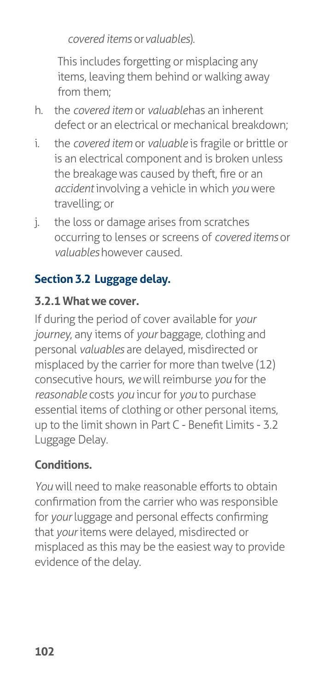*covered items* or *valuables*).

This includes forgetting or misplacing any items, leaving them behind or walking away from them;

- h. the *covered item* or *valuable* has an inherent defect or an electrical or mechanical breakdown;
- i. the *covered item* or *valuable* is fragile or brittle or is an electrical component and is broken unless the breakage was caused by theft, fire or an *accident* involving a vehicle in which *you* were travelling; or
- j. the loss or damage arises from scratches occurring to lenses or screens of *covered items* or *valuables* however caused.

## **Section 3.2 Luggage delay.**

#### **3.2.1 What we cover.**

If during the period of cover available for *your journey*, any items of *your* baggage, clothing and personal *valuables* are delayed, misdirected or misplaced by the carrier for more than twelve (12) consecutive hours, *we* will reimburse *you* for the *reasonable* costs *you* incur for *you* to purchase essential items of clothing or other personal items, up to the limit shown in Part C - Benefit Limits - 3.2 Luggage Delay.

## **Conditions.**

*You* will need to make reasonable efforts to obtain confirmation from the carrier who was responsible for *your* luggage and personal effects confirming that *your* items were delayed, misdirected or misplaced as this may be the easiest way to provide evidence of the delay.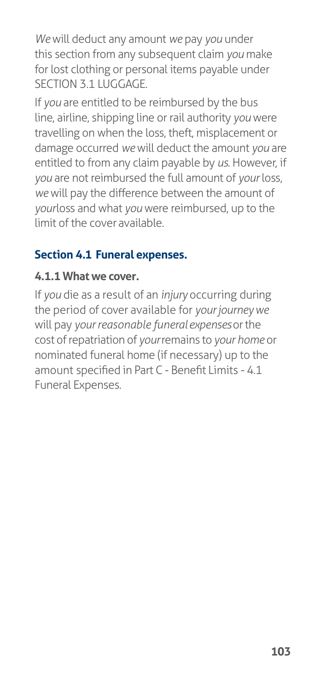*We* will deduct any amount *we* pay *you* under this section from any subsequent claim *you* make for lost clothing or personal items payable under SECTION 3.1 LUGGAGE.

If *you* are entitled to be reimbursed by the bus line, airline, shipping line or rail authority *you* were travelling on when the loss, theft, misplacement or damage occurred *we* will deduct the amount *you* are entitled to from any claim payable by *us*. However, if *you* are not reimbursed the full amount of *your* loss, *we* will pay the difference between the amount of *yourloss* and what *you* were reimbursed, up to the limit of the cover available.

### **Section 4.1 Funeral expenses.**

#### **4.1.1 What we cover.**

If *you* die as a result of an *injury* occurring during the period of cover available for *your journey we*  will pay *your reasonable funeral expenses* or the cost of repatriation of *your* remains to *your home* or nominated funeral home (if necessary) up to the amount specified in Part C - Benefit Limits - 4.1 Funeral Expenses.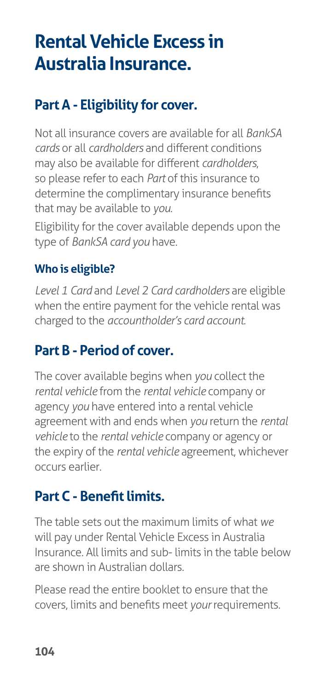# **Rental Vehicle Excess in Australia Insurance.**

### **Part A - Eligibility for cover.**

Not all insurance covers are available for all *BankSA cards* or all *cardholders* and different conditions may also be available for different *cardholders*, so please refer to each *Part* of this insurance to determine the complimentary insurance benefits that may be available to *you*.

Eligibility for the cover available depends upon the type of *BankSA card you* have.

### **Who is eligible?**

*Level 1 Card* and *Level 2 Card cardholders* are eligible when the entire payment for the vehicle rental was charged to the *accountholder's card account*.

### **Part B - Period of cover.**

The cover available begins when *you* collect the *rental vehicle* from the *rental vehicle* company or agency *you* have entered into a rental vehicle agreement with and ends when *you* return the *rental vehicle* to the *rental vehicle* company or agency or the expiry of the *rental vehicle* agreement, whichever occurs earlier.

## **Part C - Benefit limits.**

The table sets out the maximum limits of what *we*  will pay under Rental Vehicle Excess in Australia Insurance. All limits and sub- limits in the table below are shown in Australian dollars.

Please read the entire booklet to ensure that the covers, limits and benefits meet *your* requirements.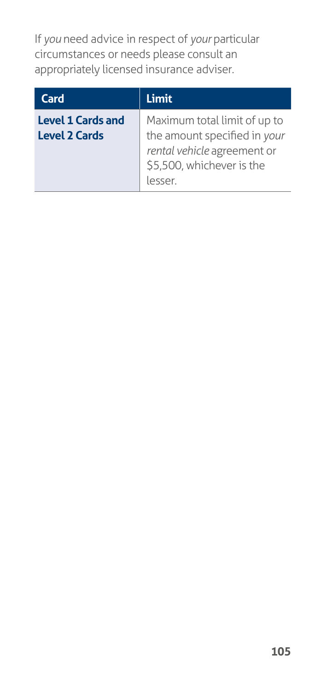If *you* need advice in respect of *your* particular circumstances or needs please consult an appropriately licensed insurance adviser.

| Card                                             | Limit                                                                                                                              |
|--------------------------------------------------|------------------------------------------------------------------------------------------------------------------------------------|
| <b>Level 1 Cards and</b><br><b>Level 2 Cards</b> | Maximum total limit of up to<br>the amount specified in your<br>rental vehicle agreement or<br>\$5,500, whichever is the<br>lesser |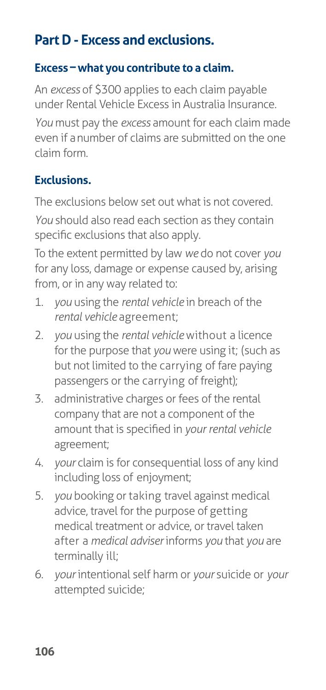## **Part D - Excess and exclusions.**

#### **Excess – what you contribute to a claim.**

An *excess* of \$300 applies to each claim payable under Rental Vehicle Excess in Australia Insurance.

*You* must pay the *excess* amount for each claim made even if a number of claims are submitted on the one claim form.

#### **Exclusions.**

The exclusions below set out what is not covered. *You* should also read each section as they contain specific exclusions that also apply.

To the extent permitted by law *we* do not cover *you*  for any loss, damage or expense caused by, arising from, or in any way related to:

- 1. *you* using the *rental vehicle* in breach of the *rental vehicle* agreement;
- 2. *you* using the *rental vehicle* without a licence for the purpose that *you* were using it; (such as but not limited to the carrying of fare paying passengers or the carrying of freight);
- 3. administrative charges or fees of the rental company that are not a component of the amount that is specified in *your rental vehicle*  agreement;
- 4. *your* claim is for consequential loss of any kind including loss of enjoyment;
- 5. *you* booking or taking travel against medical advice, travel for the purpose of getting medical treatment or advice, or travel taken after a *medical adviser* informs *you* that *you* are terminally ill;
- 6. *your* intentional self harm or *your* suicide or *your* attempted suicide;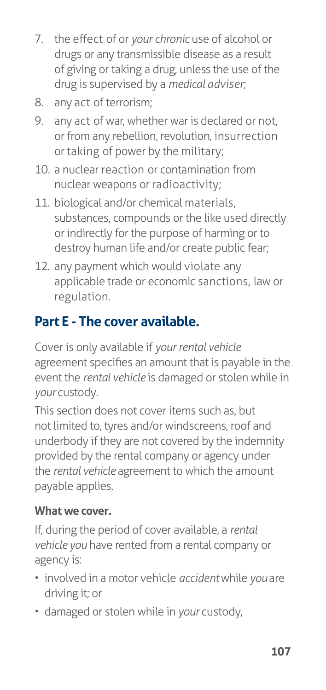- 7. the effect of or *your chronic* use of alcohol or drugs or any transmissible disease as a result of giving or taking a drug, unless the use of the drug is supervised by a *medical adviser*;
- 8. any act of terrorism;
- 9. any act of war, whether war is declared or not, or from any rebellion, revolution, insurrection or taking of power by the military;
- 10. a nuclear reaction or contamination from nuclear weapons or radioactivity;
- 11. biological and/or chemical materials, substances, compounds or the like used directly or indirectly for the purpose of harming or to destroy human life and/or create public fear;
- 12. any payment which would violate any applicable trade or economic sanctions, law or regulation.

## **Part E - The cover available.**

Cover is only available if *your rental vehicle*  agreement specifies an amount that is payable in the event the *rental vehicle* is damaged or stolen while in *your* custody.

This section does not cover items such as, but not limited to, tyres and/or windscreens, roof and underbody if they are not covered by the indemnity provided by the rental company or agency under the *rental vehicle* agreement to which the amount payable applies.

### **What we cover.**

If, during the period of cover available, a *rental vehicle you* have rented from a rental company or agency is:

- involved in a motor vehicle *accident* while *you* are driving it; or
- damaged or stolen while in *your* custody,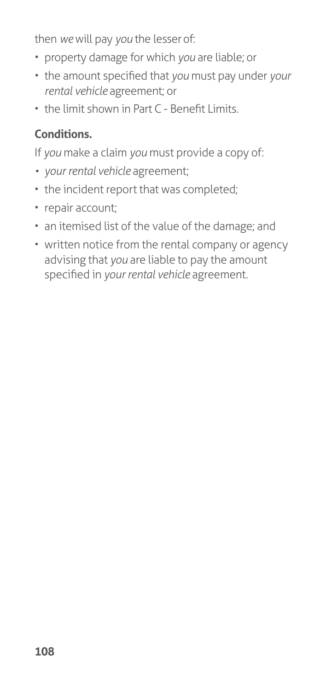then *we* will pay *you* the lesser of:

- property damage for which *you* are liable; or
- the amount specified that *you* must pay under *your rental vehicle* agreement; or
- the limit shown in Part C Benefit Limits*.*

### **Conditions.**

If *you* make a claim *you* must provide a copy of:

- *• your rental vehicle* agreement;
- the incident report that was completed;
- repair account;
- an itemised list of the value of the damage; and
- written notice from the rental company or agency advising that *you* are liable to pay the amount specified in *your rental vehicle* agreement.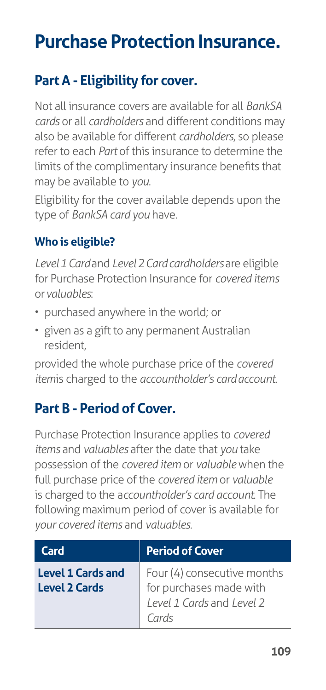# **Purchase Protection Insurance.**

## **Part A - Eligibility for cover.**

Not all insurance covers are available for all *BankSA cards* or all *cardholders* and different conditions may also be available for different *cardholders*, so please refer to each *Part* of this insurance to determine the limits of the complimentary insurance benefits that may be available to *you*.

Eligibility for the cover available depends upon the type of *BankSA card you* have.

### **Who is eligible?**

*Level 1 Card* and *Level 2 Card cardholders* are eligible for Purchase Protection Insurance for *covered items*  or *valuables*:

- purchased anywhere in the world; or
- given as a gift to any permanent Australian resident,

provided the whole purchase price of the *covered item* is charged to the *accountholder's card account*.

### **Part B - Period of Cover.**

Purchase Protection Insurance applies to *covered items* and *valuables* after the date that *you* take possession of the *covered item* or *valuable* when the full purchase price of the *covered item* or *valuable*  is charged to the a*ccountholder's card account*. The following maximum period of cover is available for *your covered items* and *valuables*.

| Card                                             | <b>Period of Cover</b>                                                                       |
|--------------------------------------------------|----------------------------------------------------------------------------------------------|
| <b>Level 1 Cards and</b><br><b>Level 2 Cards</b> | Four (4) consecutive months<br>for purchases made with<br>Level 1 Cards and Level 2<br>Cards |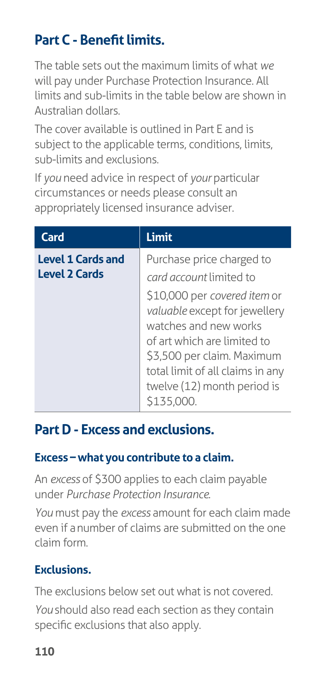# **Part C - Benefit limits.**

The table sets out the maximum limits of what *we*  will pay under Purchase Protection Insurance. All limits and sub-limits in the table below are shown in Australian dollars.

The cover available is outlined in Part E and is subject to the applicable terms, conditions, limits, sub-limits and exclusions.

If *you* need advice in respect of *your* particular circumstances or needs please consult an appropriately licensed insurance adviser.

| Card                                             | <b>Limit</b>                                                                                                                                                                                                                                                                                |
|--------------------------------------------------|---------------------------------------------------------------------------------------------------------------------------------------------------------------------------------------------------------------------------------------------------------------------------------------------|
| <b>Level 1 Cards and</b><br><b>Level 2 Cards</b> | Purchase price charged to<br>card account limited to<br>\$10,000 per covered item or<br>valuable except for jewellery<br>watches and new works<br>of art which are limited to<br>\$3,500 per claim. Maximum<br>total limit of all claims in any<br>twelve (12) month period is<br>\$135,000 |

### **Part D - Excess and exclusions.**

### **Excess – what you contribute to a claim.**

An *excess* of \$300 applies to each claim payable under *Purchase Protection Insurance*.

*You* must pay the *excess* amount for each claim made even if a number of claims are submitted on the one claim form.

### **Exclusions.**

The exclusions below set out what is not covered.

*You* should also read each section as they contain specific exclusions that also apply.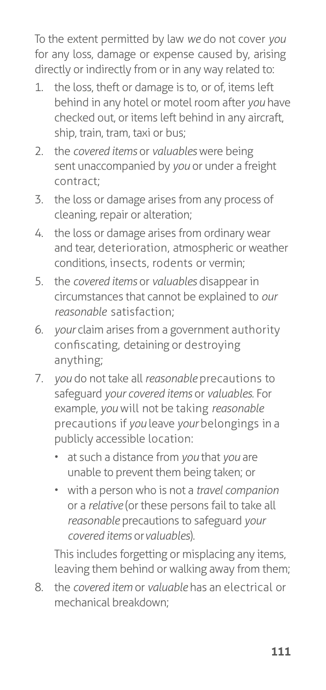To the extent permitted by law *we* do not cover *you*  for any loss, damage or expense caused by, arising directly or indirectly from or in any way related to:

- 1. the loss, theft or damage is to, or of, items left behind in any hotel or motel room after *you* have checked out, or items left behind in any aircraft, ship, train, tram, taxi or bus;
- 2. the *covered items* or *valuables* were being sent unaccompanied by *you* or under a freight contract;
- 3. the loss or damage arises from any process of cleaning, repair or alteration;
- 4. the loss or damage arises from ordinary wear and tear, deterioration, atmospheric or weather conditions, insects, rodents or vermin;
- 5. the *covered items* or *valuables* disappear in circumstances that cannot be explained to *our reasonable* satisfaction;
- 6. *your* claim arises from a government authority confiscating, detaining or destroying anything;
- 7. *you* do not take all *reasonable* precautions to safeguard *your covered items* or *valuables*. For example, *you* will not be taking *reasonable*  precautions if *you* leave *your* belongings in a publicly accessible location:
	- at such a distance from *you* that *you* are unable to prevent them being taken; or
	- with a person who is not a *travel companion*  or a *relative* (or these persons fail to take all *reasonable* precautions to safeguard *your covered items* or *valuables*).

This includes forgetting or misplacing any items, leaving them behind or walking away from them;

8. the *covered item* or *valuable* has an electrical or mechanical breakdown;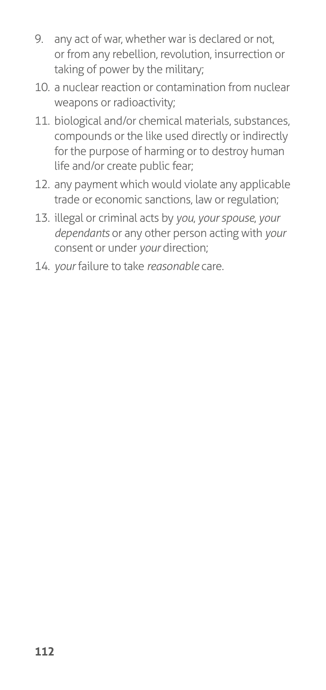- 9. any act of war, whether war is declared or not, or from any rebellion, revolution, insurrection or taking of power by the military;
- 10. a nuclear reaction or contamination from nuclear weapons or radioactivity;
- 11. biological and/or chemical materials, substances, compounds or the like used directly or indirectly for the purpose of harming or to destroy human life and/or create public fear;
- 12. any payment which would violate any applicable trade or economic sanctions, law or regulation;
- 13. illegal or criminal acts by *you*, *your spouse*, *your dependants* or any other person acting with *your* consent or under *your* direction;
- 14. *your* failure to take *reasonable* care.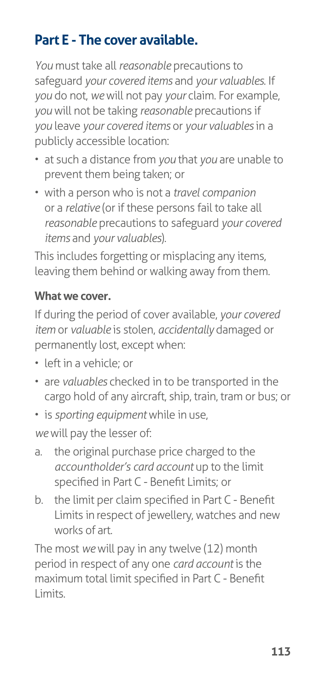## **Part E - The cover available.**

*You* must take all *reasonable* precautions to safeguard *your covered items* and *your valuables*. If *you* do not, *we* will not pay *your* claim. For example, *you* will not be taking *reasonable* precautions if *you* leave *your covered items* or *your valuables* in a publicly accessible location:

- at such a distance from *you* that *you* are unable to prevent them being taken; or
- with a person who is not a *travel companion*  or a *relative* (or if these persons fail to take all *reasonable* precautions to safeguard *your covered items* and *your valuables*).

This includes forgetting or misplacing any items, leaving them behind or walking away from them.

#### **What we cover.**

If during the period of cover available, *your covered item* or *valuable* is stolen, *accidentally* damaged or permanently lost, except when:

- left in a vehicle; or
- are *valuables* checked in to be transported in the cargo hold of any aircraft, ship, train, tram or bus; or
- is *sporting equipment* while in use,

*we* will pay the lesser of:

- a. the original purchase price charged to the *accountholder's card account* up to the limit specified in Part C - Benefit Limits; or
- b. the limit per claim specified in Part C Benefit Limits in respect of jewellery, watches and new works of art.

The most *we* will pay in any twelve (12) month period in respect of any one *card account* is the maximum total limit specified in Part C - Benefit Limits.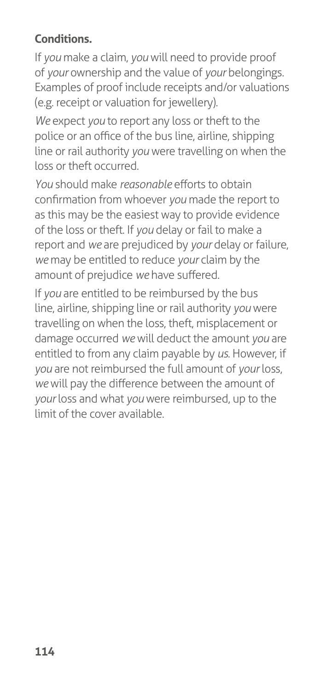### **Conditions.**

If *you* make a claim, *you* will need to provide proof of *your* ownership and the value of *your* belongings. Examples of proof include receipts and/or valuations (e.g. receipt or valuation for jewellery).

*We* expect *you* to report any loss or theft to the police or an office of the bus line, airline, shipping line or rail authority *you* were travelling on when the loss or theft occurred.

*You* should make *reasonable* efforts to obtain confirmation from whoever *you* made the report to as this may be the easiest way to provide evidence of the loss or theft. If *you* delay or fail to make a report and *we* are prejudiced by *your* delay or failure, *we* may be entitled to reduce *your* claim by the amount of prejudice *we* have suffered.

If *you* are entitled to be reimbursed by the bus line, airline, shipping line or rail authority *you* were travelling on when the loss, theft, misplacement or damage occurred *we* will deduct the amount *you* are entitled to from any claim payable by *us*. However, if *you* are not reimbursed the full amount of *your* loss, *we* will pay the difference between the amount of *your* loss and what *you* were reimbursed, up to the limit of the cover available.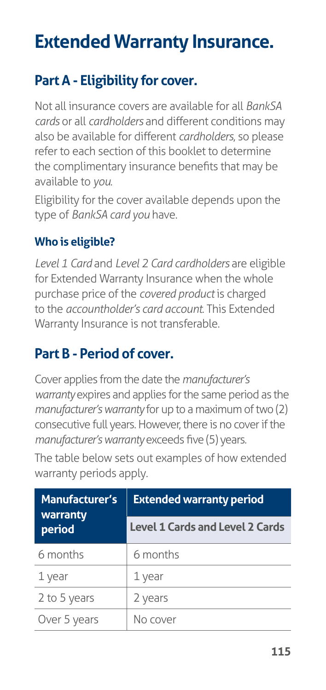# **Extended Warranty Insurance.**

## **Part A - Eligibility for cover.**

Not all insurance covers are available for all *BankSA cards* or all *cardholders* and different conditions may also be available for different *cardholders*, so please refer to each section of this booklet to determine the complimentary insurance benefits that may be available to *you*.

Eligibility for the cover available depends upon the type of *BankSA card you* have.

### **Who is eligible?**

*Level 1 Card* and *Level 2 Card cardholders* are eligible for Extended Warranty Insurance when the whole purchase price of the *covered product* is charged to the *accountholder's card account*. This Extended Warranty Insurance is not transferable.

### **Part B - Period of cover.**

Cover applies from the date the *manufacturer's warranty* expires and applies for the same period as the *manufacturer's warranty* for up to a maximum of two (2) consecutive full years. However, there is no cover if the *manufacturer's warranty* exceeds five (5) years.

The table below sets out examples of how extended warranty periods apply.

| <b>Manufacturer's</b><br>warranty<br>period | <b>Extended warranty period</b>        |
|---------------------------------------------|----------------------------------------|
|                                             | <b>Level 1 Cards and Level 2 Cards</b> |
| 6 months                                    | 6 months                               |
| 1 year                                      | 1 year                                 |
| 2 to 5 years                                | 2 years                                |
| Over 5 years                                | No cover                               |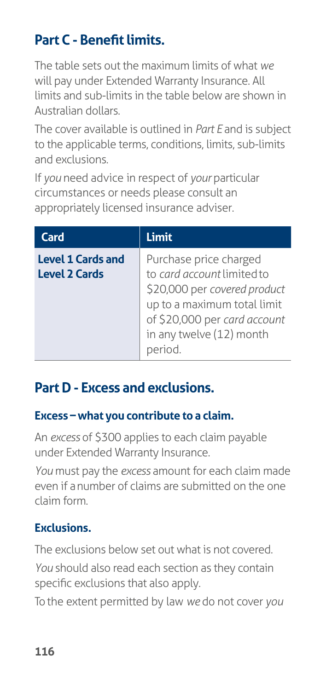# **Part C - Benefit limits.**

The table sets out the maximum limits of what *we*  will pay under Extended Warranty Insurance. All limits and sub-limits in the table below are shown in Australian dollars.

The cover available is outlined in *Part E* and is subject to the applicable terms, conditions, limits, sub-limits and exclusions.

If *you* need advice in respect of *your* particular circumstances or needs please consult an appropriately licensed insurance adviser.

| Card                                             | <b>Limit</b>                                                                                                                                                                    |
|--------------------------------------------------|---------------------------------------------------------------------------------------------------------------------------------------------------------------------------------|
| <b>Level 1 Cards and</b><br><b>Level 2 Cards</b> | Purchase price charged<br>to card account limited to<br>\$20,000 per covered product<br>up to a maximum total limit<br>of \$20,000 per card account<br>in any twelve (12) month |

## **Part D - Excess and exclusions.**

### **Excess – what you contribute to a claim.**

An *excess* of \$300 applies to each claim payable under Extended Warranty Insurance.

*You* must pay the *excess* amount for each claim made even if a number of claims are submitted on the one claim form.

### **Exclusions.**

The exclusions below set out what is not covered. *You* should also read each section as they contain specific exclusions that also apply.

To the extent permitted by law *we* do not cover *you*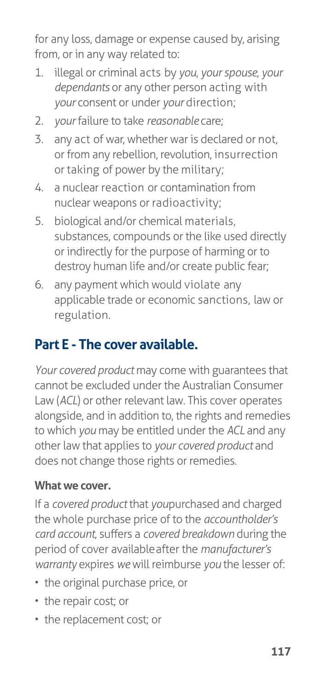for any loss, damage or expense caused by, arising from, or in any way related to:

- 1. illegal or criminal acts by *you*, *your spouse*, *your dependants* or any other person acting with *your* consent or under *your* direction;
- 2. *your* failure to take *reasonable* care;
- 3. any act of war, whether war is declared or not, or from any rebellion, revolution, insurrection or taking of power by the military;
- 4. a nuclear reaction or contamination from nuclear weapons or radioactivity;
- 5. biological and/or chemical materials, substances, compounds or the like used directly or indirectly for the purpose of harming or to destroy human life and/or create public fear;
- 6. any payment which would violate any applicable trade or economic sanctions, law or regulation.

### **Part E - The cover available.**

*Your covered product* may come with guarantees that cannot be excluded under the Australian Consumer Law (*ACL*) or other relevant law. This cover operates alongside, and in addition to, the rights and remedies to which *you* may be entitled under the *ACL* and any other law that applies to *your covered product* and does not change those rights or remedies.

#### **What we cover.**

If a *covered product* that *youpurchased* and charged the whole purchase price of to the *accountholder's card account*, suffers a *covered breakdown* during the period of cover available after the *manufacturer's warranty* expires *we* will reimburse *you* the lesser of:

- the original purchase price, or
- the repair cost; or
- the replacement cost; or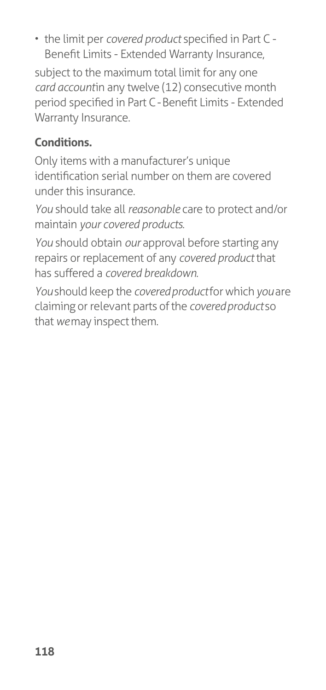• the limit per *covered product* specified in Part C - Benefit Limits - Extended Warranty Insurance,

subject to the maximum total limit for any one *card accountin any twelve (12) consecutive month* period specified in Part C - Benefit Limits - Extended Warranty Insurance.

### **Conditions.**

Only items with a manufacturer's unique identification serial number on them are covered under this insurance.

*You* should take all *reasonable* care to protect and/or maintain *your covered products*.

*You* should obtain *our* approval before starting any repairs or replacement of any *covered product* that has suffered a *covered breakdown*.

*You* should keep the *covered product* for which *you* are claiming or relevant parts of the *covered product* so that *we* may inspect them.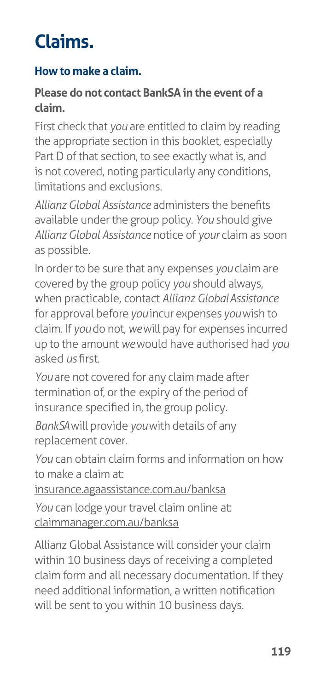# **Claims.**

### **How to make a claim.**

#### **Please do not contact BankSA in the event of a claim.**

First check that *you* are entitled to claim by reading the appropriate section in this booklet, especially Part D of that section, to see exactly what is, and is not covered, noting particularly any conditions, limitations and exclusions.

*Allianz Global Assistance* administers the benefits available under the group policy. *You* should give *Allianz Global Assistance* notice of *your* claim as soon as possible.

In order to be sure that any expenses *you* claim are covered by the group policy *you* should always, when practicable, contact *Allianz Global Assistance*  for approval before *you* incur expenses *you* wish to claim. If *you* do not, *we* will pay for expenses incurred up to the amount *we* would have authorised had *you*  asked *us* first.

You are not covered for any claim made after termination of, or the expiry of the period of insurance specified in, the group policy.

*BankSA* will provide *you* with details of any replacement cover.

*You* can obtain claim forms and information on how to make a claim at:

[insurance.agaassistance.com.au/banksa](http://insurance.agaassistance.com.au/banksa)

*You* can lodge your travel claim online at: [claimmanager.com.au/banksa](http://www.claimmanager.com.au/banksa)

Allianz Global Assistance will consider your claim within 10 business days of receiving a completed claim form and all necessary documentation. If they need additional information, a written notification will be sent to you within 10 business days.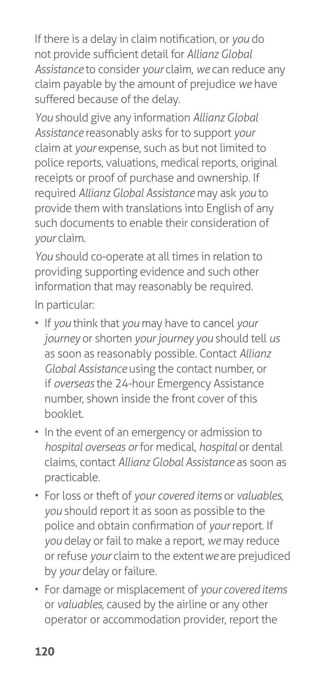If there is a delay in claim notification, or *you* do not provide sufficient detail for *Allianz Global Assistance* to consider *your* claim, *we* can reduce any claim payable by the amount of prejudice *we* have suffered because of the delay.

*You* should give any information *Allianz Global Assistance* reasonably asks for to support *your*  claim at *your* expense, such as but not limited to police reports, valuations, medical reports, original receipts or proof of purchase and ownership. If required *Allianz Global Assistance* may ask *you* to provide them with translations into English of any such documents to enable their consideration of *your* claim.

*You* should co-operate at all times in relation to providing supporting evidence and such other information that may reasonably be required.

In particular:

- If *you* think that *you* may have to cancel *your journey* or shorten *your journey you* should tell *us*  as soon as reasonably possible. Contact *Allianz Global Assistance* using the contact number, or if *overseas* the 24-hour Emergency Assistance number, shown inside the front cover of this booklet.
- In the event of an emergency or admission to *hospital overseas or* for medical, *hospital* or dental claims, contact *Allianz Global Assistance* as soon as practicable.
- For loss or theft of *your covered items* or *valuables*, *you* should report it as soon as possible to the police and obtain confirmation of *your* report. If *you* delay or fail to make a report, *we* may reduce or refuse *your* claim to the extent *we* are prejudiced by *your* delay or failure.
- For damage or misplacement of *your covered items*  or *valuables*, caused by the airline or any other operator or accommodation provider, report the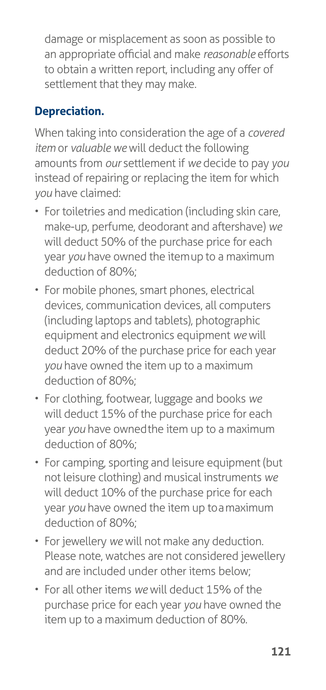damage or misplacement as soon as possible to an appropriate official and make *reasonable* efforts to obtain a written report, including any offer of settlement that they may make.

### **Depreciation.**

When taking into consideration the age of a *covered item* or *valuable we* will deduct the following amounts from *our* settlement if *we* decide to pay *you*  instead of repairing or replacing the item for which *you* have claimed:

- For toiletries and medication (including skin care, make-up, perfume, deodorant and aftershave) *we*  will deduct 50% of the purchase price for each year *you* have owned the item up to a maximum deduction of 80%;
- For mobile phones, smart phones, electrical devices, communication devices, all computers (including laptops and tablets), photographic equipment and electronics equipment *we* will deduct 20% of the purchase price for each year *you* have owned the item up to a maximum deduction of 80%;
- For clothing, footwear, luggage and books *we*  will deduct 15% of the purchase price for each year *you* have owned the item up to a maximum deduction of 80%;
- For camping, sporting and leisure equipment (but not leisure clothing) and musical instruments *we*  will deduct 10% of the purchase price for each year *you* have owned the item up to a maximum deduction of 80%;
- For jewellery *we* will not make any deduction. Please note, watches are not considered jewellery and are included under other items below;
- For all other items *we* will deduct 15% of the purchase price for each year *you* have owned the item up to a maximum deduction of 80%.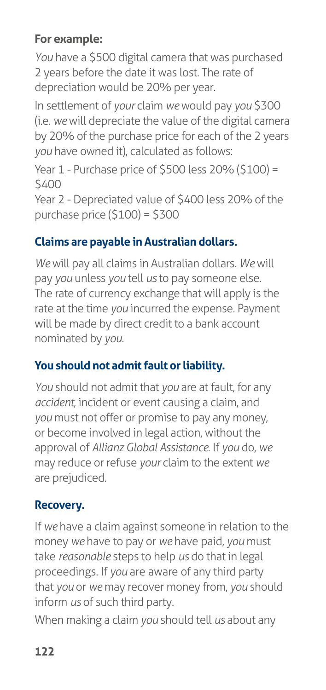### **For example:**

*You* have a \$500 digital camera that was purchased 2 years before the date it was lost. The rate of depreciation would be 20% per year.

In settlement of *your* claim *we* would pay *you* \$300 (i.e. *we* will depreciate the value of the digital camera by 20% of the purchase price for each of the 2 years *you* have owned it), calculated as follows:

Year 1 - Purchase price of \$500 less 20% (\$100) = \$400

Year 2 - Depreciated value of \$400 less 20% of the purchase price (\$100) = \$300

### **Claims are payable in Australian dollars.**

*We* will pay all claims in Australian dollars. *We* will pay *you* unless *you* tell *us* to pay someone else. The rate of currency exchange that will apply is the rate at the time *you* incurred the expense. Payment will be made by direct credit to a bank account nominated by *you*.

### **You should not admit fault or liability.**

*You* should not admit that *you* are at fault, for any *accident*, incident or event causing a claim, and *you* must not offer or promise to pay any money, or become involved in legal action, without the approval of *Allianz Global Assistance*. If *you* do, *we*  may reduce or refuse *your* claim to the extent *we*  are prejudiced.

### **Recovery.**

If *we* have a claim against someone in relation to the money *we* have to pay or *we* have paid, *you* must take *reasonable* steps to help *us* do that in legal proceedings. If *you* are aware of any third party that *you* or *we* may recover money from, *you* should inform *us* of such third party.

When making a claim *you* should tell *us* about any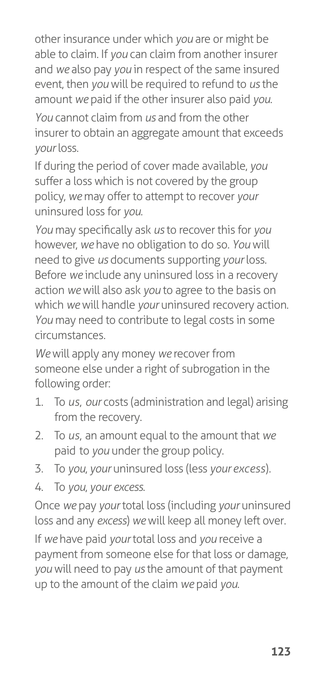other insurance under which *you* are or might be able to claim. If *you* can claim from another insurer and *we* also pay *you* in respect of the same insured event, then *you* will be required to refund to *us* the amount *we* paid if the other insurer also paid *you*.

*You* cannot claim from *us* and from the other insurer to obtain an aggregate amount that exceeds *your* loss.

If during the period of cover made available, *you*  suffer a loss which is not covered by the group policy, *we* may offer to attempt to recover *your*  uninsured loss for *you*.

*You* may specifically ask *us* to recover this for *you*  however, *we* have no obligation to do so. *You* will need to give *us* documents supporting *your* loss. Before *we* include any uninsured loss in a recovery action *we* will also ask *you* to agree to the basis on which *we* will handle *your* uninsured recovery action. *You* may need to contribute to legal costs in some circumstances.

*We* will apply any money *we* recover from someone else under a right of subrogation in the following order:

- 1. To *us*, *our* costs (administration and legal) arising from the recovery.
- 2. To *us*, an amount equal to the amount that *we*  paid to *you* under the group policy.
- 3. To *you*, *your* uninsured loss (less *your excess*).
- 4. To *you*, *your excess*.

Once *we* pay *your* total loss (including *your* uninsured loss and any *excess*) *we* will keep all money left over.

If *we* have paid *your* total loss and *you* receive a payment from someone else for that loss or damage, *you* will need to pay *us* the amount of that payment up to the amount of the claim *we* paid *you*.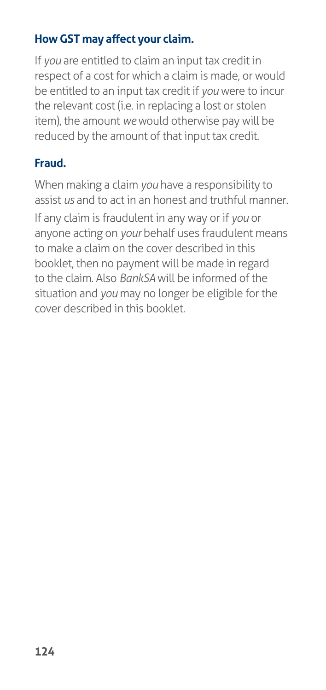### **How GST may affect your claim.**

If *you* are entitled to claim an input tax credit in respect of a cost for which a claim is made, or would be entitled to an input tax credit if *you* were to incur the relevant cost (i.e. in replacing a lost or stolen item), the amount *we* would otherwise pay will be reduced by the amount of that input tax credit.

### **Fraud.**

When making a claim *you* have a responsibility to assist *us* and to act in an honest and truthful manner.

If any claim is fraudulent in any way or if *you* or anyone acting on *your* behalf uses fraudulent means to make a claim on the cover described in this booklet, then no payment will be made in regard to the claim. Also *BankSA* will be informed of the situation and *you* may no longer be eligible for the cover described in this booklet.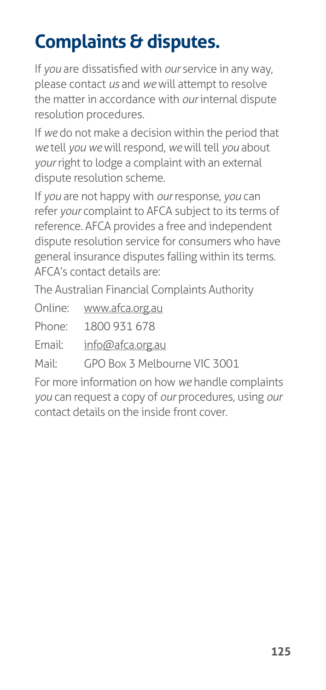# **Complaints & disputes.**

If *you* are dissatisfied with *our* service in any way, please contact *us* and *we* will attempt to resolve the matter in accordance with *our* internal dispute resolution procedures.

If *we* do not make a decision within the period that *we* tell *you we* will respond, *we* will tell *you* about *your* right to lodge a complaint with an external dispute resolution scheme.

If *you* are not happy with *our* response, *you* can refer *your* complaint to AFCA subject to its terms of reference. AFCA provides a free and independent dispute resolution service for consumers who have general insurance disputes falling within its terms. AFCA's contact details are:

The Australian Financial Complaints Authority

Online: [www.afca.org.au](http://www.afca.org.au/)

Phone: 1800 931 678

Email: [info@afca.org.au](mailto:info@afca.org.au)

Mail: GPO Box 3 Melbourne VIC 3001

For more information on how *we* handle complaints *you* can request a copy of *our* procedures, using *our*  contact details on the inside front cover.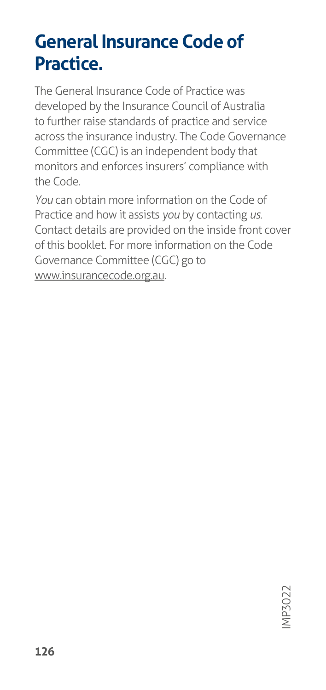# **General Insurance Code of Practice.**

The General Insurance Code of Practice was developed by the Insurance Council of Australia to further raise standards of practice and service across the insurance industry. The Code Governance Committee (CGC) is an independent body that monitors and enforces insurers' compliance with the Code.

*You* can obtain more information on the Code of Practice and how it assists *you* by contacting *us*. Contact details are provided on the inside front cover of this booklet. For more information on the Code Governance Committee (CGC) go to [www.insurancecode.org.au](http://www.insurancecode.org.au/).